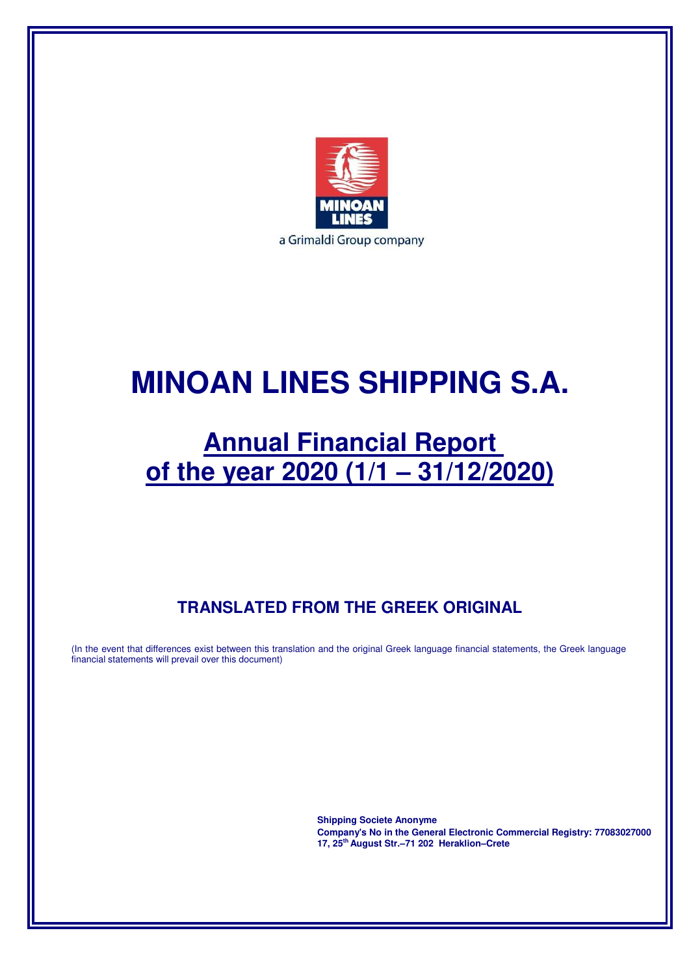

# **MINOAN LINES SHIPPING S.A.**

# **Annual Financial Report of the year 2020 (1/1 – 31/12/2020)**

## **TRANSLATED FROM THE GREEK ORIGINAL**

(In the event that differences exist between this translation and the original Greek language financial statements, the Greek language financial statements will prevail over this document)

> **Shipping Societe Anonyme Company's No in the General Electronic Commercial Registry: 77083027000 17, 25th August Str.–71 202 Heraklion–Crete**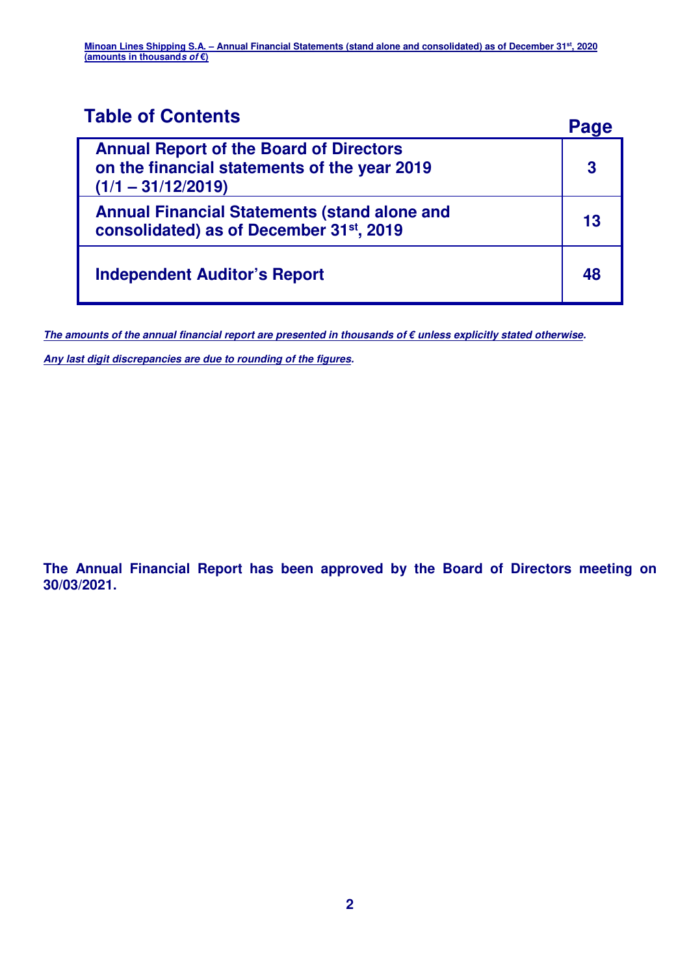## **Table of Contents Page**

|                                                                                                                        | Paue |
|------------------------------------------------------------------------------------------------------------------------|------|
| <b>Annual Report of the Board of Directors</b><br>on the financial statements of the year 2019<br>$(1/1 - 31/12/2019)$ | 3    |
| <b>Annual Financial Statements (stand alone and</b><br>consolidated) as of December 31st, 2019                         | 13   |
| <b>Independent Auditor's Report</b>                                                                                    | 48   |

**The amounts of the annual financial report are presented in thousands of € unless explicitly stated otherwise.** 

**Any last digit discrepancies are due to rounding of the figures.** 

**The Annual Financial Report has been approved by the Board of Directors meeting on 30/03/2021.**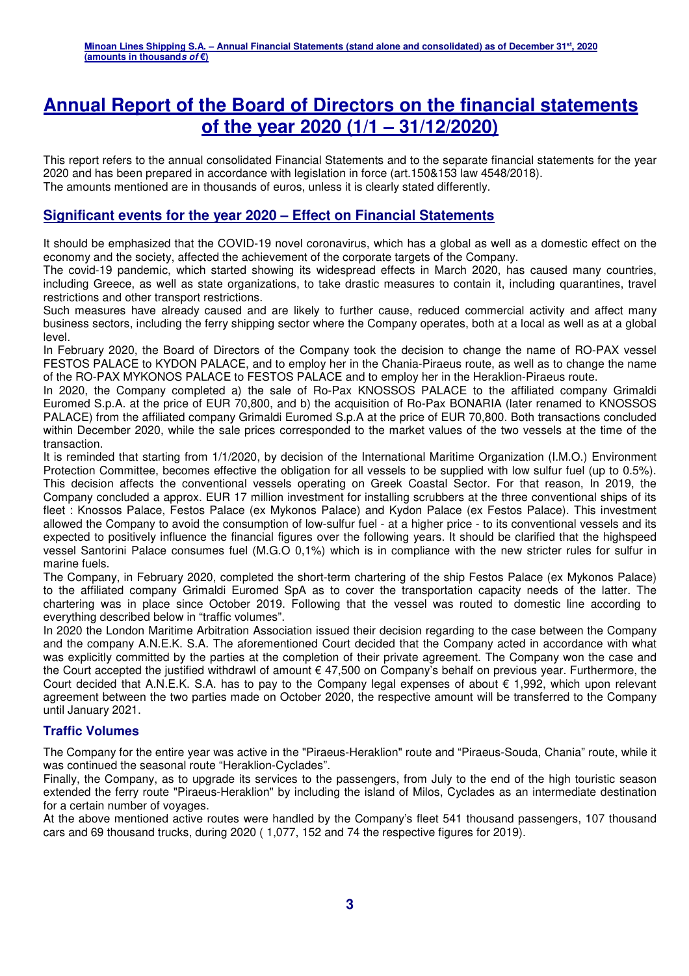## **Annual Report of the Board of Directors on the financial statements of the year 2020 (1/1 – 31/12/2020)**

This report refers to the annual consolidated Financial Statements and to the separate financial statements for the year 2020 and has been prepared in accordance with legislation in force (art.150&153 law 4548/2018). The amounts mentioned are in thousands of euros, unless it is clearly stated differently.

#### **Significant events for the year 2020 – Effect on Financial Statements**

It should be emphasized that the COVID-19 novel coronavirus, which has a global as well as a domestic effect on the economy and the society, affected the achievement of the corporate targets of the Company.

The covid-19 pandemic, which started showing its widespread effects in March 2020, has caused many countries, including Greece, as well as state organizations, to take drastic measures to contain it, including quarantines, travel restrictions and other transport restrictions.

Such measures have already caused and are likely to further cause, reduced commercial activity and affect many business sectors, including the ferry shipping sector where the Company operates, both at a local as well as at a global level.

In February 2020, the Board of Directors of the Company took the decision to change the name of RO-PAX vessel FESTOS PALACE to KYDON PALACE, and to employ her in the Chania-Piraeus route, as well as to change the name of the RO-PAX MYKONOS PALACE to FESTOS PALACE and to employ her in the Heraklion-Piraeus route.

In 2020, the Company completed a) the sale of Ro-Pax KNOSSOS PALACE to the affiliated company Grimaldi Euromed S.p.A. at the price of EUR 70,800, and b) the acquisition of Ro-Pax BONARIA (later renamed to KNOSSOS PALACE) from the affiliated company Grimaldi Euromed S.p.A at the price of EUR 70,800. Both transactions concluded within December 2020, while the sale prices corresponded to the market values of the two vessels at the time of the transaction.

It is reminded that starting from 1/1/2020, by decision of the International Maritime Organization (I.M.O.) Environment Protection Committee, becomes effective the obligation for all vessels to be supplied with low sulfur fuel (up to 0.5%). This decision affects the conventional vessels operating on Greek Coastal Sector. For that reason, In 2019, the Company concluded a approx. EUR 17 million investment for installing scrubbers at the three conventional ships of its fleet : Knossos Palace, Festos Palace (ex Mykonos Palace) and Kydon Palace (ex Festos Palace). This investment allowed the Company to avoid the consumption of low-sulfur fuel - at a higher price - to its conventional vessels and its expected to positively influence the financial figures over the following years. It should be clarified that the highspeed vessel Santorini Palace consumes fuel (M.G.O 0,1%) which is in compliance with the new stricter rules for sulfur in marine fuels.

The Company, in February 2020, completed the short-term chartering of the ship Festos Palace (ex Mykonos Palace) to the affiliated company Grimaldi Euromed SpA as to cover the transportation capacity needs of the latter. The chartering was in place since October 2019. Following that the vessel was routed to domestic line according to everything described below in "traffic volumes".

In 2020 the London Maritime Arbitration Association issued their decision regarding to the case between the Company and the company A.N.E.K. S.A. The aforementioned Court decided that the Company acted in accordance with what was explicitly committed by the parties at the completion of their private agreement. The Company won the case and the Court accepted the justified withdrawl of amount € 47,500 on Company's behalf on previous year. Furthermore, the Court decided that A.N.E.K. S.A. has to pay to the Company legal expenses of about € 1,992, which upon relevant agreement between the two parties made on October 2020, the respective amount will be transferred to the Company until January 2021.

#### **Traffic Volumes**

The Company for the entire year was active in the "Piraeus-Heraklion" route and "Piraeus-Souda, Chania" route, while it was continued the seasonal route "Heraklion-Cyclades".

Finally, the Company, as to upgrade its services to the passengers, from July to the end of the high touristic season extended the ferry route "Piraeus-Heraklion" by including the island of Milos, Cyclades as an intermediate destination for a certain number of voyages.

At the above mentioned active routes were handled by the Company's fleet 541 thousand passengers, 107 thousand cars and 69 thousand trucks, during 2020 ( 1,077, 152 and 74 the respective figures for 2019).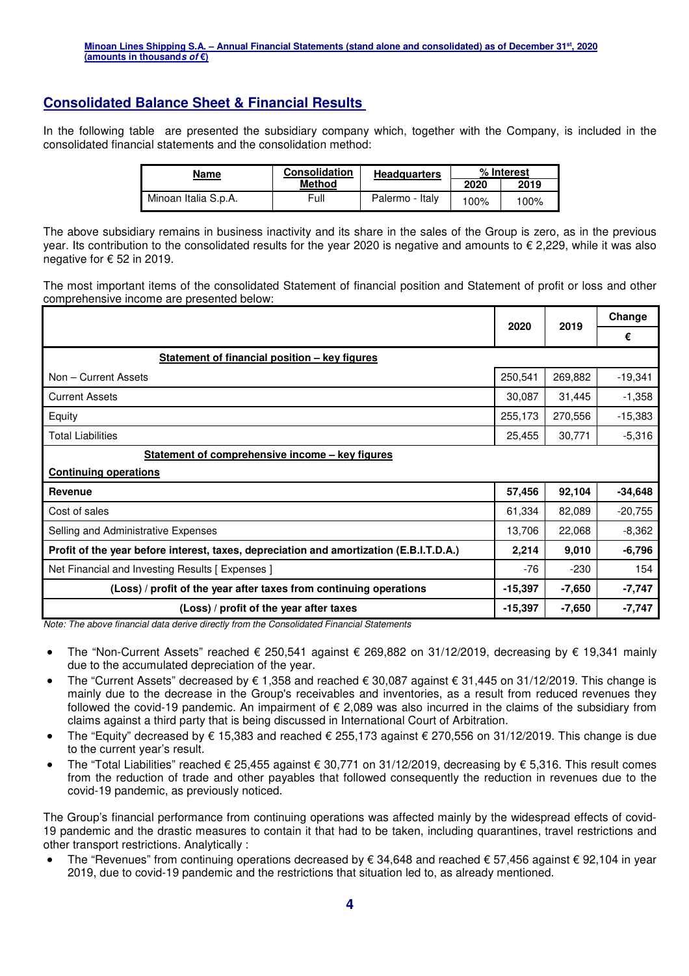## **Consolidated Balance Sheet & Financial Results**

In the following table are presented the subsidiary company which, together with the Company, is included in the consolidated financial statements and the consolidation method:

| Name                 | <b>Consolidation</b> | <b>Headquarters</b> | % Interest |      |  |
|----------------------|----------------------|---------------------|------------|------|--|
|                      | <b>Method</b>        |                     | 2020       | 2019 |  |
| Minoan Italia S.p.A. | Full                 | Palermo - Italv     | 100%       | 100% |  |

The above subsidiary remains in business inactivity and its share in the sales of the Group is zero, as in the previous year. Its contribution to the consolidated results for the year 2020 is negative and amounts to € 2,229, while it was also negative for € 52 in 2019.

The most important items of the consolidated Statement of financial position and Statement of profit or loss and other comprehensive income are presented below:

|                                                                                         | 2020      |          |           |
|-----------------------------------------------------------------------------------------|-----------|----------|-----------|
|                                                                                         |           | 2019     | €         |
| Statement of financial position - key figures                                           |           |          |           |
| Non - Current Assets                                                                    | 250,541   | 269,882  | $-19,341$ |
| <b>Current Assets</b>                                                                   | 30,087    | 31,445   | $-1,358$  |
| Equity                                                                                  | 255,173   | 270,556  | $-15,383$ |
| <b>Total Liabilities</b>                                                                | 25,455    | 30,771   | $-5,316$  |
| Statement of comprehensive income - key figures                                         |           |          |           |
| <b>Continuing operations</b>                                                            |           |          |           |
| Revenue                                                                                 | 57,456    | 92,104   | $-34,648$ |
| Cost of sales                                                                           | 61,334    | 82,089   | $-20,755$ |
| Selling and Administrative Expenses                                                     | 13,706    | 22,068   | $-8,362$  |
| Profit of the year before interest, taxes, depreciation and amortization (E.B.I.T.D.A.) | 2,214     | 9,010    | $-6,796$  |
| Net Financial and Investing Results [Expenses]                                          | -76       | $-230$   | 154       |
| (Loss) / profit of the year after taxes from continuing operations                      | $-15,397$ | $-7,650$ | $-7,747$  |
| (Loss) / profit of the year after taxes                                                 | $-15,397$ | $-7,650$ | $-7,747$  |

Note: The above financial data derive directly from the Consolidated Financial Statements

- The "Non-Current Assets" reached € 250,541 against € 269,882 on 31/12/2019, decreasing by € 19,341 mainly due to the accumulated depreciation of the year.
- The "Current Assets" decreased by € 1,358 and reached € 30,087 against € 31,445 on 31/12/2019. This change is mainly due to the decrease in the Group's receivables and inventories, as a result from reduced revenues they followed the covid-19 pandemic. An impairment of € 2,089 was also incurred in the claims of the subsidiary from claims against a third party that is being discussed in International Court of Arbitration.
- The "Equity" decreased by € 15,383 and reached € 255,173 against € 270,556 on 31/12/2019. This change is due to the current year's result.
- The "Total Liabilities" reached € 25,455 against € 30,771 on 31/12/2019, decreasing by € 5,316. This result comes from the reduction of trade and other payables that followed consequently the reduction in revenues due to the covid-19 pandemic, as previously noticed.

The Group's financial performance from continuing operations was affected mainly by the widespread effects of covid-19 pandemic and the drastic measures to contain it that had to be taken, including quarantines, travel restrictions and other transport restrictions. Analytically :

 The "Revenues" from continuing operations decreased by € 34,648 and reached € 57,456 against € 92,104 in year 2019, due to covid-19 pandemic and the restrictions that situation led to, as already mentioned.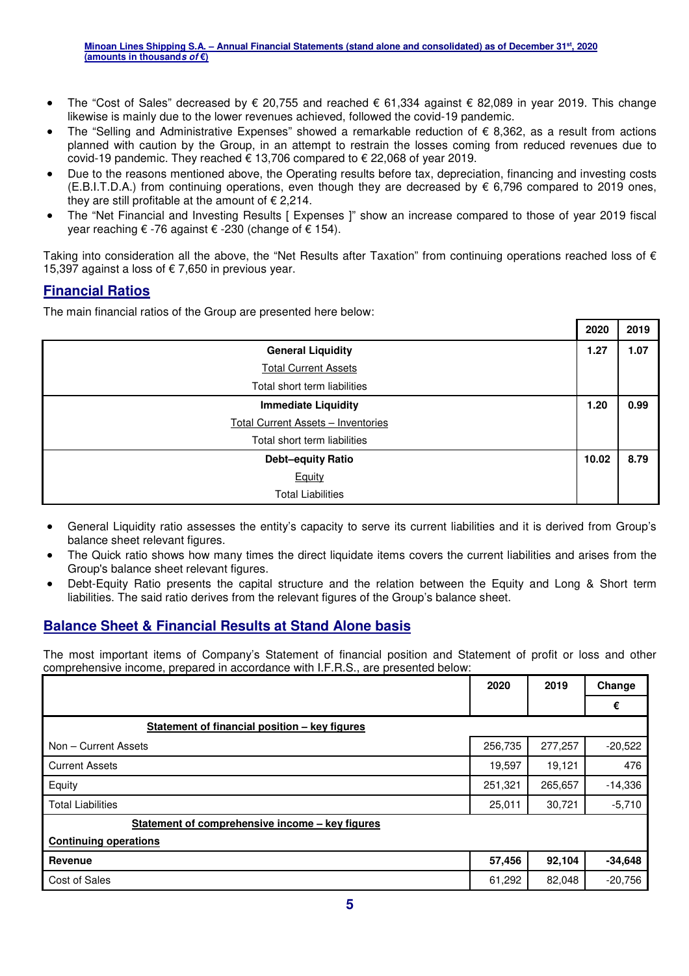- The "Cost of Sales" decreased by  $\epsilon$  20,755 and reached  $\epsilon$  61,334 against  $\epsilon$  82,089 in year 2019. This change likewise is mainly due to the lower revenues achieved, followed the covid-19 pandemic.
- The "Selling and Administrative Expenses" showed a remarkable reduction of  $\epsilon$  8,362, as a result from actions planned with caution by the Group, in an attempt to restrain the losses coming from reduced revenues due to covid-19 pandemic. They reached  $\epsilon$  13,706 compared to  $\epsilon$  22,068 of year 2019.
- Due to the reasons mentioned above, the Operating results before tax, depreciation, financing and investing costs (E.B.I.T.D.A.) from continuing operations, even though they are decreased by  $\epsilon$  6,796 compared to 2019 ones, they are still profitable at the amount of  $\epsilon$  2,214.
- The "Net Financial and Investing Results [ Expenses ]" show an increase compared to those of year 2019 fiscal year reaching € -76 against € -230 (change of € 154).

Taking into consideration all the above, the "Net Results after Taxation" from continuing operations reached loss of  $\epsilon$ 15,397 against a loss of  $\epsilon$  7,650 in previous year.

## **Financial Ratios**

The main financial ratios of the Group are presented here below:

|                                           | 2020  | 2019 |
|-------------------------------------------|-------|------|
| <b>General Liquidity</b>                  | 1.27  | 1.07 |
| <b>Total Current Assets</b>               |       |      |
| Total short term liabilities              |       |      |
| <b>Immediate Liquidity</b>                | 1.20  | 0.99 |
| <b>Total Current Assets - Inventories</b> |       |      |
| Total short term liabilities              |       |      |
| <b>Debt-equity Ratio</b>                  | 10.02 | 8.79 |
| Equity                                    |       |      |
| <b>Total Liabilities</b>                  |       |      |

- General Liquidity ratio assesses the entity's capacity to serve its current liabilities and it is derived from Group's balance sheet relevant figures.
- The Quick ratio shows how many times the direct liquidate items covers the current liabilities and arises from the Group's balance sheet relevant figures.
- Debt-Equity Ratio presents the capital structure and the relation between the Equity and Long & Short term liabilities. The said ratio derives from the relevant figures of the Group's balance sheet.

## **Balance Sheet & Financial Results at Stand Alone basis**

The most important items of Company's Statement of financial position and Statement of profit or loss and other comprehensive income, prepared in accordance with I.F.R.S., are presented below:

|                                                 | 2020    | 2019    | Change    |
|-------------------------------------------------|---------|---------|-----------|
|                                                 |         |         | €         |
| Statement of financial position - key figures   |         |         |           |
| Non - Current Assets                            | 256,735 | 277,257 | $-20,522$ |
| <b>Current Assets</b>                           | 19,597  | 19,121  | 476       |
| Equity                                          | 251,321 | 265,657 | $-14,336$ |
| <b>Total Liabilities</b>                        | 25,011  | 30,721  | $-5,710$  |
| Statement of comprehensive income - key figures |         |         |           |
| <b>Continuing operations</b>                    |         |         |           |
| Revenue                                         | 57,456  | 92,104  | $-34,648$ |
| Cost of Sales                                   | 61,292  | 82,048  | $-20,756$ |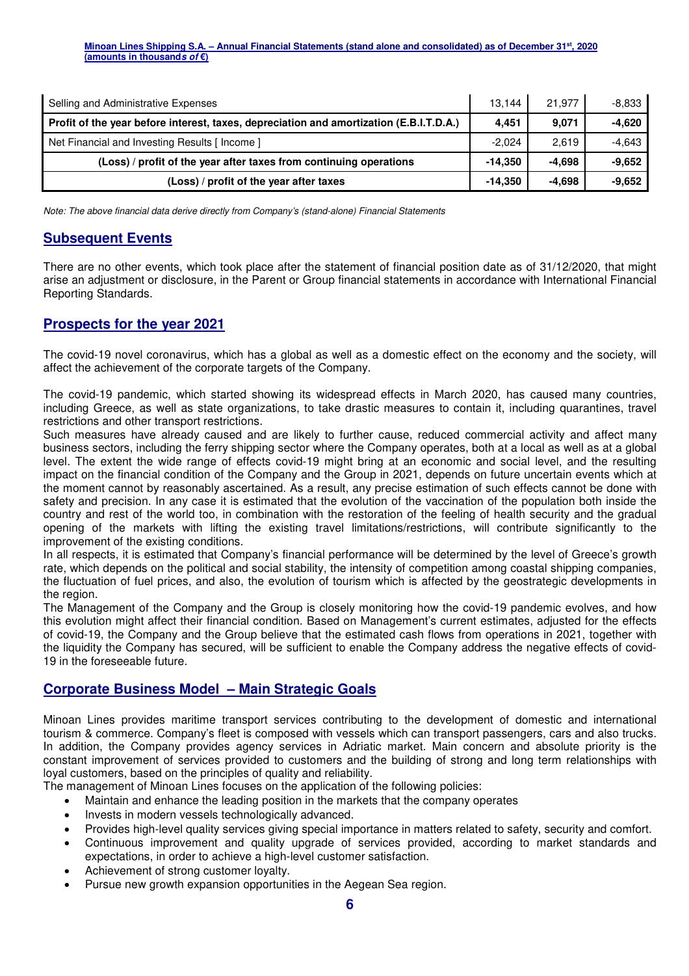| Selling and Administrative Expenses                                                     | 13.144    | 21.977   | $-8.833$ |
|-----------------------------------------------------------------------------------------|-----------|----------|----------|
| Profit of the year before interest, taxes, depreciation and amortization (E.B.I.T.D.A.) | 4.451     | 9.071    | $-4,620$ |
| Net Financial and Investing Results [Income]                                            | $-2.024$  | 2.619    | -4.643   |
| (Loss) / profit of the year after taxes from continuing operations                      | $-14.350$ | -4.698   | $-9,652$ |
| (Loss) / profit of the year after taxes                                                 | $-14.350$ | $-4.698$ | $-9,652$ |

Note: The above financial data derive directly from Company's (stand-alone) Financial Statements

#### **Subsequent Events**

There are no other events, which took place after the statement of financial position date as of 31/12/2020, that might arise an adjustment or disclosure, in the Parent or Group financial statements in accordance with International Financial Reporting Standards.

#### **Prospects for the year 2021**

The covid-19 novel coronavirus, which has a global as well as a domestic effect on the economy and the society, will affect the achievement of the corporate targets of the Company.

The covid-19 pandemic, which started showing its widespread effects in March 2020, has caused many countries, including Greece, as well as state organizations, to take drastic measures to contain it, including quarantines, travel restrictions and other transport restrictions.

Such measures have already caused and are likely to further cause, reduced commercial activity and affect many business sectors, including the ferry shipping sector where the Company operates, both at a local as well as at a global level. The extent the wide range of effects covid-19 might bring at an economic and social level, and the resulting impact on the financial condition of the Company and the Group in 2021, depends on future uncertain events which at the moment cannot by reasonably ascertained. As a result, any precise estimation of such effects cannot be done with safety and precision. In any case it is estimated that the evolution of the vaccination of the population both inside the country and rest of the world too, in combination with the restoration of the feeling of health security and the gradual opening of the markets with lifting the existing travel limitations/restrictions, will contribute significantly to the improvement of the existing conditions.

In all respects, it is estimated that Company's financial performance will be determined by the level of Greece's growth rate, which depends on the political and social stability, the intensity of competition among coastal shipping companies, the fluctuation of fuel prices, and also, the evolution of tourism which is affected by the geostrategic developments in the region.

The Management of the Company and the Group is closely monitoring how the covid-19 pandemic evolves, and how this evolution might affect their financial condition. Based on Management's current estimates, adjusted for the effects of covid-19, the Company and the Group believe that the estimated cash flows from operations in 2021, together with the liquidity the Company has secured, will be sufficient to enable the Company address the negative effects of covid-19 in the foreseeable future.

#### **Corporate Business Model – Main Strategic Goals**

Minoan Lines provides maritime transport services contributing to the development of domestic and international tourism & commerce. Company's fleet is composed with vessels which can transport passengers, cars and also trucks. In addition, the Company provides agency services in Adriatic market. Main concern and absolute priority is the constant improvement of services provided to customers and the building of strong and long term relationships with loyal customers, based on the principles of quality and reliability.

The management of Minoan Lines focuses on the application of the following policies:

- Maintain and enhance the leading position in the markets that the company operates
- Invests in modern vessels technologically advanced.
- Provides high-level quality services giving special importance in matters related to safety, security and comfort.
- Continuous improvement and quality upgrade of services provided, according to market standards and expectations, in order to achieve a high-level customer satisfaction.
- Achievement of strong customer loyalty.
- Pursue new growth expansion opportunities in the Aegean Sea region.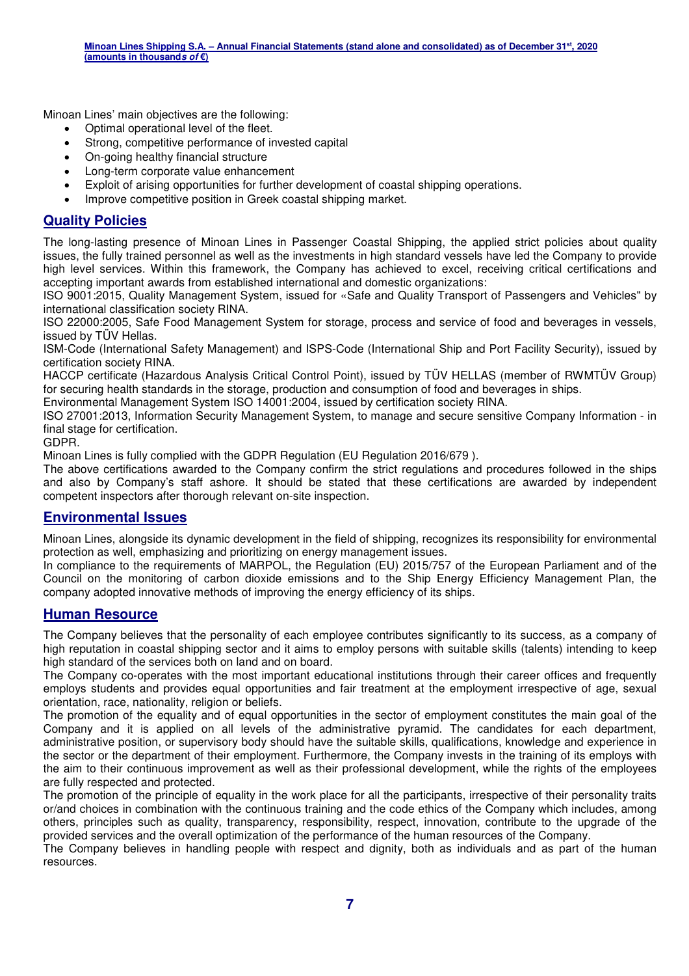Minoan Lines' main objectives are the following:

- Optimal operational level of the fleet.
- Strong, competitive performance of invested capital
- On-going healthy financial structure
- Long-term corporate value enhancement
- Exploit of arising opportunities for further development of coastal shipping operations.
- Improve competitive position in Greek coastal shipping market.

### **Quality Policies**

The long-lasting presence of Minoan Lines in Passenger Coastal Shipping, the applied strict policies about quality issues, the fully trained personnel as well as the investments in high standard vessels have led the Company to provide high level services. Within this framework, the Company has achieved to excel, receiving critical certifications and accepting important awards from established international and domestic organizations:

ISO 9001:2015, Quality Management System, issued for «Safe and Quality Transport of Passengers and Vehicles" by international classification society RINA.

ISO 22000:2005, Safe Food Management System for storage, process and service of food and beverages in vessels, issued by TÜV Hellas.

ISM-Code (International Safety Management) and ISPS-Code (International Ship and Port Facility Security), issued by certification society RINA.

HACCP certificate (Hazardous Analysis Critical Control Point), issued by ΤÜV HELLAS (member of RWMTÜV Group) for securing health standards in the storage, production and consumption of food and beverages in ships.

Environmental Management System ISO 14001:2004, issued by certification society RINA.

ISO 27001:2013, Information Security Management System, to manage and secure sensitive Company Information - in final stage for certification.

GDPR.

Minoan Lines is fully complied with the GDPR Regulation (EU Regulation 2016/679 ).

The above certifications awarded to the Company confirm the strict regulations and procedures followed in the ships and also by Company's staff ashore. It should be stated that these certifications are awarded by independent competent inspectors after thorough relevant on-site inspection.

#### **Environmental Issues**

Minoan Lines, alongside its dynamic development in the field of shipping, recognizes its responsibility for environmental protection as well, emphasizing and prioritizing on energy management issues.

In compliance to the requirements of MARPOL, the Regulation (EU) 2015/757 of the European Parliament and of the Council on the monitoring of carbon dioxide emissions and to the Ship Energy Efficiency Management Plan, the company adopted innovative methods of improving the energy efficiency of its ships.

#### **Human Resource**

The Company believes that the personality of each employee contributes significantly to its success, as a company of high reputation in coastal shipping sector and it aims to employ persons with suitable skills (talents) intending to keep high standard of the services both on land and on board.

The Company co-operates with the most important educational institutions through their career offices and frequently employs students and provides equal opportunities and fair treatment at the employment irrespective of age, sexual orientation, race, nationality, religion or beliefs.

The promotion of the equality and of equal opportunities in the sector of employment constitutes the main goal of the Company and it is applied on all levels of the administrative pyramid. The candidates for each department, administrative position, or supervisory body should have the suitable skills, qualifications, knowledge and experience in the sector or the department of their employment. Furthermore, the Company invests in the training of its employs with the aim to their continuous improvement as well as their professional development, while the rights of the employees are fully respected and protected.

The promotion of the principle of equality in the work place for all the participants, irrespective of their personality traits or/and choices in combination with the continuous training and the code ethics of the Company which includes, among others, principles such as quality, transparency, responsibility, respect, innovation, contribute to the upgrade of the provided services and the overall optimization of the performance of the human resources of the Company.

The Company believes in handling people with respect and dignity, both as individuals and as part of the human resources.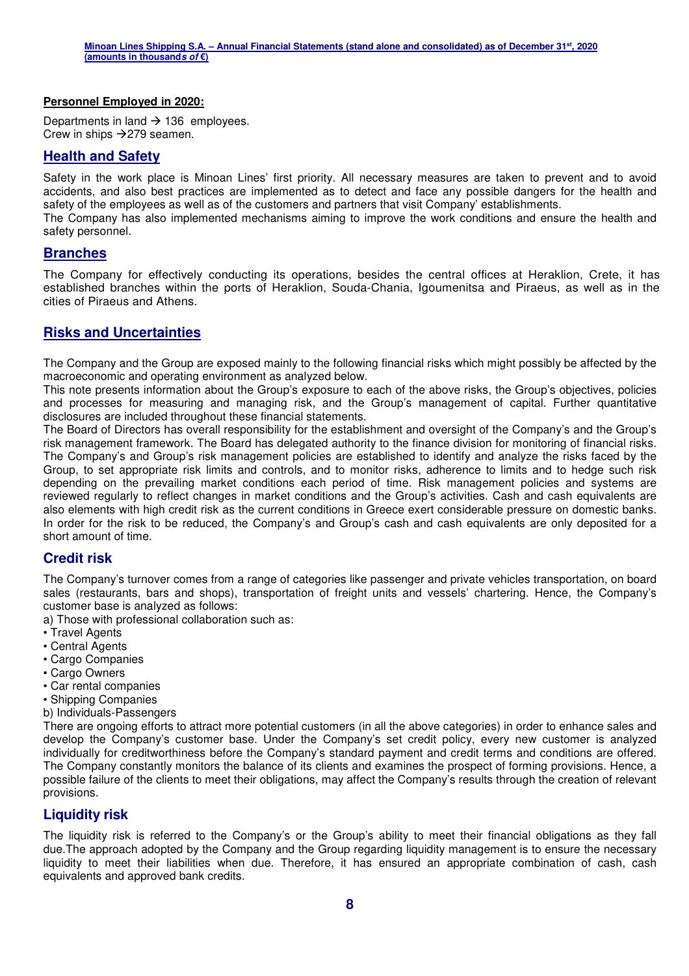#### **Personnel Employed in 2020:**

Departments in land  $\rightarrow$  136 employees. Crew in ships  $\rightarrow$  279 seamen.

#### **Health and Safety**

Safety in the work place is Minoan Lines' first priority. All necessary measures are taken to prevent and to avoid accidents, and also best practices are implemented as to detect and face any possible dangers for the health and safety of the employees as well as of the customers and partners that visit Company' establishments.

The Company has also implemented mechanisms aiming to improve the work conditions and ensure the health and safety personnel.

#### **Branches**

The Company for effectively conducting its operations, besides the central offices at Heraklion, Crete, it has established branches within the ports of Heraklion, Souda-Chania, Igoumenitsa and Piraeus, as well as in the cities of Piraeus and Athens.

#### **Risks and Uncertainties**

The Company and the Group are exposed mainly to the following financial risks which might possibly be affected by the macroeconomic and operating environment as analyzed below.

This note presents information about the Group's exposure to each of the above risks, the Group's objectives, policies and processes for measuring and managing risk, and the Group's management of capital. Further quantitative disclosures are included throughout these financial statements.

The Board of Directors has overall responsibility for the establishment and oversight of the Company's and the Group's risk management framework. The Board has delegated authority to the finance division for monitoring of financial risks. The Company's and Group's risk management policies are established to identify and analyze the risks faced by the Group, to set appropriate risk limits and controls, and to monitor risks, adherence to limits and to hedge such risk depending on the prevailing market conditions each period of time. Risk management policies and systems are reviewed regularly to reflect changes in market conditions and the Group's activities. Cash and cash equivalents are also elements with high credit risk as the current conditions in Greece exert considerable pressure on domestic banks. In order for the risk to be reduced, the Company's and Group's cash and cash equivalents are only deposited for a short amount of time.

#### **Credit risk**

The Company's turnover comes from a range of categories like passenger and private vehicles transportation, on board sales (restaurants, bars and shops), transportation of freight units and vessels' chartering. Hence, the Company's customer base is analyzed as follows:

a) Those with professional collaboration such as:

- Travel Agents
- Central Agents
- Cargo Companies
- Cargo Owners
- Car rental companies
- Shipping Companies
- b) Individuals-Passengers

There are ongoing efforts to attract more potential customers (in all the above categories) in order to enhance sales and develop the Company's customer base. Under the Company's set credit policy, every new customer is analyzed individually for creditworthiness before the Company's standard payment and credit terms and conditions are offered. The Company constantly monitors the balance of its clients and examines the prospect of forming provisions. Hence, a possible failure of the clients to meet their obligations, may affect the Company's results through the creation of relevant provisions.

#### **Liquidity risk**

The liquidity risk is referred to the Company's or the Group's ability to meet their financial obligations as they fall due.The approach adopted by the Company and the Group regarding liquidity management is to ensure the necessary liquidity to meet their liabilities when due. Therefore, it has ensured an appropriate combination of cash, cash equivalents and approved bank credits.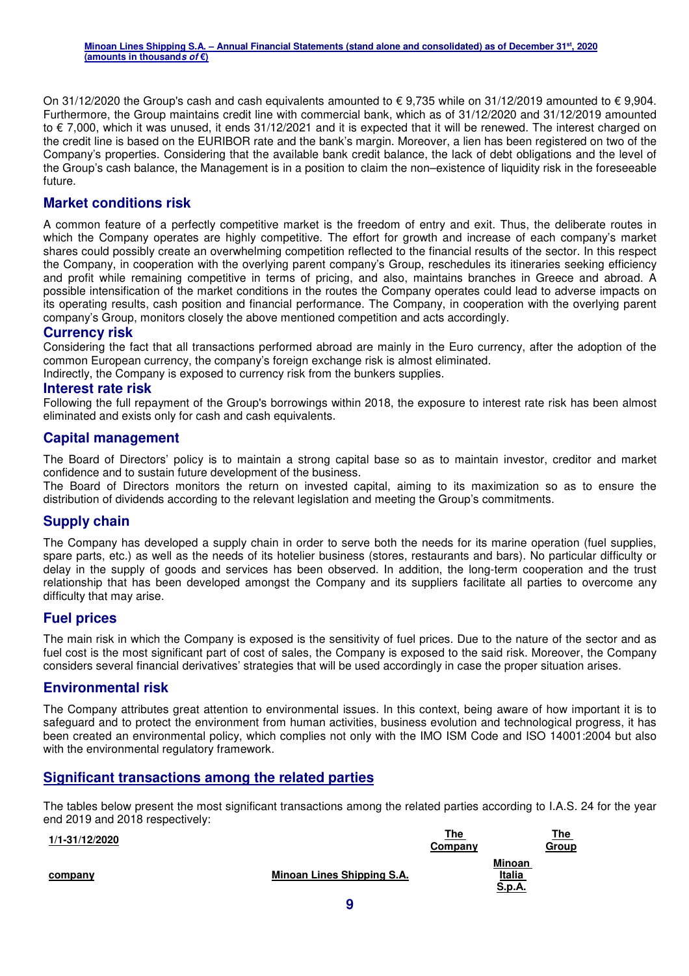On 31/12/2020 the Group's cash and cash equivalents amounted to  $\epsilon$  9,735 while on 31/12/2019 amounted to  $\epsilon$  9,904. Furthermore, the Group maintains credit line with commercial bank, which as of 31/12/2020 and 31/12/2019 amounted to € 7,000, which it was unused, it ends 31/12/2021 and it is expected that it will be renewed. The interest charged on the credit line is based on the EURIBOR rate and the bank's margin. Moreover, a lien has been registered on two of the Company's properties. Considering that the available bank credit balance, the lack of debt obligations and the level of the Group's cash balance, the Management is in a position to claim the non–existence of liquidity risk in the foreseeable future.

#### **Market conditions risk**

A common feature of a perfectly competitive market is the freedom of entry and exit. Thus, the deliberate routes in which the Company operates are highly competitive. The effort for growth and increase of each company's market shares could possibly create an overwhelming competition reflected to the financial results of the sector. In this respect the Company, in cooperation with the overlying parent company's Group, reschedules its itineraries seeking efficiency and profit while remaining competitive in terms of pricing, and also, maintains branches in Greece and abroad. A possible intensification of the market conditions in the routes the Company operates could lead to adverse impacts on its operating results, cash position and financial performance. The Company, in cooperation with the overlying parent company's Group, monitors closely the above mentioned competition and acts accordingly.

#### **Currency risk**

Considering the fact that all transactions performed abroad are mainly in the Euro currency, after the adoption of the common European currency, the company's foreign exchange risk is almost eliminated.

Indirectly, the Company is exposed to currency risk from the bunkers supplies.

#### **Interest rate risk**

Following the full repayment of the Group's borrowings within 2018, the exposure to interest rate risk has been almost eliminated and exists only for cash and cash equivalents.

#### **Capital management**

The Board of Directors' policy is to maintain a strong capital base so as to maintain investor, creditor and market confidence and to sustain future development of the business.

The Board of Directors monitors the return on invested capital, aiming to its maximization so as to ensure the distribution of dividends according to the relevant legislation and meeting the Group's commitments.

#### **Supply chain**

The Company has developed a supply chain in order to serve both the needs for its marine operation (fuel supplies, spare parts, etc.) as well as the needs of its hotelier business (stores, restaurants and bars). No particular difficulty or delay in the supply of goods and services has been observed. In addition, the long-term cooperation and the trust relationship that has been developed amongst the Company and its suppliers facilitate all parties to overcome any difficulty that may arise.

#### **Fuel prices**

The main risk in which the Company is exposed is the sensitivity of fuel prices. Due to the nature of the sector and as fuel cost is the most significant part of cost of sales, the Company is exposed to the said risk. Moreover, the Company considers several financial derivatives' strategies that will be used accordingly in case the proper situation arises.

#### **Environmental risk**

The Company attributes great attention to environmental issues. In this context, being aware of how important it is to safeguard and to protect the environment from human activities, business evolution and technological progress, it has been created an environmental policy, which complies not only with the IMO ISM Code and ISO 14001:2004 but also with the environmental regulatory framework.

#### **Significant transactions among the related parties**

The tables below present the most significant transactions among the related parties according to I.A.S. 24 for the year end 2019 and 2018 respectively:

| 1/1-31/12/2020 |                            | The<br>Company |                                          | <u>The</u><br>Group |
|----------------|----------------------------|----------------|------------------------------------------|---------------------|
| company        | Minoan Lines Shipping S.A. |                | <b>Minoan</b><br><b>Italia</b><br>S.p.A. |                     |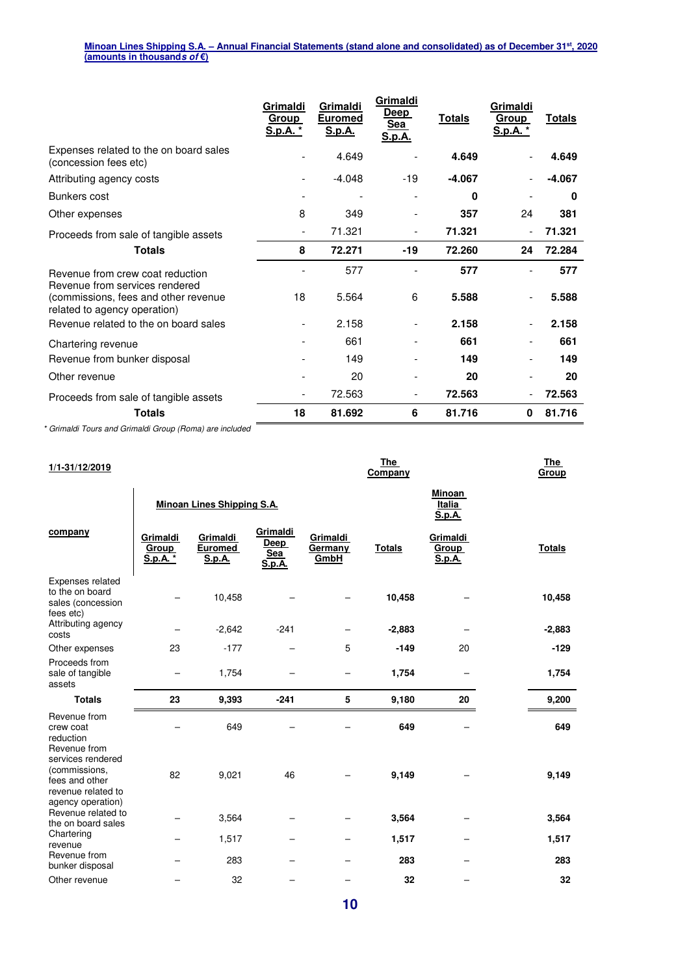|                                                                      | Grimaldi<br>Group<br><u>S.p.A. *</u> | Grimaldi<br><b>Euromed</b><br>S.p.A. | Grimaldi<br>Deep<br>Sea<br><u>S.p.A.</u> | <b>Totals</b> | Grimaldi<br>Group<br><u>S.p.A. *</u> | <u>Totals</u> |
|----------------------------------------------------------------------|--------------------------------------|--------------------------------------|------------------------------------------|---------------|--------------------------------------|---------------|
| Expenses related to the on board sales<br>(concession fees etc)      |                                      | 4.649                                |                                          | 4.649         |                                      | 4.649         |
| Attributing agency costs                                             |                                      | $-4.048$                             | $-19$                                    | $-4.067$      |                                      | $-4.067$      |
| Bunkers cost                                                         |                                      |                                      |                                          | 0             |                                      | 0             |
| Other expenses                                                       | 8                                    | 349                                  |                                          | 357           | 24                                   | 381           |
| Proceeds from sale of tangible assets                                |                                      | 71.321                               | $\overline{\phantom{0}}$                 | 71.321        |                                      | 71.321        |
| <b>Totals</b>                                                        | 8                                    | 72.271                               | $-19$                                    | 72.260        | 24                                   | 72.284        |
| Revenue from crew coat reduction<br>Revenue from services rendered   |                                      | 577                                  |                                          | 577           |                                      | 577           |
| (commissions, fees and other revenue<br>related to agency operation) | 18                                   | 5.564                                | 6                                        | 5.588         |                                      | 5.588         |
| Revenue related to the on board sales                                |                                      | 2.158                                | $\overline{\phantom{0}}$                 | 2.158         | $\overline{\phantom{0}}$             | 2.158         |
| Chartering revenue                                                   |                                      | 661                                  |                                          | 661           |                                      | 661           |
| Revenue from bunker disposal                                         |                                      | 149                                  |                                          | 149           |                                      | 149           |
| Other revenue                                                        |                                      | 20                                   |                                          | 20            |                                      | 20            |
| Proceeds from sale of tangible assets                                |                                      | 72.563                               |                                          | 72.563        |                                      | 72.563        |
| <b>Totals</b>                                                        | 18                                   | 81.692                               | 6                                        | 81.716        | 0                                    | 81.716        |

\* Grimaldi Tours and Grimaldi Group (Roma) are included

| 1/1-31/12/2019                                                                                  |                             |                                      |                                                 |                             | <b>The</b><br>Company             |                                    |               |  |
|-------------------------------------------------------------------------------------------------|-----------------------------|--------------------------------------|-------------------------------------------------|-----------------------------|-----------------------------------|------------------------------------|---------------|--|
|                                                                                                 |                             | <b>Minoan Lines Shipping S.A.</b>    |                                                 |                             | Minoan<br><b>Italia</b><br>S.p.A. |                                    |               |  |
| company                                                                                         | Grimaldi<br>Group<br>S.p.A. | Grimaldi<br><b>Euromed</b><br>S.p.A. | Grimaldi<br><u>Deep</u><br>Sea<br><b>S.p.A.</b> | Grimaldi<br>Germany<br>GmbH | <b>Totals</b>                     | Grimaldi<br>Group<br><b>S.p.A.</b> | <b>Totals</b> |  |
| Expenses related<br>to the on board<br>sales (concession<br>fees etc)                           |                             | 10,458                               |                                                 |                             | 10,458                            |                                    | 10,458        |  |
| Attributing agency<br>costs                                                                     |                             | $-2,642$                             | $-241$                                          |                             | $-2,883$                          |                                    | $-2,883$      |  |
| Other expenses                                                                                  | 23                          | $-177$                               |                                                 | 5                           | $-149$                            | 20                                 | $-129$        |  |
| Proceeds from<br>sale of tangible<br>assets                                                     |                             | 1,754                                |                                                 |                             | 1,754                             |                                    | 1,754         |  |
| <b>Totals</b>                                                                                   | 23                          | 9,393                                | $-241$                                          | 5                           | 9,180                             | 20                                 | 9,200         |  |
| Revenue from<br>crew coat<br>reduction<br>Revenue from                                          |                             | 649                                  |                                                 |                             | 649                               |                                    | 649           |  |
| services rendered<br>(commissions,<br>fees and other<br>revenue related to<br>agency operation) | 82                          | 9,021                                | 46                                              |                             | 9,149                             |                                    | 9,149         |  |
| Revenue related to<br>the on board sales                                                        |                             | 3,564                                |                                                 |                             | 3,564                             |                                    | 3,564         |  |
| Chartering<br>revenue                                                                           |                             | 1,517                                |                                                 |                             | 1,517                             | -                                  | 1,517         |  |
| Revenue from<br>bunker disposal                                                                 |                             | 283                                  |                                                 |                             | 283                               |                                    | 283           |  |
| Other revenue                                                                                   |                             | 32                                   |                                                 |                             | 32                                |                                    | 32            |  |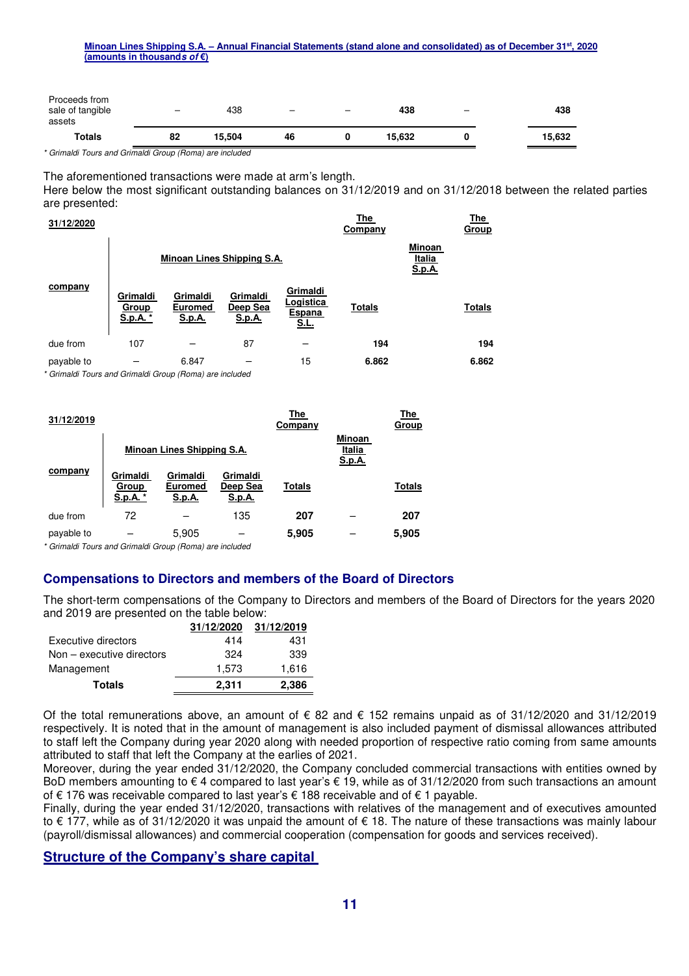| assets<br><b>Totals</b>           | 82                       | 15,504 | 46                       |                          | 15,632 |                          | 15,632 |
|-----------------------------------|--------------------------|--------|--------------------------|--------------------------|--------|--------------------------|--------|
| Proceeds from<br>sale of tangible | $\overline{\phantom{0}}$ | 438    | $\overline{\phantom{0}}$ | $\overline{\phantom{0}}$ | 438    | $\overline{\phantom{0}}$ | 438    |

\* Grimaldi Tours and Grimaldi Group (Roma) are included

The aforementioned transactions were made at arm's length.

Here below the most significant outstanding balances on 31/12/2019 and on 31/12/2018 between the related parties are presented:

| 31/12/2020 |                               |                                             |                                       |                                                | The<br>Company                           |  | The<br><b>Group</b> |
|------------|-------------------------------|---------------------------------------------|---------------------------------------|------------------------------------------------|------------------------------------------|--|---------------------|
|            |                               | Minoan Lines Shipping S.A.                  |                                       |                                                | Minoan<br><b>Italia</b><br><b>S.p.A.</b> |  |                     |
| company    | Grimaldi<br>Group<br>S.p.A. * | Grimaldi<br><b>Euromed</b><br><u>S.p.A.</u> | Grimaldi<br>Deep Sea<br><u>S.p.A.</u> | Grimaldi<br>Logistica<br>Espana<br><b>S.L.</b> | <b>Totals</b>                            |  | <b>Totals</b>       |
| due from   | 107                           |                                             | 87                                    |                                                | 194                                      |  | 194                 |
| payable to |                               | 6.847                                       |                                       | 15                                             | 6.862                                    |  | 6.862               |

\* Grimaldi Tours and Grimaldi Group (Roma) are included

| 31/12/2019 |                               |                                             |                                       | The<br>Company |                                   | The<br>Group  |
|------------|-------------------------------|---------------------------------------------|---------------------------------------|----------------|-----------------------------------|---------------|
|            |                               | Minoan Lines Shipping S.A.                  |                                       |                | Minoan<br>Italia<br><u>S.p.A.</u> |               |
| company    | Grimaldi<br>Group<br>S.p.A. * | Grimaldi<br><b>Euromed</b><br><u>S.p.A.</u> | Grimaldi<br>Deep Sea<br><u>S.p.A.</u> | <b>Totals</b>  |                                   | <b>Totals</b> |
| due from   | 72                            |                                             | 135                                   | 207            |                                   | 207           |
| payable to |                               | 5,905                                       |                                       | 5,905          |                                   | 5,905         |

\* Grimaldi Tours and Grimaldi Group (Roma) are included

#### **Compensations to Directors and members of the Board of Directors**

The short-term compensations of the Company to Directors and members of the Board of Directors for the years 2020 and 2019 are presented on the table below:

|                             | 31/12/2020 | 31/12/2019 |
|-----------------------------|------------|------------|
| Executive directors         | 414        | 431        |
| $Non - executive$ directors | 324        | 339        |
| Management                  | 1.573      | 1,616      |
| <b>Totals</b>               | 2.311      | 2,386      |

Of the total remunerations above, an amount of € 82 and € 152 remains unpaid as of 31/12/2020 and 31/12/2019 respectively. It is noted that in the amount of management is also included payment of dismissal allowances attributed to staff left the Company during year 2020 along with needed proportion of respective ratio coming from same amounts attributed to staff that left the Company at the earlies of 2021.

Moreover, during the year ended 31/12/2020, the Company concluded commercial transactions with entities owned by BoD members amounting to € 4 compared to last year's € 19, while as of 31/12/2020 from such transactions an amount of € 176 was receivable compared to last year's € 188 receivable and of € 1 payable.

Finally, during the year ended 31/12/2020, transactions with relatives of the management and of executives amounted to € 177, while as of 31/12/2020 it was unpaid the amount of € 18. The nature of these transactions was mainly labour (payroll/dismissal allowances) and commercial cooperation (compensation for goods and services received).

#### **Structure of the Company's share capital**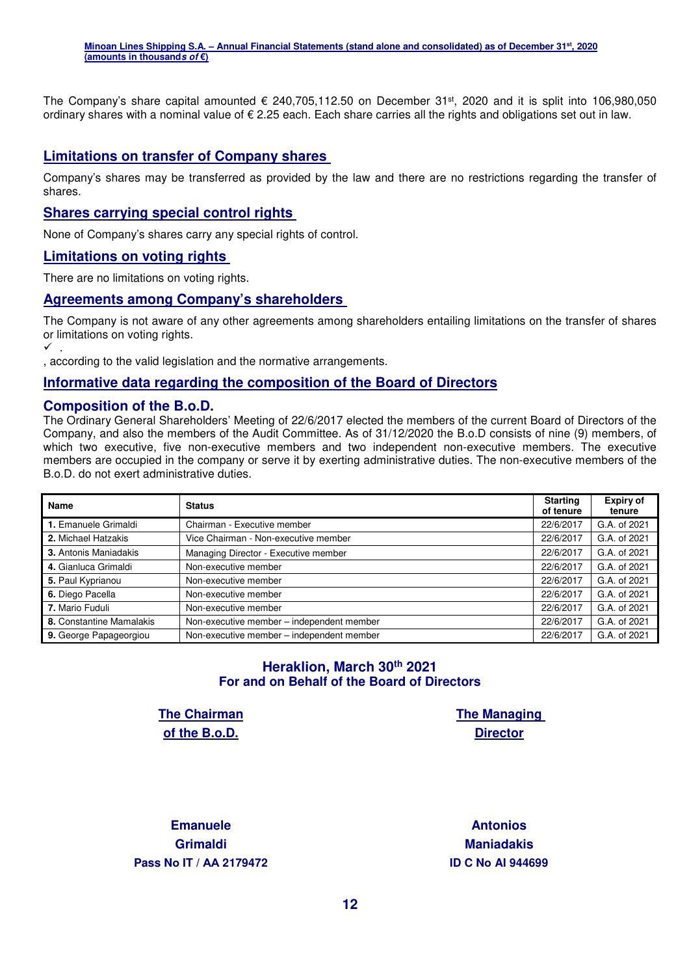The Company's share capital amounted  $\epsilon$  240,705,112.50 on December 31<sup>st</sup>, 2020 and it is split into 106,980,050 ordinary shares with a nominal value of € 2.25 each. Each share carries all the rights and obligations set out in law.

#### **Limitations on transfer of Company shares**

Company's shares may be transferred as provided by the law and there are no restrictions regarding the transfer of shares.

#### **Shares carrying special control rights**

None of Company's shares carry any special rights of control.

#### **Limitations on voting rights**

There are no limitations on voting rights.

#### **Agreements among Company's shareholders**

The Company is not aware of any other agreements among shareholders entailing limitations on the transfer of shares or limitations on voting rights.

 $\checkmark$  .

, according to the valid legislation and the normative arrangements.

#### **Informative data regarding the composition of the Board of Directors**

#### **Composition of the B.o.D.**

The Ordinary General Shareholders' Meeting of 22/6/2017 elected the members of the current Board of Directors of the Company, and also the members of the Audit Committee. As of 31/12/2020 the B.o.D consists of nine (9) members, of which two executive, five non-executive members and two independent non-executive members. The executive members are occupied in the company or serve it by exerting administrative duties. The non-executive members of the B.o.D. do not exert administrative duties.

| Name                     | <b>Status</b>                             | <b>Starting</b><br>of tenure | <b>Expiry of</b><br>tenure |
|--------------------------|-------------------------------------------|------------------------------|----------------------------|
| 1. Emanuele Grimaldi     | Chairman - Executive member               | 22/6/2017                    | G.A. of 2021               |
| 2. Michael Hatzakis      | Vice Chairman - Non-executive member      | 22/6/2017                    | G.A. of 2021               |
| 3. Antonis Maniadakis    | Managing Director - Executive member      | 22/6/2017                    | G.A. of 2021               |
| 4. Gianluca Grimaldi     | Non-executive member                      | 22/6/2017                    | G.A. of 2021               |
| 5. Paul Kyprianou        | Non-executive member                      | 22/6/2017                    | G.A. of 2021               |
| 6. Diego Pacella         | Non-executive member                      | 22/6/2017                    | G.A. of 2021               |
| 7. Mario Fuduli          | Non-executive member                      | 22/6/2017                    | G.A. of 2021               |
| 8. Constantine Mamalakis | Non-executive member - independent member | 22/6/2017                    | G.A. of 2021               |
| 9. George Papageorgiou   | Non-executive member - independent member | 22/6/2017                    | G.A. of 2021               |

#### **Heraklion, March 30th 2021 For and on Behalf of the Board of Directors**

**The Chairman of the B.o.D.** 

**The Managing Director** 

**Emanuele Grimaldi Pass Nο IT / ΑΑ 2179472 ID C Nο AI 944699** 

**Antonios Maniadakis**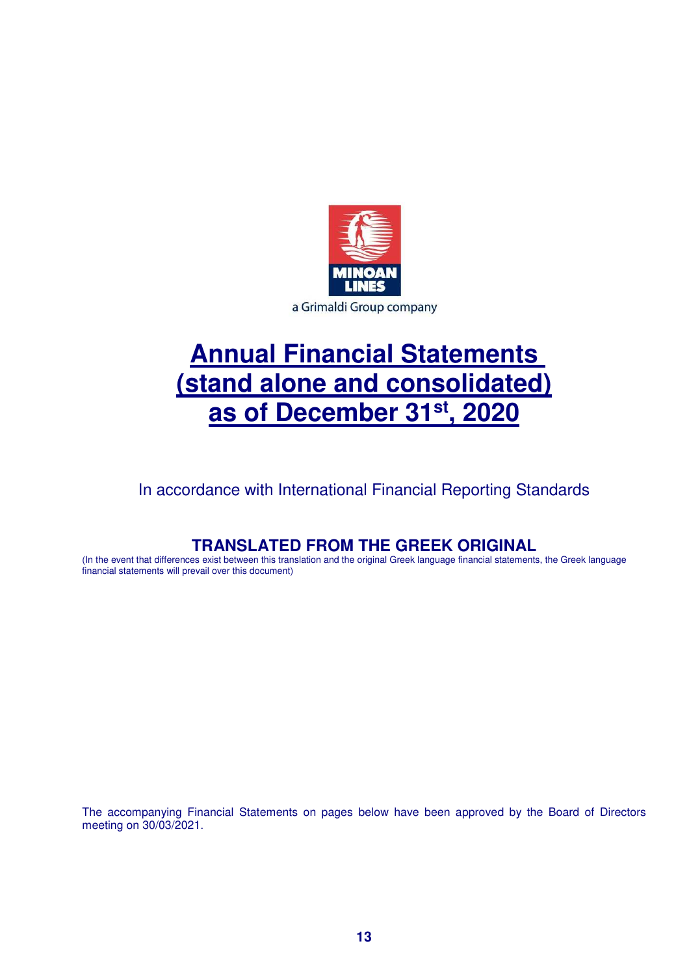

# **Annual Financial Statements (stand alone and consolidated) as of December 31st, 2020**

In accordance with International Financial Reporting Standards

## **TRANSLATED FROM THE GREEK ORIGINAL**

(In the event that differences exist between this translation and the original Greek language financial statements, the Greek language financial statements will prevail over this document)

The accompanying Financial Statements on pages below have been approved by the Board of Directors meeting on 30/03/2021.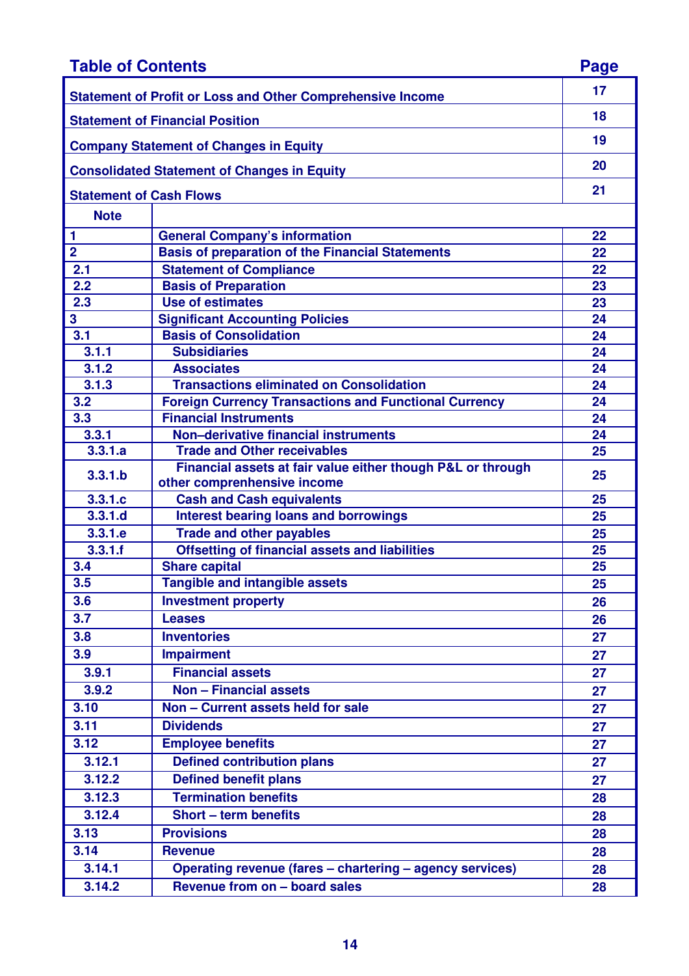| <b>Table of Contents</b>                                          |                                                                                            |    |  |  |
|-------------------------------------------------------------------|--------------------------------------------------------------------------------------------|----|--|--|
| <b>Statement of Profit or Loss and Other Comprehensive Income</b> |                                                                                            |    |  |  |
| <b>Statement of Financial Position</b>                            |                                                                                            |    |  |  |
|                                                                   | <b>Company Statement of Changes in Equity</b>                                              | 19 |  |  |
|                                                                   | <b>Consolidated Statement of Changes in Equity</b>                                         | 20 |  |  |
| <b>Statement of Cash Flows</b>                                    |                                                                                            | 21 |  |  |
| <b>Note</b>                                                       |                                                                                            |    |  |  |
| 1                                                                 | <b>General Company's information</b>                                                       | 22 |  |  |
| $\overline{2}$                                                    | <b>Basis of preparation of the Financial Statements</b>                                    | 22 |  |  |
| 2.1                                                               | <b>Statement of Compliance</b>                                                             | 22 |  |  |
| 2.2                                                               | <b>Basis of Preparation</b>                                                                | 23 |  |  |
| 2.3                                                               | <b>Use of estimates</b>                                                                    | 23 |  |  |
| 3                                                                 | <b>Significant Accounting Policies</b>                                                     | 24 |  |  |
| 3.1                                                               | <b>Basis of Consolidation</b>                                                              | 24 |  |  |
| 3.1.1                                                             | <b>Subsidiaries</b>                                                                        | 24 |  |  |
| 3.1.2                                                             | <b>Associates</b>                                                                          | 24 |  |  |
| 3.1.3                                                             | <b>Transactions eliminated on Consolidation</b>                                            | 24 |  |  |
| 3.2                                                               | <b>Foreign Currency Transactions and Functional Currency</b>                               | 24 |  |  |
| 3.3                                                               | <b>Financial Instruments</b>                                                               | 24 |  |  |
| 3.3.1                                                             | Non-derivative financial instruments                                                       | 24 |  |  |
| 3.3.1.a                                                           | <b>Trade and Other receivables</b>                                                         | 25 |  |  |
| 3.3.1.b                                                           | Financial assets at fair value either though P&L or through<br>other comprenhensive income | 25 |  |  |
| 3.3.1.c                                                           | <b>Cash and Cash equivalents</b>                                                           | 25 |  |  |
| 3.3.1.d                                                           | <b>Interest bearing loans and borrowings</b>                                               | 25 |  |  |
| 3.3.1.e                                                           | <b>Trade and other payables</b>                                                            | 25 |  |  |
| 3.3.1.f                                                           | <b>Offsetting of financial assets and liabilities</b>                                      | 25 |  |  |
| 3.4                                                               | <b>Share capital</b>                                                                       | 25 |  |  |
| 3.5                                                               | <b>Tangible and intangible assets</b>                                                      | 25 |  |  |
| 3.6                                                               | <b>Investment property</b>                                                                 | 26 |  |  |
| 3.7                                                               | <b>Leases</b>                                                                              | 26 |  |  |
| 3.8                                                               | <b>Inventories</b>                                                                         | 27 |  |  |
| 3.9                                                               | <b>Impairment</b>                                                                          | 27 |  |  |
| 3.9.1                                                             | <b>Financial assets</b>                                                                    | 27 |  |  |
| 3.9.2                                                             | <b>Non - Financial assets</b>                                                              | 27 |  |  |
| 3.10                                                              | Non - Current assets held for sale                                                         | 27 |  |  |
| 3.11                                                              | <b>Dividends</b>                                                                           | 27 |  |  |
| 3.12                                                              | <b>Employee benefits</b>                                                                   | 27 |  |  |
| 3.12.1                                                            | <b>Defined contribution plans</b>                                                          | 27 |  |  |
| 3.12.2                                                            | <b>Defined benefit plans</b>                                                               | 27 |  |  |
| 3.12.3                                                            | <b>Termination benefits</b>                                                                |    |  |  |
|                                                                   |                                                                                            | 28 |  |  |
| 3.12.4                                                            | <b>Short - term benefits</b>                                                               | 28 |  |  |
| 3.13                                                              | <b>Provisions</b>                                                                          | 28 |  |  |
| 3.14                                                              | <b>Revenue</b>                                                                             | 28 |  |  |
| 3.14.1                                                            | Operating revenue (fares - chartering - agency services)                                   | 28 |  |  |
| 3.14.2                                                            | Revenue from on - board sales                                                              | 28 |  |  |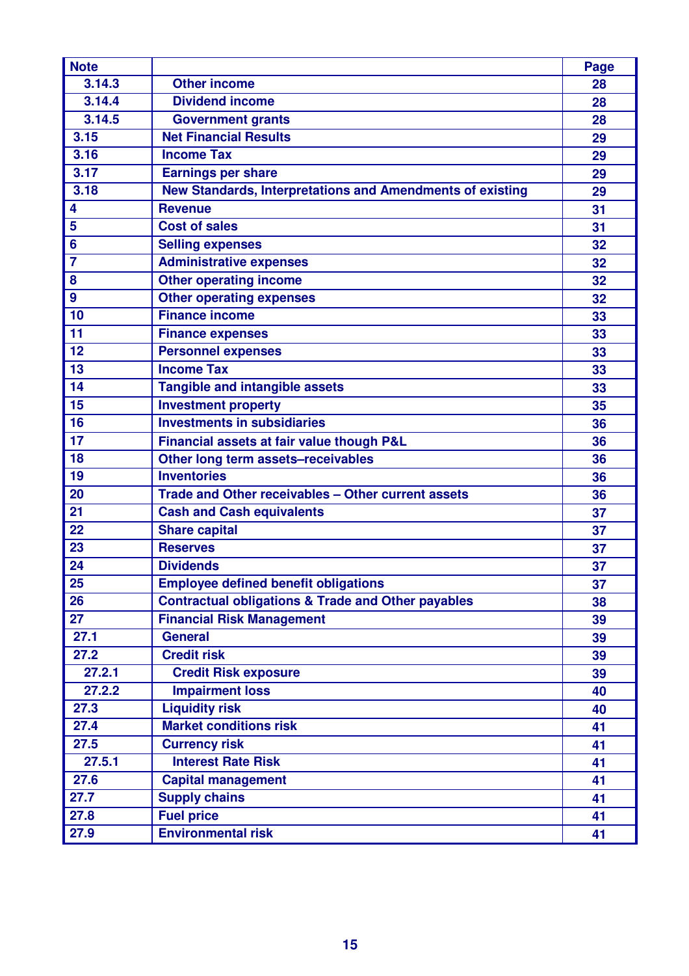| <b>Note</b>    |                                                               | <b>Page</b> |
|----------------|---------------------------------------------------------------|-------------|
| 3.14.3         | <b>Other income</b>                                           | 28          |
| 3.14.4         | <b>Dividend income</b>                                        | 28          |
| 3.14.5         | <b>Government grants</b>                                      | 28          |
| 3.15           | <b>Net Financial Results</b>                                  | 29          |
| 3.16           | <b>Income Tax</b>                                             | 29          |
| 3.17           | <b>Earnings per share</b>                                     | 29          |
| 3.18           | New Standards, Interpretations and Amendments of existing     | 29          |
| 4              | <b>Revenue</b>                                                | 31          |
| 5              | <b>Cost of sales</b>                                          | 31          |
| 6              | <b>Selling expenses</b>                                       | 32          |
| $\overline{7}$ | <b>Administrative expenses</b>                                | 32          |
| 8              | <b>Other operating income</b>                                 | 32          |
| 9              | <b>Other operating expenses</b>                               | 32          |
| 10             | <b>Finance income</b>                                         | 33          |
| 11             | <b>Finance expenses</b>                                       | 33          |
| 12             | <b>Personnel expenses</b>                                     | 33          |
| 13             | <b>Income Tax</b>                                             | 33          |
| 14             | <b>Tangible and intangible assets</b>                         | 33          |
| 15             | <b>Investment property</b>                                    | 35          |
| 16             | <b>Investments in subsidiaries</b>                            | 36          |
| 17             | Financial assets at fair value though P&L                     | 36          |
| 18             | Other long term assets-receivables                            | 36          |
| 19             | <b>Inventories</b>                                            | 36          |
| 20             | Trade and Other receivables - Other current assets            | 36          |
| 21             | <b>Cash and Cash equivalents</b>                              | 37          |
| 22             | <b>Share capital</b>                                          | 37          |
| 23             | <b>Reserves</b>                                               | 37          |
| 24             | <b>Dividends</b>                                              | 37          |
| 25             | <b>Employee defined benefit obligations</b>                   | 37          |
| 26             | <b>Contractual obligations &amp; Trade and Other payables</b> | 38          |
| 27             | <b>Financial Risk Management</b>                              | 39          |
| 27.1           | <b>General</b>                                                | 39          |
| 27.2           | <b>Credit risk</b>                                            | 39          |
| 27.2.1         | <b>Credit Risk exposure</b>                                   | 39          |
| 27.2.2         | <b>Impairment loss</b>                                        | 40          |
| 27.3           | <b>Liquidity risk</b>                                         | 40          |
| 27.4           | <b>Market conditions risk</b>                                 | 41          |
| 27.5           | <b>Currency risk</b>                                          | 41          |
| 27.5.1         | <b>Interest Rate Risk</b>                                     | 41          |
| 27.6           | <b>Capital management</b>                                     | 41          |
| 27.7           | <b>Supply chains</b>                                          | 41          |
| 27.8           | <b>Fuel price</b>                                             | 41          |
| 27.9           | <b>Environmental risk</b>                                     | 41          |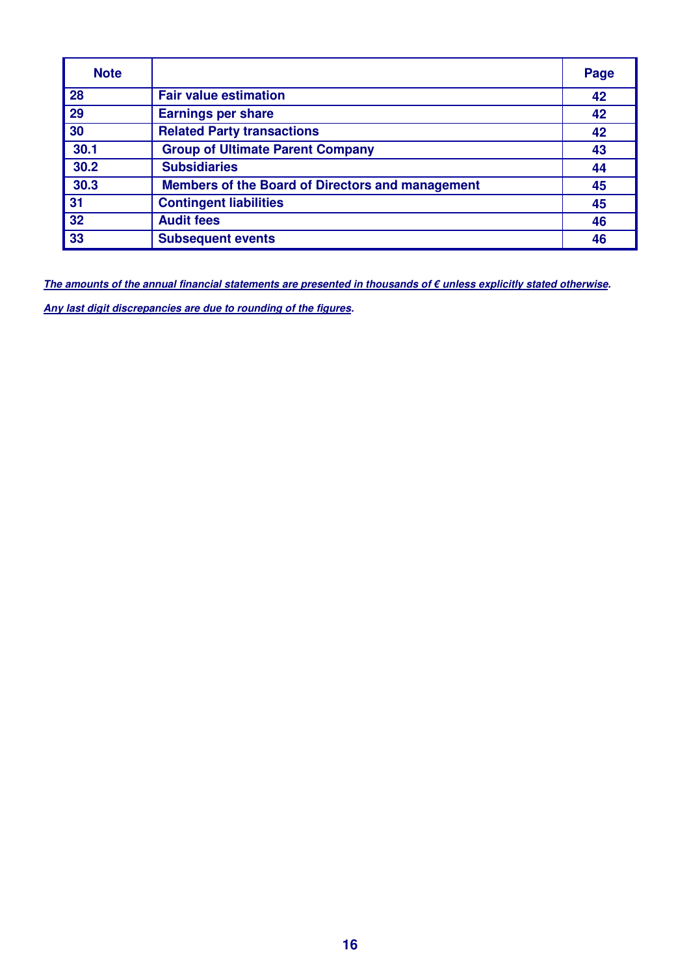| <b>Note</b> |                                                         | Page |
|-------------|---------------------------------------------------------|------|
| 28          | <b>Fair value estimation</b>                            | 42   |
| 29          | <b>Earnings per share</b>                               | 42   |
| 30          | <b>Related Party transactions</b>                       | 42   |
| 30.1        | <b>Group of Ultimate Parent Company</b>                 | 43   |
| 30.2        | <b>Subsidiaries</b>                                     | 44   |
| 30.3        | <b>Members of the Board of Directors and management</b> | 45   |
| 31          | <b>Contingent liabilities</b>                           | 45   |
| 32          | <b>Audit fees</b>                                       | 46   |
| 33          | <b>Subsequent events</b>                                | 46   |

**The amounts of the annual financial statements are presented in thousands of € unless explicitly stated otherwise.** 

**Any last digit discrepancies are due to rounding of the figures.**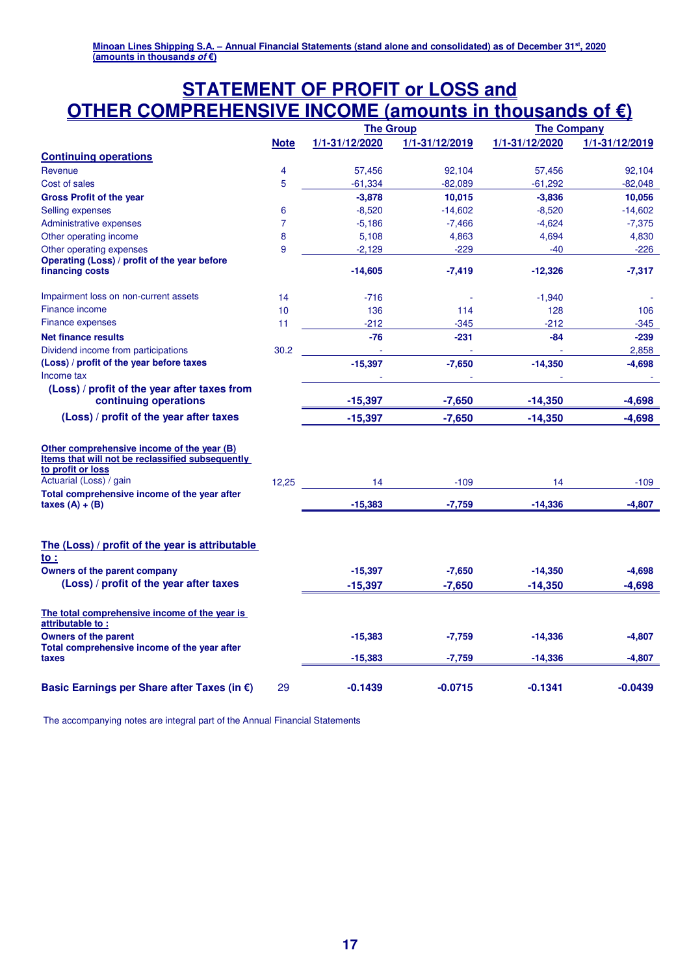## **STATEMENT OF PROFIT or LOSS and OTHER COMPREHENSIVE INCOME (amounts in thousands of €)**

|                                                                                                                                                                                                |                |                |                |                | <b>The Group</b> |  | <b>The Company</b> |  |
|------------------------------------------------------------------------------------------------------------------------------------------------------------------------------------------------|----------------|----------------|----------------|----------------|------------------|--|--------------------|--|
|                                                                                                                                                                                                | <b>Note</b>    | 1/1-31/12/2020 | 1/1-31/12/2019 | 1/1-31/12/2020 | 1/1-31/12/2019   |  |                    |  |
| <b>Continuing operations</b>                                                                                                                                                                   |                |                |                |                |                  |  |                    |  |
| Revenue                                                                                                                                                                                        | 4              | 57,456         | 92,104         | 57,456         | 92,104           |  |                    |  |
| Cost of sales                                                                                                                                                                                  | 5              | $-61,334$      | $-82,089$      | $-61,292$      | $-82,048$        |  |                    |  |
| <b>Gross Profit of the year</b>                                                                                                                                                                |                | $-3,878$       | 10,015         | $-3,836$       | 10,056           |  |                    |  |
| Selling expenses                                                                                                                                                                               | 6              | $-8,520$       | $-14,602$      | $-8,520$       | $-14,602$        |  |                    |  |
| <b>Administrative expenses</b>                                                                                                                                                                 | $\overline{7}$ | $-5,186$       | $-7,466$       | $-4,624$       | $-7,375$         |  |                    |  |
| Other operating income                                                                                                                                                                         | 8              | 5,108          | 4,863          | 4,694          | 4,830            |  |                    |  |
| Other operating expenses                                                                                                                                                                       | 9              | $-2,129$       | $-229$         | $-40$          | $-226$           |  |                    |  |
| Operating (Loss) / profit of the year before<br>financing costs                                                                                                                                |                | $-14,605$      | $-7,419$       | $-12,326$      | $-7,317$         |  |                    |  |
| Impairment loss on non-current assets                                                                                                                                                          | 14             | $-716$         |                | $-1,940$       |                  |  |                    |  |
| Finance income                                                                                                                                                                                 | 10             | 136            | 114            | 128            | 106              |  |                    |  |
| Finance expenses                                                                                                                                                                               | 11             | $-212$         | $-345$         | $-212$         | $-345$           |  |                    |  |
| <b>Net finance results</b>                                                                                                                                                                     |                | $-76$          | $-231$         | -84            | $-239$           |  |                    |  |
| Dividend income from participations                                                                                                                                                            | 30.2           |                |                |                | 2,858            |  |                    |  |
| (Loss) / profit of the year before taxes                                                                                                                                                       |                | $-15,397$      | $-7,650$       | $-14,350$      | $-4,698$         |  |                    |  |
| Income tax                                                                                                                                                                                     |                |                |                |                |                  |  |                    |  |
| (Loss) / profit of the year after taxes from<br>continuing operations                                                                                                                          |                | $-15,397$      | $-7,650$       | $-14,350$      | $-4,698$         |  |                    |  |
| (Loss) / profit of the year after taxes                                                                                                                                                        |                | $-15,397$      | $-7,650$       | $-14,350$      | $-4,698$         |  |                    |  |
| Other comprehensive income of the year (B)<br>Items that will not be reclassified subsequently<br>to profit or loss<br>Actuarial (Loss) / gain<br>Total comprehensive income of the year after | 12,25          | 14             | $-109$         | 14             | $-109$           |  |                    |  |
| taxes $(A) + (B)$                                                                                                                                                                              |                | $-15,383$      | $-7,759$       | $-14,336$      | $-4,807$         |  |                    |  |
| The (Loss) / profit of the year is attributable<br>$\mathsf{to}$ :                                                                                                                             |                |                |                |                |                  |  |                    |  |
| Owners of the parent company                                                                                                                                                                   |                | $-15,397$      | $-7,650$       | $-14,350$      | $-4,698$         |  |                    |  |
| (Loss) / profit of the year after taxes                                                                                                                                                        |                | $-15,397$      | $-7,650$       | $-14,350$      | $-4,698$         |  |                    |  |
| The total comprehensive income of the year is<br>attributable to:                                                                                                                              |                |                |                |                |                  |  |                    |  |
| <b>Owners of the parent</b><br>Total comprehensive income of the year after                                                                                                                    |                | $-15,383$      | $-7,759$       | $-14,336$      | $-4,807$         |  |                    |  |
| taxes                                                                                                                                                                                          |                | $-15,383$      | -7,759         | $-14,336$      | $-4,807$         |  |                    |  |
| Basic Earnings per Share after Taxes (in €)                                                                                                                                                    | 29             | $-0.1439$      | $-0.0715$      | -0.1341        | -0.0439          |  |                    |  |

The accompanying notes are integral part of the Annual Financial Statements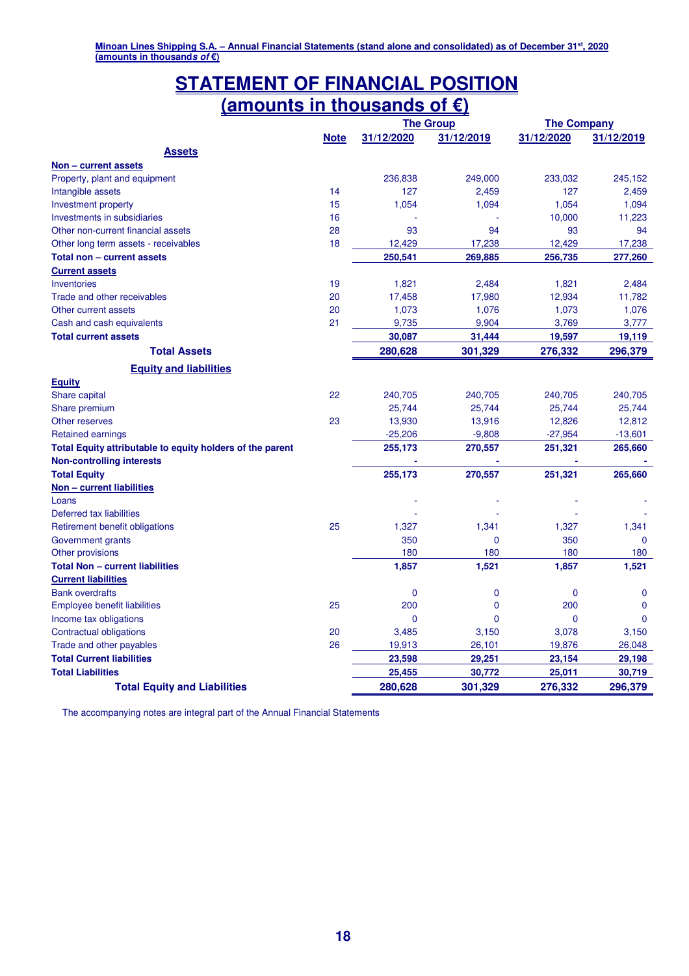## **STATEMENT OF FINANCIAL POSITION (amounts in thousands of €)**

|                                                           |             |             | <b>The Group</b> | <b>The Company</b> |              |  |
|-----------------------------------------------------------|-------------|-------------|------------------|--------------------|--------------|--|
|                                                           | <b>Note</b> | 31/12/2020  | 31/12/2019       | 31/12/2020         | 31/12/2019   |  |
| <b>Assets</b>                                             |             |             |                  |                    |              |  |
| <u>Non – current assets</u>                               |             |             |                  |                    |              |  |
| Property, plant and equipment                             |             | 236,838     | 249,000          | 233,032            | 245.152      |  |
| Intangible assets                                         | 14          | 127         | 2,459            | 127                | 2.459        |  |
| Investment property                                       | 15          | 1,054       | 1,094            | 1,054              | 1,094        |  |
| <b>Investments in subsidiaries</b>                        | 16          |             |                  | 10,000             | 11,223       |  |
| Other non-current financial assets                        | 28          | 93          | 94               | 93                 | 94           |  |
| Other long term assets - receivables                      | 18          | 12,429      | 17,238           | 12,429             | 17,238       |  |
| Total non - current assets                                |             | 250,541     | 269,885          | 256,735            | 277,260      |  |
| <b>Current assets</b>                                     |             |             |                  |                    |              |  |
| Inventories                                               | 19          | 1,821       | 2,484            | 1,821              | 2,484        |  |
| Trade and other receivables                               | 20          | 17,458      | 17,980           | 12,934             | 11,782       |  |
| Other current assets                                      | 20          | 1,073       | 1,076            | 1,073              | 1,076        |  |
| Cash and cash equivalents                                 | 21          | 9,735       | 9,904            | 3,769              | 3,777        |  |
| <b>Total current assets</b>                               |             | 30,087      | 31,444           | 19,597             | 19,119       |  |
| <b>Total Assets</b>                                       |             | 280,628     | 301,329          | 276,332            | 296,379      |  |
| <b>Equity and liabilities</b>                             |             |             |                  |                    |              |  |
| <b>Equity</b>                                             |             |             |                  |                    |              |  |
| <b>Share capital</b>                                      | 22          | 240,705     | 240,705          | 240,705            | 240,705      |  |
| Share premium                                             |             | 25,744      | 25,744           | 25,744             | 25,744       |  |
| Other reserves                                            | 23          | 13,930      | 13,916           | 12,826             | 12,812       |  |
| <b>Retained earnings</b>                                  |             | $-25,206$   | $-9,808$         | $-27,954$          | $-13,601$    |  |
| Total Equity attributable to equity holders of the parent |             | 255,173     | 270,557          | 251,321            | 265,660      |  |
| <b>Non-controlling interests</b>                          |             |             |                  |                    |              |  |
| <b>Total Equity</b>                                       |             | 255,173     | 270,557          | 251,321            | 265,660      |  |
| Non - current liabilities                                 |             |             |                  |                    |              |  |
| Loans                                                     |             |             |                  |                    |              |  |
| Deferred tax liabilities                                  |             |             |                  |                    |              |  |
| Retirement benefit obligations                            | 25          | 1,327       | 1,341            | 1,327              | 1,341        |  |
| Government grants                                         |             | 350         | $\mathbf 0$      | 350                | $\Omega$     |  |
| Other provisions                                          |             | 180         | 180              | 180                | 180          |  |
| <b>Total Non - current liabilities</b>                    |             | 1,857       | 1,521            | 1,857              | 1,521        |  |
| <b>Current liabilities</b>                                |             |             |                  |                    |              |  |
| <b>Bank overdrafts</b>                                    |             | $\mathbf 0$ | $\mathbf 0$      | $\mathbf 0$        | $\mathbf{0}$ |  |
| Employee benefit liabilities                              | 25          | 200         | $\mathbf 0$      | 200                | $\Omega$     |  |
| Income tax obligations                                    |             | $\mathbf 0$ | $\overline{0}$   | $\Omega$           | $\Omega$     |  |
| Contractual obligations                                   | 20          | 3,485       | 3,150            | 3,078              | 3,150        |  |
| Trade and other payables                                  | 26          | 19,913      | 26,101           | 19,876             | 26,048       |  |
| <b>Total Current liabilities</b>                          |             | 23,598      | 29,251           | 23,154             | 29,198       |  |
| <b>Total Liabilities</b>                                  |             | 25,455      | 30,772           | 25,011             | 30,719       |  |
| <b>Total Equity and Liabilities</b>                       |             | 280,628     | 301,329          | 276,332            | 296,379      |  |

The accompanying notes are integral part of the Annual Financial Statements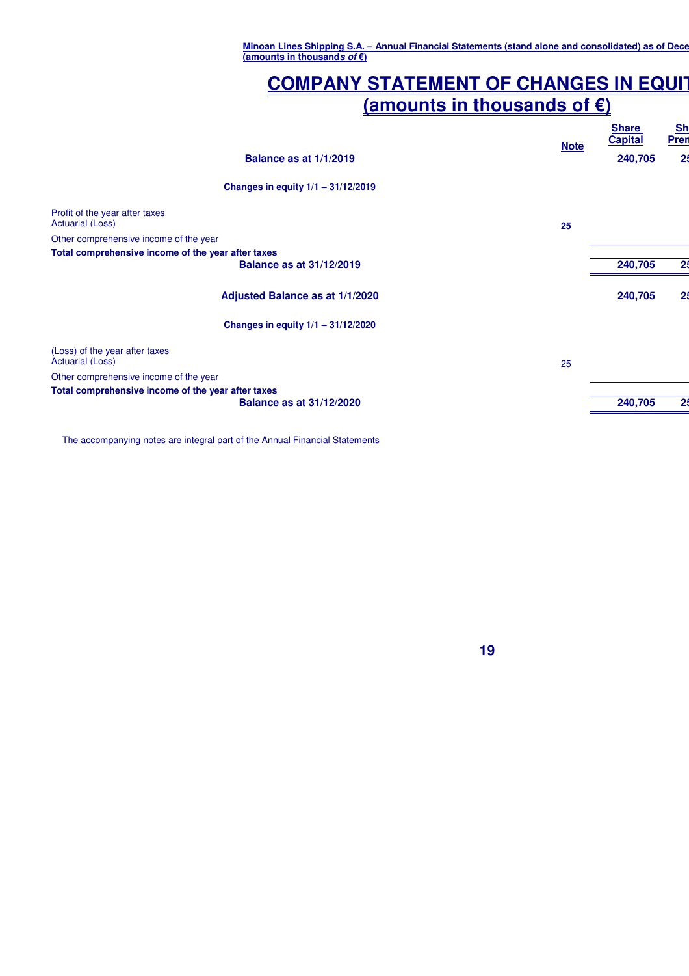## **COMPANY STATEMENT OF CHANGES IN EQUIT (amounts in thousands of €)**

|                                                           | <b>Note</b> | <b>Share</b><br><b>Capital</b> | <b>Sh</b><br><b>Pren</b> |
|-----------------------------------------------------------|-------------|--------------------------------|--------------------------|
| Balance as at 1/1/2019                                    |             | 240,705                        | 25                       |
| Changes in equity $1/1 - 31/12/2019$                      |             |                                |                          |
| Profit of the year after taxes<br><b>Actuarial (Loss)</b> |             |                                |                          |
| Other comprehensive income of the year                    | 25          |                                |                          |
| Total comprehensive income of the year after taxes        |             |                                |                          |
| <b>Balance as at 31/12/2019</b>                           |             | 240,705                        | 25                       |
| Adjusted Balance as at 1/1/2020                           |             | 240,705                        | 25                       |
| Changes in equity 1/1 - 31/12/2020                        |             |                                |                          |
| (Loss) of the year after taxes<br><b>Actuarial (Loss)</b> | 25          |                                |                          |
| Other comprehensive income of the year                    |             |                                |                          |
| Total comprehensive income of the year after taxes        |             |                                |                          |
| <b>Balance as at 31/12/2020</b>                           |             | 240,705                        | 25                       |
|                                                           |             |                                |                          |

The accompanying notes are integral part of the Annual Financial Statements

**19**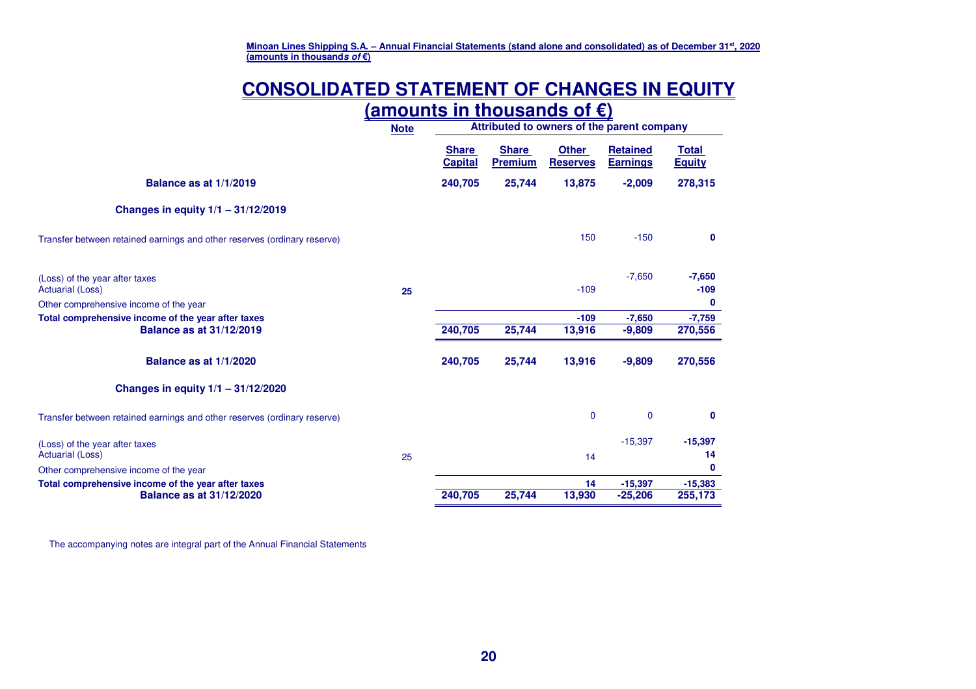## **CONSOLIDATED STATEMENT OF CHANGES IN EQUITY**

|                                                                          | <u>(amounts in thousands of €)</u> |                                            |                                |                                 |                                    |                               |
|--------------------------------------------------------------------------|------------------------------------|--------------------------------------------|--------------------------------|---------------------------------|------------------------------------|-------------------------------|
|                                                                          | <b>Note</b>                        | Attributed to owners of the parent company |                                |                                 |                                    |                               |
|                                                                          |                                    | <b>Share</b><br><b>Capital</b>             | <b>Share</b><br><b>Premium</b> | <b>Other</b><br><b>Reserves</b> | <b>Retained</b><br><b>Earnings</b> | <b>Total</b><br><b>Equity</b> |
| Balance as at 1/1/2019                                                   |                                    | 240,705                                    | 25,744                         | 13,875                          | $-2,009$                           | 278,315                       |
| Changes in equity $1/1 - 31/12/2019$                                     |                                    |                                            |                                |                                 |                                    |                               |
| Transfer between retained earnings and other reserves (ordinary reserve) |                                    |                                            |                                | 150                             | $-150$                             | 0                             |
| (Loss) of the year after taxes<br><b>Actuarial (Loss)</b>                | 25                                 |                                            |                                | $-109$                          | $-7,650$                           | $-7,650$<br>$-109$            |
| Other comprehensive income of the year                                   |                                    |                                            |                                |                                 |                                    | $\mathbf 0$                   |
| Total comprehensive income of the year after taxes                       |                                    |                                            |                                | $-109$                          | $-7,650$                           | $-7,759$                      |
| <b>Balance as at 31/12/2019</b>                                          |                                    | 240,705                                    | 25,744                         | 13,916                          | $-9,809$                           | 270,556                       |
| Balance as at 1/1/2020                                                   |                                    | 240,705                                    | 25,744                         | 13,916                          | $-9,809$                           | 270,556                       |
| Changes in equity $1/1 - 31/12/2020$                                     |                                    |                                            |                                |                                 |                                    |                               |
| Transfer between retained earnings and other reserves (ordinary reserve) |                                    |                                            |                                | $\mathbf 0$                     | $\overline{0}$                     | $\mathbf{0}$                  |
| (Loss) of the year after taxes                                           |                                    |                                            |                                |                                 | $-15,397$                          | $-15,397$                     |
| <b>Actuarial (Loss)</b>                                                  | 25                                 |                                            |                                | 14                              |                                    | 14                            |
| Other comprehensive income of the year                                   |                                    |                                            |                                |                                 |                                    | 0                             |
| Total comprehensive income of the year after taxes                       |                                    |                                            |                                | 14                              | $-15,397$                          | $-15,383$                     |
| <b>Balance as at 31/12/2020</b>                                          |                                    | 240,705                                    | 25,744                         | 13,930                          | $-25,206$                          | 255,173                       |

The accompanying notes are integral part of the Annual Financial Statements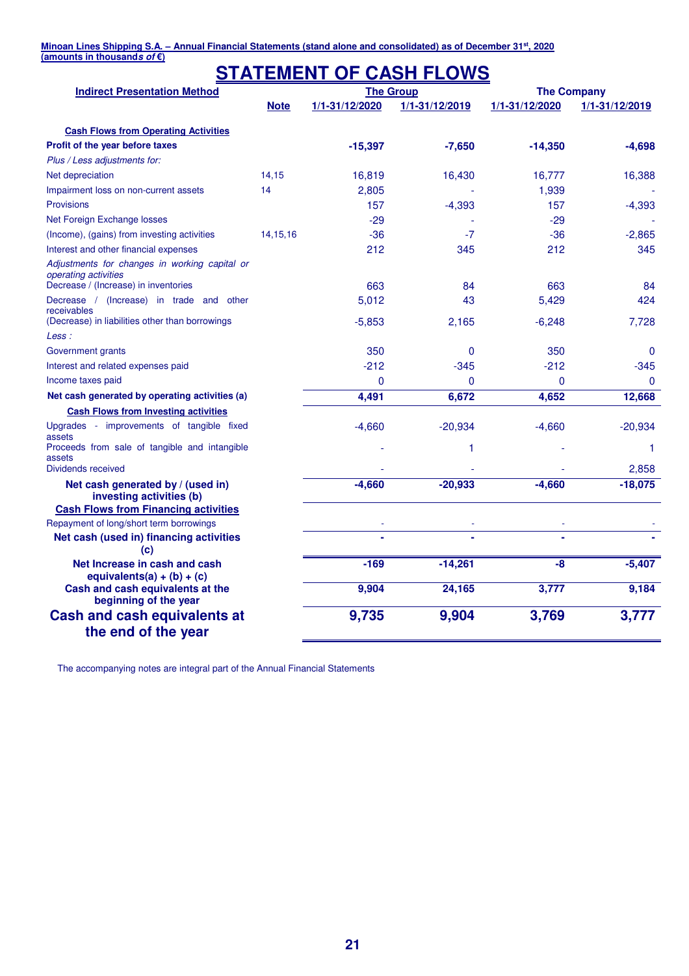#### **(amounts in thousands of €)**

## **STATEMENT OF CASH FLOWS**

| <b>Indirect Presentation Method</b>                                   | <b>The Group</b> |                |                |                | <b>The Company</b> |  |
|-----------------------------------------------------------------------|------------------|----------------|----------------|----------------|--------------------|--|
|                                                                       | <b>Note</b>      | 1/1-31/12/2020 | 1/1-31/12/2019 | 1/1-31/12/2020 | 1/1-31/12/2019     |  |
| <b>Cash Flows from Operating Activities</b>                           |                  |                |                |                |                    |  |
| Profit of the year before taxes                                       |                  | $-15,397$      | $-7,650$       | $-14,350$      | $-4,698$           |  |
| Plus / Less adjustments for:                                          |                  |                |                |                |                    |  |
| Net depreciation                                                      | 14,15            | 16,819         | 16,430         | 16,777         | 16,388             |  |
| Impairment loss on non-current assets                                 | 14               | 2,805          |                | 1,939          |                    |  |
| <b>Provisions</b>                                                     |                  | 157            | $-4,393$       | 157            | $-4,393$           |  |
| Net Foreign Exchange losses                                           |                  | $-29$          |                | $-29$          |                    |  |
| (Income), (gains) from investing activities                           | 14, 15, 16       | $-36$          | $-7$           | $-36$          | $-2,865$           |  |
| Interest and other financial expenses                                 |                  | 212            | 345            | 212            | 345                |  |
| Adjustments for changes in working capital or<br>operating activities |                  |                |                |                |                    |  |
| Decrease / (Increase) in inventories                                  |                  | 663            | 84             | 663            | 84                 |  |
| Decrease / (Increase) in trade and other<br>receivables               |                  | 5,012          | 43             | 5,429          | 424                |  |
| (Decrease) in liabilities other than borrowings                       |                  | $-5,853$       | 2,165          | $-6,248$       | 7,728              |  |
| Less :                                                                |                  |                |                |                |                    |  |
| Government grants                                                     |                  | 350            | 0              | 350            | $\mathbf{0}$       |  |
| Interest and related expenses paid                                    |                  | $-212$         | $-345$         | $-212$         | $-345$             |  |
| Income taxes paid                                                     |                  | 0              | $\Omega$       | 0              | $\mathbf{0}$       |  |
| Net cash generated by operating activities (a)                        |                  | 4,491          | 6,672          | 4,652          | 12,668             |  |
| <b>Cash Flows from Investing activities</b>                           |                  |                |                |                |                    |  |
| Upgrades - improvements of tangible fixed<br>assets                   |                  | $-4,660$       | $-20,934$      | $-4,660$       | $-20,934$          |  |
| Proceeds from sale of tangible and intangible                         |                  |                | 1              |                | 1                  |  |
| assets<br>Dividends received                                          |                  |                |                |                | 2,858              |  |
| Net cash generated by / (used in)<br>investing activities (b)         |                  | $-4,660$       | $-20,933$      | $-4,660$       | $-18,075$          |  |
| <b>Cash Flows from Financing activities</b>                           |                  |                |                |                |                    |  |
| Repayment of long/short term borrowings                               |                  |                |                |                |                    |  |
| Net cash (used in) financing activities                               |                  |                |                |                |                    |  |
| (c)<br>Net Increase in cash and cash                                  |                  |                | $-14,261$      |                |                    |  |
| equivalents(a) + (b) + (c)                                            |                  | $-169$         |                | -8             | $-5,407$           |  |
| Cash and cash equivalents at the<br>beginning of the year             |                  | 9,904          | 24,165         | 3,777          | 9,184              |  |
| <b>Cash and cash equivalents at</b><br>the end of the year            |                  | 9,735          | 9,904          | 3,769          | 3,777              |  |

The accompanying notes are integral part of the Annual Financial Statements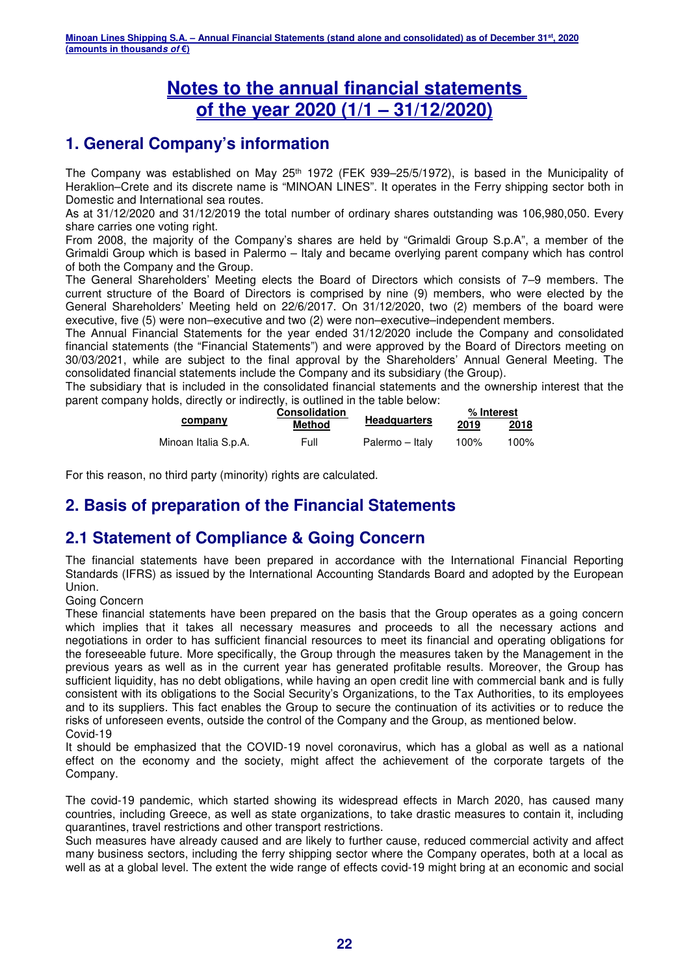## **Notes to the annual financial statements of the year 2020 (1/1 – 31/12/2020)**

## **1. General Company's information**

The Company was established on May 25<sup>th</sup> 1972 (FEK 939–25/5/1972), is based in the Municipality of Heraklion–Crete and its discrete name is "MINOAN LINES". It operates in the Ferry shipping sector both in Domestic and International sea routes.

As at 31/12/2020 and 31/12/2019 the total number of ordinary shares outstanding was 106,980,050. Every share carries one voting right.

From 2008, the majority of the Company's shares are held by "Grimaldi Group S.p.A", a member of the Grimaldi Group which is based in Palermo – Italy and became overlying parent company which has control of both the Company and the Group.

The General Shareholders' Meeting elects the Board of Directors which consists of 7–9 members. The current structure of the Board of Directors is comprised by nine (9) members, who were elected by the General Shareholders' Meeting held on 22/6/2017. On 31/12/2020, two (2) members of the board were executive, five (5) were non–executive and two (2) were non–executive–independent members.

The Annual Financial Statements for the year ended 31/12/2020 include the Company and consolidated financial statements (the "Financial Statements") and were approved by the Board of Directors meeting on 30/03/2021, while are subject to the final approval by the Shareholders' Annual General Meeting. The consolidated financial statements include the Company and its subsidiary (the Group).

The subsidiary that is included in the consolidated financial statements and the ownership interest that the parent company holds, directly or indirectly, is outlined in the table below:

|                      | <b>Consolidation</b> |                     | % Interest |      |  |
|----------------------|----------------------|---------------------|------------|------|--|
| company              | Method               | <b>Headquarters</b> | 2019       | 2018 |  |
| Minoan Italia S.p.A. | Full                 | Palermo – Italv     | 100%       | 100% |  |

For this reason, no third party (minority) rights are calculated.

## **2. Basis of preparation of the Financial Statements**

## **2.1 Statement of Compliance & Going Concern**

The financial statements have been prepared in accordance with the International Financial Reporting Standards (IFRS) as issued by the International Accounting Standards Board and adopted by the European Union.

#### Going Concern

These financial statements have been prepared on the basis that the Group operates as a going concern which implies that it takes all necessary measures and proceeds to all the necessary actions and negotiations in order to has sufficient financial resources to meet its financial and operating obligations for the foreseeable future. More specifically, the Group through the measures taken by the Management in the previous years as well as in the current year has generated profitable results. Moreover, the Group has sufficient liquidity, has no debt obligations, while having an open credit line with commercial bank and is fully consistent with its obligations to the Social Security's Organizations, to the Tax Authorities, to its employees and to its suppliers. This fact enables the Group to secure the continuation of its activities or to reduce the risks of unforeseen events, outside the control of the Company and the Group, as mentioned below. Covid-19

It should be emphasized that the COVID-19 novel coronavirus, which has a global as well as a national effect on the economy and the society, might affect the achievement of the corporate targets of the Company.

The covid-19 pandemic, which started showing its widespread effects in March 2020, has caused many countries, including Greece, as well as state organizations, to take drastic measures to contain it, including quarantines, travel restrictions and other transport restrictions.

Such measures have already caused and are likely to further cause, reduced commercial activity and affect many business sectors, including the ferry shipping sector where the Company operates, both at a local as well as at a global level. The extent the wide range of effects covid-19 might bring at an economic and social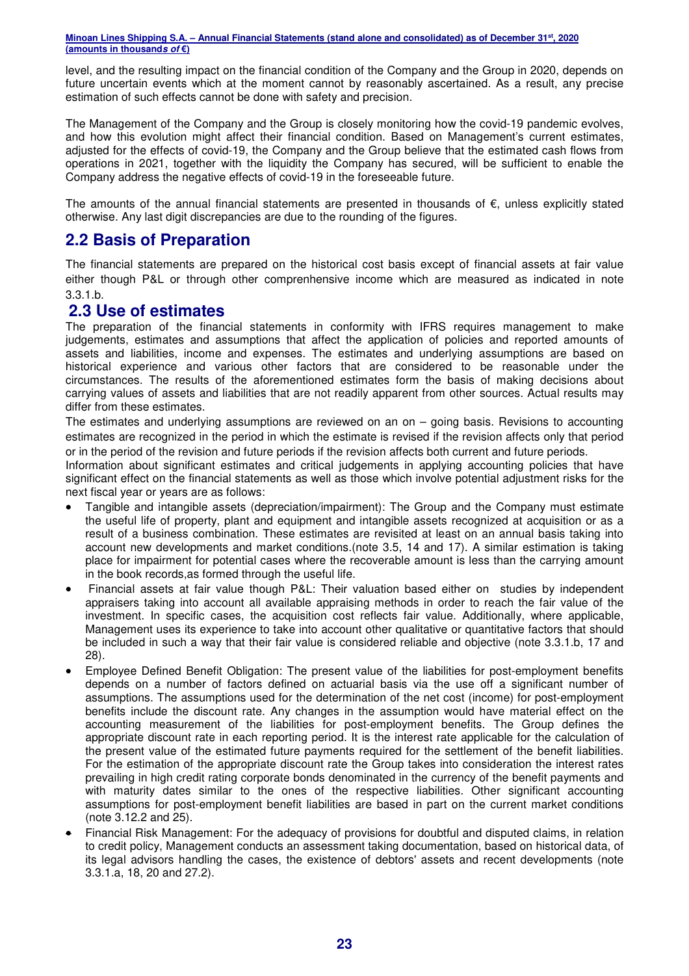level, and the resulting impact on the financial condition of the Company and the Group in 2020, depends on future uncertain events which at the moment cannot by reasonably ascertained. As a result, any precise estimation of such effects cannot be done with safety and precision.

The Management of the Company and the Group is closely monitoring how the covid-19 pandemic evolves, and how this evolution might affect their financial condition. Based on Management's current estimates, adjusted for the effects of covid-19, the Company and the Group believe that the estimated cash flows from operations in 2021, together with the liquidity the Company has secured, will be sufficient to enable the Company address the negative effects of covid-19 in the foreseeable future.

The amounts of the annual financial statements are presented in thousands of  $\epsilon$ , unless explicitly stated otherwise. Any last digit discrepancies are due to the rounding of the figures.

## **2.2 Basis of Preparation**

The financial statements are prepared on the historical cost basis except of financial assets at fair value either though P&L or through other comprenhensive income which are measured as indicated in note 3.3.1.b.

## **2.3 Use of estimates**

The preparation of the financial statements in conformity with IFRS requires management to make judgements, estimates and assumptions that affect the application of policies and reported amounts of assets and liabilities, income and expenses. The estimates and underlying assumptions are based on historical experience and various other factors that are considered to be reasonable under the circumstances. The results of the aforementioned estimates form the basis of making decisions about carrying values of assets and liabilities that are not readily apparent from other sources. Actual results may differ from these estimates.

The estimates and underlying assumptions are reviewed on an on – going basis. Revisions to accounting estimates are recognized in the period in which the estimate is revised if the revision affects only that period or in the period of the revision and future periods if the revision affects both current and future periods.

Information about significant estimates and critical judgements in applying accounting policies that have significant effect on the financial statements as well as those which involve potential adjustment risks for the next fiscal year or years are as follows:

- Tangible and intangible assets (depreciation/impairment): The Group and the Company must estimate the useful life of property, plant and equipment and intangible assets recognized at acquisition or as a result of a business combination. These estimates are revisited at least on an annual basis taking into account new developments and market conditions.(note 3.5, 14 and 17). A similar estimation is taking place for impairment for potential cases where the recoverable amount is less than the carrying amount in the book records,as formed through the useful life.
- Financial assets at fair value though P&L: Their valuation based either on studies by independent appraisers taking into account all available appraising methods in order to reach the fair value of the investment. In specific cases, the acquisition cost reflects fair value. Additionally, where applicable, Management uses its experience to take into account other qualitative or quantitative factors that should be included in such a way that their fair value is considered reliable and objective (note 3.3.1.b, 17 and 28).
- Employee Defined Benefit Obligation: The present value of the liabilities for post-employment benefits depends on a number of factors defined on actuarial basis via the use off a significant number of assumptions. The assumptions used for the determination of the net cost (income) for post-employment benefits include the discount rate. Any changes in the assumption would have material effect on the accounting measurement of the liabilities for post-employment benefits. The Group defines the appropriate discount rate in each reporting period. It is the interest rate applicable for the calculation of the present value of the estimated future payments required for the settlement of the benefit liabilities. For the estimation of the appropriate discount rate the Group takes into consideration the interest rates prevailing in high credit rating corporate bonds denominated in the currency of the benefit payments and with maturity dates similar to the ones of the respective liabilities. Other significant accounting assumptions for post-employment benefit liabilities are based in part on the current market conditions (note 3.12.2 and 25).
- Financial Risk Management: For the adequacy of provisions for doubtful and disputed claims, in relation to credit policy, Management conducts an assessment taking documentation, based on historical data, of its legal advisors handling the cases, the existence of debtors' assets and recent developments (note 3.3.1.a, 18, 20 and 27.2).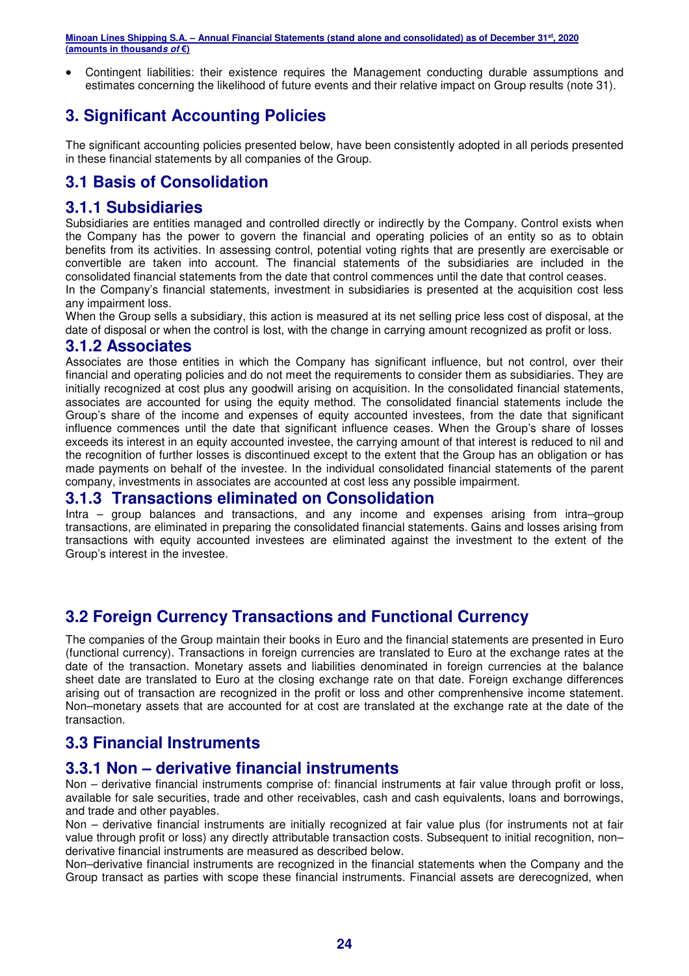Contingent liabilities: their existence requires the Management conducting durable assumptions and estimates concerning the likelihood of future events and their relative impact on Group results (note 31).

## **3. Significant Accounting Policies**

The significant accounting policies presented below, have been consistently adopted in all periods presented in these financial statements by all companies of the Group.

## **3.1 Basis of Consolidation**

## **3.1.1 Subsidiaries**

Subsidiaries are entities managed and controlled directly or indirectly by the Company. Control exists when the Company has the power to govern the financial and operating policies of an entity so as to obtain benefits from its activities. In assessing control, potential voting rights that are presently are exercisable or convertible are taken into account. The financial statements of the subsidiaries are included in the consolidated financial statements from the date that control commences until the date that control ceases.

In the Company's financial statements, investment in subsidiaries is presented at the acquisition cost less any impairment loss.

When the Group sells a subsidiary, this action is measured at its net selling price less cost of disposal, at the date of disposal or when the control is lost, with the change in carrying amount recognized as profit or loss.

#### **3.1.2 Associates**

Associates are those entities in which the Company has significant influence, but not control, over their financial and operating policies and do not meet the requirements to consider them as subsidiaries. They are initially recognized at cost plus any goodwill arising on acquisition. In the consolidated financial statements, associates are accounted for using the equity method. The consolidated financial statements include the Group's share of the income and expenses of equity accounted investees, from the date that significant influence commences until the date that significant influence ceases. When the Group's share of losses exceeds its interest in an equity accounted investee, the carrying amount of that interest is reduced to nil and the recognition of further losses is discontinued except to the extent that the Group has an obligation or has made payments on behalf of the investee. In the individual consolidated financial statements of the parent company, investments in associates are accounted at cost less any possible impairment.

## **3.1.3 Transactions eliminated on Consolidation**

Intra – group balances and transactions, and any income and expenses arising from intra–group transactions, are eliminated in preparing the consolidated financial statements. Gains and losses arising from transactions with equity accounted investees are eliminated against the investment to the extent of the Group's interest in the investee.

## **3.2 Foreign Currency Transactions and Functional Currency**

The companies of the Group maintain their books in Euro and the financial statements are presented in Euro (functional currency). Transactions in foreign currencies are translated to Euro at the exchange rates at the date of the transaction. Monetary assets and liabilities denominated in foreign currencies at the balance sheet date are translated to Euro at the closing exchange rate on that date. Foreign exchange differences arising out of transaction are recognized in the profit or loss and other comprenhensive income statement. Non–monetary assets that are accounted for at cost are translated at the exchange rate at the date of the transaction.

## **3.3 Financial Instruments**

## **3.3.1 Non – derivative financial instruments**

Non – derivative financial instruments comprise of: financial instruments at fair value through profit or loss, available for sale securities, trade and other receivables, cash and cash equivalents, loans and borrowings, and trade and other payables.

Non – derivative financial instruments are initially recognized at fair value plus (for instruments not at fair value through profit or loss) any directly attributable transaction costs. Subsequent to initial recognition, non– derivative financial instruments are measured as described below.

Non–derivative financial instruments are recognized in the financial statements when the Company and the Group transact as parties with scope these financial instruments. Financial assets are derecognized, when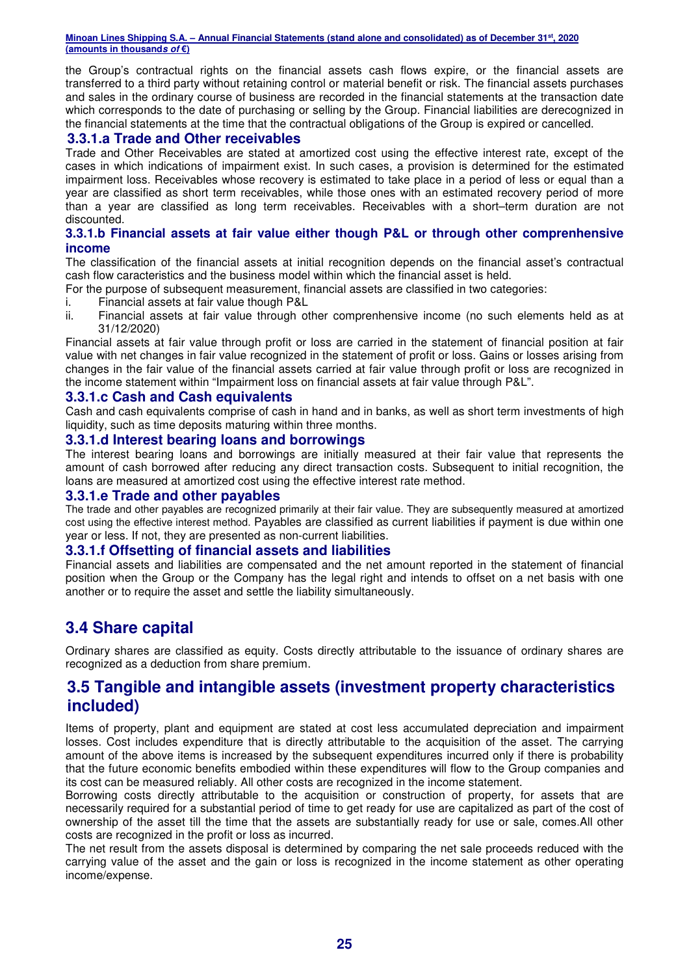the Group's contractual rights on the financial assets cash flows expire, or the financial assets are transferred to a third party without retaining control or material benefit or risk. The financial assets purchases and sales in the ordinary course of business are recorded in the financial statements at the transaction date which corresponds to the date of purchasing or selling by the Group. Financial liabilities are derecognized in the financial statements at the time that the contractual obligations of the Group is expired or cancelled.

#### **3.3.1.a Trade and Other receivables**

Trade and Other Receivables are stated at amortized cost using the effective interest rate, except of the cases in which indications of impairment exist. In such cases, a provision is determined for the estimated impairment loss. Receivables whose recovery is estimated to take place in a period of less or equal than a year are classified as short term receivables, while those ones with an estimated recovery period of more than a year are classified as long term receivables. Receivables with a short–term duration are not discounted.

#### **3.3.1.b Financial assets at fair value either though P&L or through other comprenhensive income**

The classification of the financial assets at initial recognition depends on the financial asset's contractual cash flow caracteristics and the business model within which the financial asset is held.

- For the purpose of subsequent measurement, financial assets are classified in two categories:
- i. Financial assets at fair value though P&L
- ii. Financial assets at fair value through other comprenhensive income (no such elements held as at 31/12/2020)

Financial assets at fair value through profit or loss are carried in the statement of financial position at fair value with net changes in fair value recognized in the statement of profit or loss. Gains or losses arising from changes in the fair value of the financial assets carried at fair value through profit or loss are recognized in the income statement within "Impairment loss on financial assets at fair value through P&L".

#### **3.3.1.c Cash and Cash equivalents**

Cash and cash equivalents comprise of cash in hand and in banks, as well as short term investments of high liquidity, such as time deposits maturing within three months.

#### **3.3.1.d Interest bearing loans and borrowings**

The interest bearing loans and borrowings are initially measured at their fair value that represents the amount of cash borrowed after reducing any direct transaction costs. Subsequent to initial recognition, the loans are measured at amortized cost using the effective interest rate method.

#### **3.3.1.e Trade and other payables**

The trade and other payables are recognized primarily at their fair value. They are subsequently measured at amortized cost using the effective interest method. Payables are classified as current liabilities if payment is due within one year or less. If not, they are presented as non-current liabilities.

#### **3.3.1.f Offsetting of financial assets and liabilities**

Financial assets and liabilities are compensated and the net amount reported in the statement of financial position when the Group or the Company has the legal right and intends to offset on a net basis with one another or to require the asset and settle the liability simultaneously.

## **3.4 Share capital**

Ordinary shares are classified as equity. Costs directly attributable to the issuance of ordinary shares are recognized as a deduction from share premium.

## **3.5 Tangible and intangible assets (investment property characteristics included)**

Items of property, plant and equipment are stated at cost less accumulated depreciation and impairment losses. Cost includes expenditure that is directly attributable to the acquisition of the asset. The carrying amount of the above items is increased by the subsequent expenditures incurred only if there is probability that the future economic benefits embodied within these expenditures will flow to the Group companies and its cost can be measured reliably. All other costs are recognized in the income statement.

Borrowing costs directly attributable to the acquisition or construction of property, for assets that are necessarily required for a substantial period of time to get ready for use are capitalized as part of the cost of ownership of the asset till the time that the assets are substantially ready for use or sale, comes.All other costs are recognized in the profit or loss as incurred.

The net result from the assets disposal is determined by comparing the net sale proceeds reduced with the carrying value of the asset and the gain or loss is recognized in the income statement as other operating income/expense.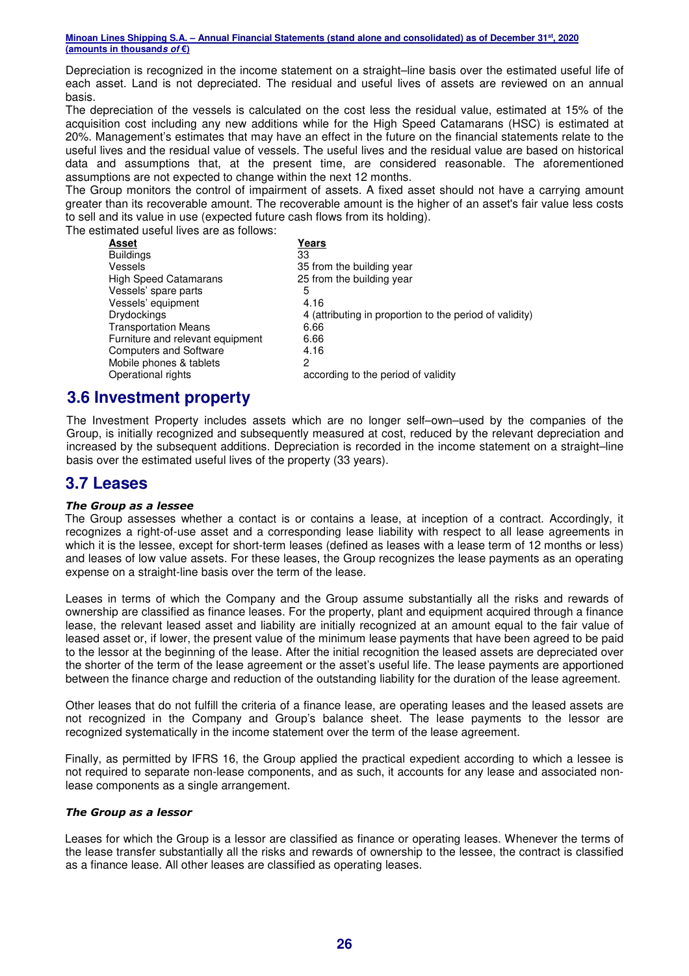Depreciation is recognized in the income statement on a straight–line basis over the estimated useful life of each asset. Land is not depreciated. The residual and useful lives of assets are reviewed on an annual basis.

The depreciation of the vessels is calculated on the cost less the residual value, estimated at 15% of the acquisition cost including any new additions while for the High Speed Catamarans (HSC) is estimated at 20%. Management's estimates that may have an effect in the future on the financial statements relate to the useful lives and the residual value of vessels. The useful lives and the residual value are based on historical data and assumptions that, at the present time, are considered reasonable. The aforementioned assumptions are not expected to change within the next 12 months.

The Group monitors the control of impairment of assets. A fixed asset should not have a carrying amount greater than its recoverable amount. The recoverable amount is the higher of an asset's fair value less costs to sell and its value in use (expected future cash flows from its holding).

The estimated useful lives are as follows:

| Years                                                   |
|---------------------------------------------------------|
| 33                                                      |
| 35 from the building year                               |
| 25 from the building year                               |
| 5                                                       |
| 4.16                                                    |
| 4 (attributing in proportion to the period of validity) |
| 6.66                                                    |
| 6.66                                                    |
| 4.16                                                    |
| 2                                                       |
| according to the period of validity                     |
|                                                         |

## **3.6 Investment property**

The Investment Property includes assets which are no longer self–own–used by the companies of the Group, is initially recognized and subsequently measured at cost, reduced by the relevant depreciation and increased by the subsequent additions. Depreciation is recorded in the income statement on a straight–line basis over the estimated useful lives of the property (33 years).

## **3.7 Leases**

#### *The Group as a lessee*

The Group assesses whether a contact is or contains a lease, at inception of a contract. Accordingly, it recognizes a right-of-use asset and a corresponding lease liability with respect to all lease agreements in which it is the lessee, except for short-term leases (defined as leases with a lease term of 12 months or less) and leases of low value assets. For these leases, the Group recognizes the lease payments as an operating expense on a straight-line basis over the term of the lease.

Leases in terms of which the Company and the Group assume substantially all the risks and rewards of ownership are classified as finance leases. For the property, plant and equipment acquired through a finance lease, the relevant leased asset and liability are initially recognized at an amount equal to the fair value of leased asset or, if lower, the present value of the minimum lease payments that have been agreed to be paid to the lessor at the beginning of the lease. After the initial recognition the leased assets are depreciated over the shorter of the term of the lease agreement or the asset's useful life. The lease payments are apportioned between the finance charge and reduction of the outstanding liability for the duration of the lease agreement.

Other leases that do not fulfill the criteria of a finance lease, are operating leases and the leased assets are not recognized in the Company and Group's balance sheet. The lease payments to the lessor are recognized systematically in the income statement over the term of the lease agreement.

Finally, as permitted by IFRS 16, the Group applied the practical expedient according to which a lessee is not required to separate non-lease components, and as such, it accounts for any lease and associated nonlease components as a single arrangement.

#### *The Group as a lessor*

Leases for which the Group is a lessor are classified as finance or operating leases. Whenever the terms of the lease transfer substantially all the risks and rewards of ownership to the lessee, the contract is classified as a finance lease. All other leases are classified as operating leases.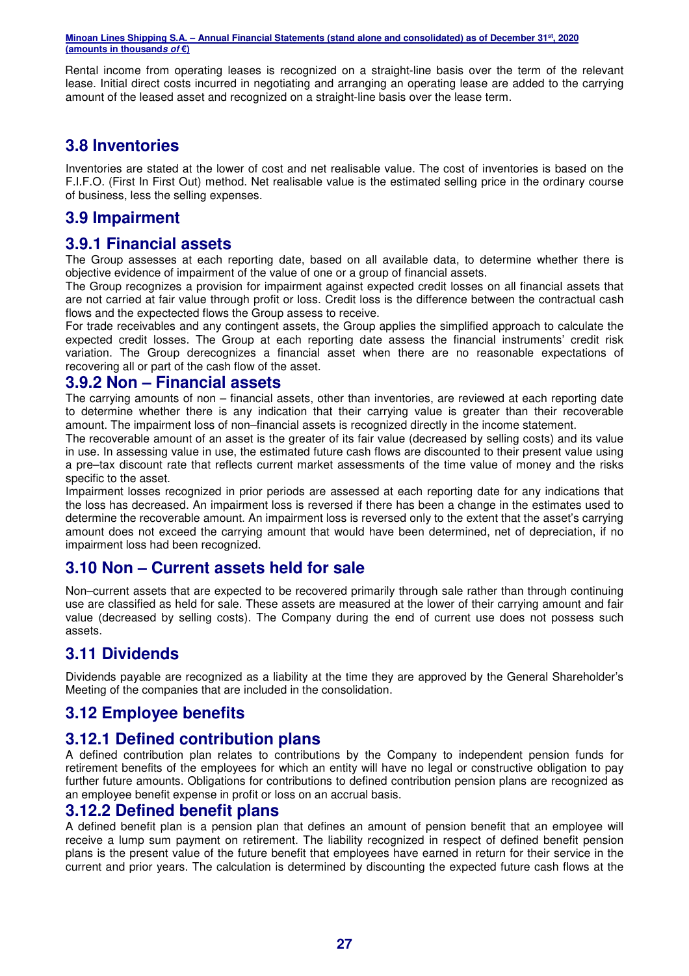Rental income from operating leases is recognized on a straight-line basis over the term of the relevant lease. Initial direct costs incurred in negotiating and arranging an operating lease are added to the carrying amount of the leased asset and recognized on a straight-line basis over the lease term.

## **3.8 Inventories**

Inventories are stated at the lower of cost and net realisable value. The cost of inventories is based on the F.I.F.O. (First In First Out) method. Net realisable value is the estimated selling price in the ordinary course of business, less the selling expenses.

## **3.9 Impairment**

## **3.9.1 Financial assets**

The Group assesses at each reporting date, based on all available data, to determine whether there is objective evidence of impairment of the value of one or a group of financial assets.

The Group recognizes a provision for impairment against expected credit losses on all financial assets that are not carried at fair value through profit or loss. Credit loss is the difference between the contractual cash flows and the expectected flows the Group assess to receive.

For trade receivables and any contingent assets, the Group applies the simplified approach to calculate the expected credit losses. The Group at each reporting date assess the financial instruments' credit risk variation. The Group derecognizes a financial asset when there are no reasonable expectations of recovering all or part of the cash flow of the asset.

#### **3.9.2 Non – Financial assets**

The carrying amounts of non – financial assets, other than inventories, are reviewed at each reporting date to determine whether there is any indication that their carrying value is greater than their recoverable amount. The impairment loss of non–financial assets is recognized directly in the income statement.

The recoverable amount of an asset is the greater of its fair value (decreased by selling costs) and its value in use. In assessing value in use, the estimated future cash flows are discounted to their present value using a pre–tax discount rate that reflects current market assessments of the time value of money and the risks specific to the asset.

Impairment losses recognized in prior periods are assessed at each reporting date for any indications that the loss has decreased. An impairment loss is reversed if there has been a change in the estimates used to determine the recoverable amount. An impairment loss is reversed only to the extent that the asset's carrying amount does not exceed the carrying amount that would have been determined, net of depreciation, if no impairment loss had been recognized.

## **3.10 Non – Current assets held for sale**

Non–current assets that are expected to be recovered primarily through sale rather than through continuing use are classified as held for sale. These assets are measured at the lower of their carrying amount and fair value (decreased by selling costs). The Company during the end of current use does not possess such assets.

## **3.11 Dividends**

Dividends payable are recognized as a liability at the time they are approved by the General Shareholder's Meeting of the companies that are included in the consolidation.

## **3.12 Employee benefits**

## **3.12.1 Defined contribution plans**

A defined contribution plan relates to contributions by the Company to independent pension funds for retirement benefits of the employees for which an entity will have no legal or constructive obligation to pay further future amounts. Obligations for contributions to defined contribution pension plans are recognized as an employee benefit expense in profit or loss on an accrual basis.

#### **3.12.2 Defined benefit plans**

A defined benefit plan is a pension plan that defines an amount of pension benefit that an employee will receive a lump sum payment on retirement. The liability recognized in respect of defined benefit pension plans is the present value of the future benefit that employees have earned in return for their service in the current and prior years. The calculation is determined by discounting the expected future cash flows at the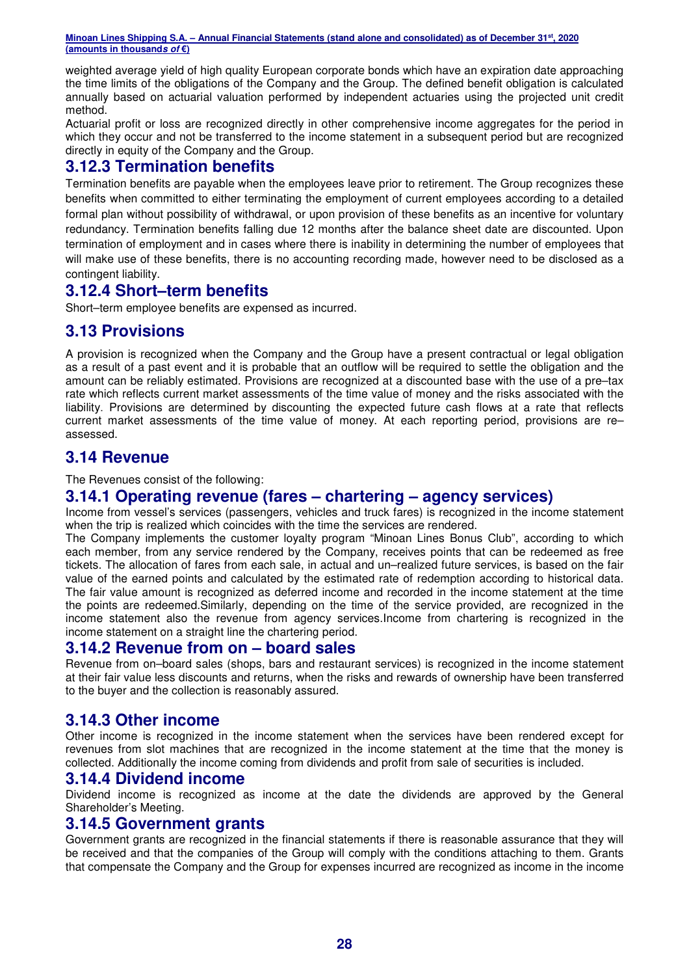weighted average yield of high quality European corporate bonds which have an expiration date approaching the time limits of the obligations of the Company and the Group. The defined benefit obligation is calculated annually based on actuarial valuation performed by independent actuaries using the projected unit credit method.

Actuarial profit or loss are recognized directly in other comprehensive income aggregates for the period in which they occur and not be transferred to the income statement in a subsequent period but are recognized directly in equity of the Company and the Group.

## **3.12.3 Termination benefits**

Termination benefits are payable when the employees leave prior to retirement. The Group recognizes these benefits when committed to either terminating the employment of current employees according to a detailed formal plan without possibility of withdrawal, or upon provision of these benefits as an incentive for voluntary redundancy. Termination benefits falling due 12 months after the balance sheet date are discounted. Upon termination of employment and in cases where there is inability in determining the number of employees that will make use of these benefits, there is no accounting recording made, however need to be disclosed as a contingent liability.

## **3.12.4 Short–term benefits**

Short–term employee benefits are expensed as incurred.

## **3.13 Provisions**

A provision is recognized when the Company and the Group have a present contractual or legal obligation as a result of a past event and it is probable that an outflow will be required to settle the obligation and the amount can be reliably estimated. Provisions are recognized at a discounted base with the use of a pre–tax rate which reflects current market assessments of the time value of money and the risks associated with the liability. Provisions are determined by discounting the expected future cash flows at a rate that reflects current market assessments of the time value of money. At each reporting period, provisions are re– assessed.

## **3.14 Revenue**

The Revenues consist of the following:

## **3.14.1 Operating revenue (fares – chartering – agency services)**

Income from vessel's services (passengers, vehicles and truck fares) is recognized in the income statement when the trip is realized which coincides with the time the services are rendered.

The Company implements the customer loyalty program "Minoan Lines Bonus Club", according to which each member, from any service rendered by the Company, receives points that can be redeemed as free tickets. The allocation of fares from each sale, in actual and un–realized future services, is based on the fair value of the earned points and calculated by the estimated rate of redemption according to historical data. The fair value amount is recognized as deferred income and recorded in the income statement at the time the points are redeemed.Similarly, depending on the time of the service provided, are recognized in the income statement also the revenue from agency services.Income from chartering is recognized in the income statement on a straight line the chartering period.

#### **3.14.2 Revenue from on – board sales**

Revenue from on–board sales (shops, bars and restaurant services) is recognized in the income statement at their fair value less discounts and returns, when the risks and rewards of ownership have been transferred to the buyer and the collection is reasonably assured.

## **3.14.3 Other income**

Other income is recognized in the income statement when the services have been rendered except for revenues from slot machines that are recognized in the income statement at the time that the money is collected. Additionally the income coming from dividends and profit from sale of securities is included.

## **3.14.4 Dividend income**

Dividend income is recognized as income at the date the dividends are approved by the General Shareholder's Meeting.

#### **3.14.5 Government grants**

Government grants are recognized in the financial statements if there is reasonable assurance that they will be received and that the companies of the Group will comply with the conditions attaching to them. Grants that compensate the Company and the Group for expenses incurred are recognized as income in the income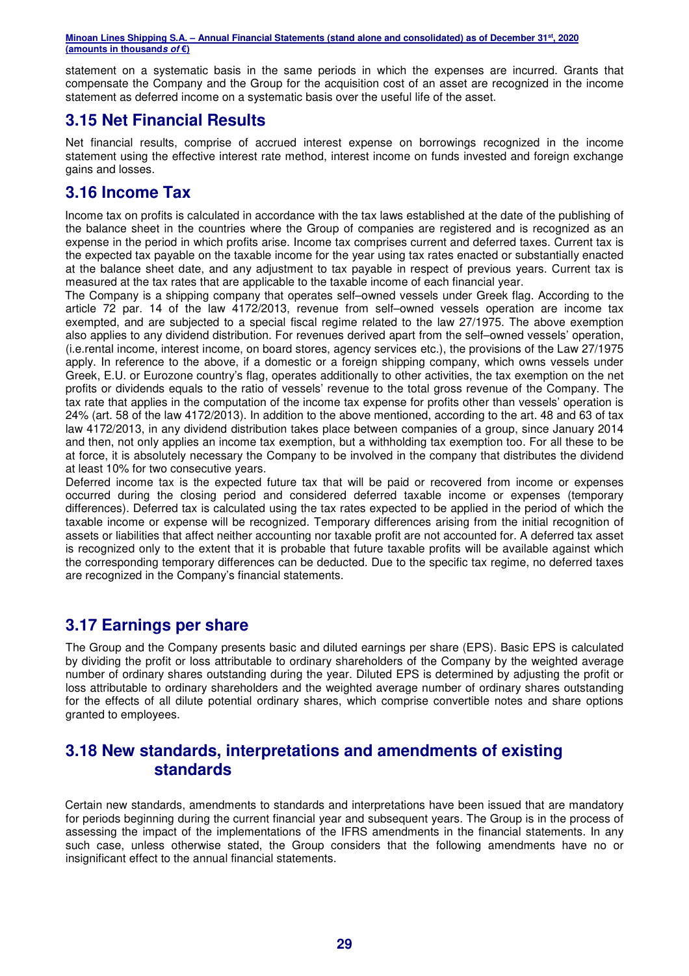statement on a systematic basis in the same periods in which the expenses are incurred. Grants that compensate the Company and the Group for the acquisition cost of an asset are recognized in the income statement as deferred income on a systematic basis over the useful life of the asset.

## **3.15 Net Financial Results**

Net financial results, comprise of accrued interest expense on borrowings recognized in the income statement using the effective interest rate method, interest income on funds invested and foreign exchange gains and losses.

## **3.16 Income Tax**

Income tax on profits is calculated in accordance with the tax laws established at the date of the publishing of the balance sheet in the countries where the Group of companies are registered and is recognized as an expense in the period in which profits arise. Income tax comprises current and deferred taxes. Current tax is the expected tax payable on the taxable income for the year using tax rates enacted or substantially enacted at the balance sheet date, and any adjustment to tax payable in respect of previous years. Current tax is measured at the tax rates that are applicable to the taxable income of each financial year.

The Company is a shipping company that operates self–owned vessels under Greek flag. According to the article 72 par. 14 of the law 4172/2013, revenue from self–owned vessels operation are income tax exempted, and are subjected to a special fiscal regime related to the law 27/1975. The above exemption also applies to any dividend distribution. For revenues derived apart from the self–owned vessels' operation, (i.e.rental income, interest income, on board stores, agency services etc.), the provisions of the Law 27/1975 apply. In reference to the above, if a domestic or a foreign shipping company, which owns vessels under Greek, E.U. or Eurozone country's flag, operates additionally to other activities, the tax exemption on the net profits or dividends equals to the ratio of vessels' revenue to the total gross revenue of the Company. The tax rate that applies in the computation of the income tax expense for profits other than vessels' operation is 24% (art. 58 of the law 4172/2013). In addition to the above mentioned, according to the art. 48 and 63 of tax law 4172/2013, in any dividend distribution takes place between companies of a group, since January 2014 and then, not only applies an income tax exemption, but a withholding tax exemption too. For all these to be at force, it is absolutely necessary the Company to be involved in the company that distributes the dividend at least 10% for two consecutive years.

Deferred income tax is the expected future tax that will be paid or recovered from income or expenses occurred during the closing period and considered deferred taxable income or expenses (temporary differences). Deferred tax is calculated using the tax rates expected to be applied in the period of which the taxable income or expense will be recognized. Temporary differences arising from the initial recognition of assets or liabilities that affect neither accounting nor taxable profit are not accounted for. A deferred tax asset is recognized only to the extent that it is probable that future taxable profits will be available against which the corresponding temporary differences can be deducted. Due to the specific tax regime, no deferred taxes are recognized in the Company's financial statements.

## **3.17 Earnings per share**

The Group and the Company presents basic and diluted earnings per share (EPS). Basic EPS is calculated by dividing the profit or loss attributable to ordinary shareholders of the Company by the weighted average number of ordinary shares outstanding during the year. Diluted EPS is determined by adjusting the profit or loss attributable to ordinary shareholders and the weighted average number of ordinary shares outstanding for the effects of all dilute potential ordinary shares, which comprise convertible notes and share options granted to employees.

## **3.18 New standards, interpretations and amendments of existing standards**

Certain new standards, amendments to standards and interpretations have been issued that are mandatory for periods beginning during the current financial year and subsequent years. The Group is in the process of assessing the impact of the implementations of the IFRS amendments in the financial statements. In any such case, unless otherwise stated, the Group considers that the following amendments have no or insignificant effect to the annual financial statements.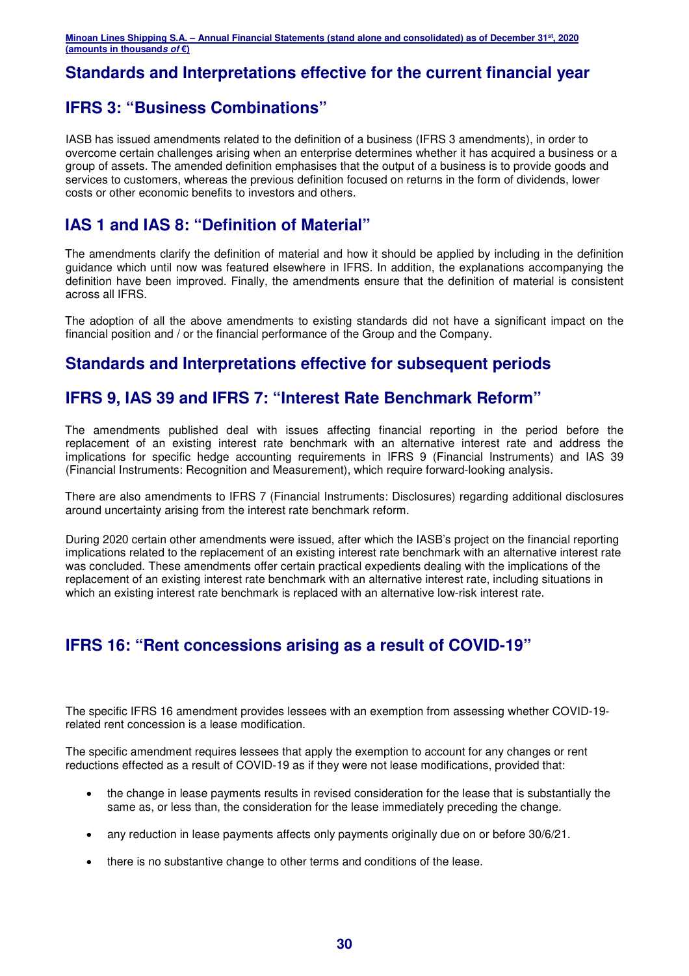## **Standards and Interpretations effective for the current financial year**

## **IFRS 3: "Business Combinations"**

IASB has issued amendments related to the definition of a business (IFRS 3 amendments), in order to overcome certain challenges arising when an enterprise determines whether it has acquired a business or a group of assets. The amended definition emphasises that the output of a business is to provide goods and services to customers, whereas the previous definition focused on returns in the form of dividends, lower costs or other economic benefits to investors and others.

## **IAS 1 and IAS 8: "Definition of Material"**

The amendments clarify the definition of material and how it should be applied by including in the definition guidance which until now was featured elsewhere in IFRS. In addition, the explanations accompanying the definition have been improved. Finally, the amendments ensure that the definition of material is consistent across all IFRS.

The adoption of all the above amendments to existing standards did not have a significant impact on the financial position and / or the financial performance of the Group and the Company.

## **Standards and Interpretations effective for subsequent periods**

## **IFRS 9, IAS 39 and IFRS 7: "Interest Rate Benchmark Reform"**

The amendments published deal with issues affecting financial reporting in the period before the replacement of an existing interest rate benchmark with an alternative interest rate and address the implications for specific hedge accounting requirements in IFRS 9 (Financial Instruments) and IAS 39 (Financial Instruments: Recognition and Measurement), which require forward-looking analysis.

There are also amendments to IFRS 7 (Financial Instruments: Disclosures) regarding additional disclosures around uncertainty arising from the interest rate benchmark reform.

During 2020 certain other amendments were issued, after which the IASB's project on the financial reporting implications related to the replacement of an existing interest rate benchmark with an alternative interest rate was concluded. These amendments offer certain practical expedients dealing with the implications of the replacement of an existing interest rate benchmark with an alternative interest rate, including situations in which an existing interest rate benchmark is replaced with an alternative low-risk interest rate.

## **IFRS 16: "Rent concessions arising as a result of COVID-19"**

The specific IFRS 16 amendment provides lessees with an exemption from assessing whether COVID-19 related rent concession is a lease modification.

The specific amendment requires lessees that apply the exemption to account for any changes or rent reductions effected as a result of COVID-19 as if they were not lease modifications, provided that:

- the change in lease payments results in revised consideration for the lease that is substantially the same as, or less than, the consideration for the lease immediately preceding the change.
- any reduction in lease payments affects only payments originally due on or before 30/6/21.
- there is no substantive change to other terms and conditions of the lease.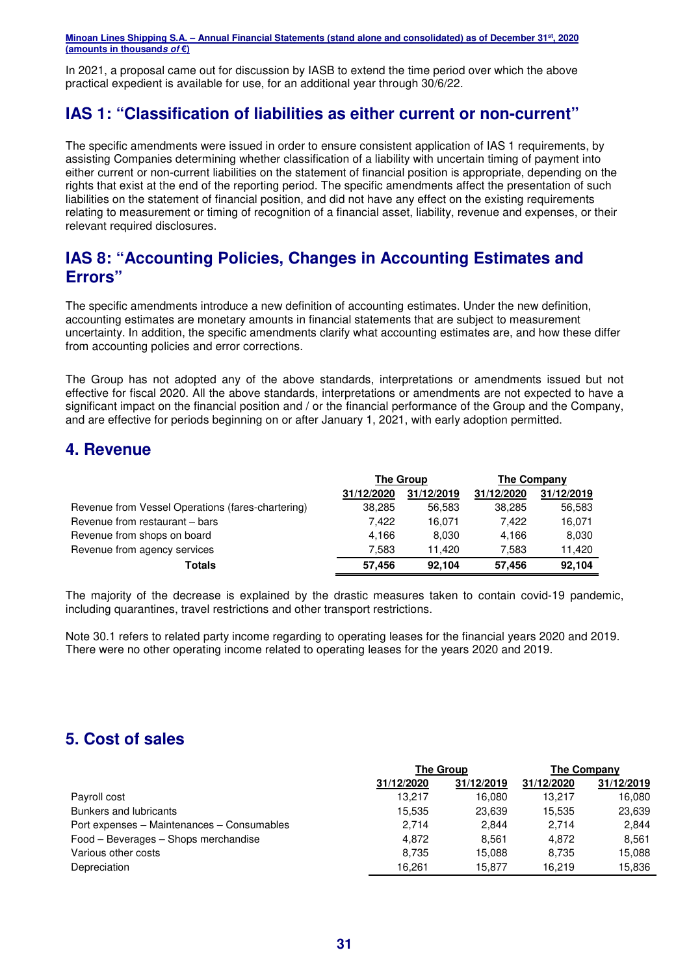In 2021, a proposal came out for discussion by IASB to extend the time period over which the above practical expedient is available for use, for an additional year through 30/6/22.

## **IAS 1: "Classification of liabilities as either current or non-current"**

The specific amendments were issued in order to ensure consistent application of IAS 1 requirements, by assisting Companies determining whether classification of a liability with uncertain timing of payment into either current or non-current liabilities on the statement of financial position is appropriate, depending on the rights that exist at the end of the reporting period. The specific amendments affect the presentation of such liabilities on the statement of financial position, and did not have any effect on the existing requirements relating to measurement or timing of recognition of a financial asset, liability, revenue and expenses, or their relevant required disclosures.

## **IAS 8: "Accounting Policies, Changes in Accounting Estimates and Errors"**

The specific amendments introduce a new definition of accounting estimates. Under the new definition, accounting estimates are monetary amounts in financial statements that are subject to measurement uncertainty. In addition, the specific amendments clarify what accounting estimates are, and how these differ from accounting policies and error corrections.

The Group has not adopted any of the above standards, interpretations or amendments issued but not effective for fiscal 2020. All the above standards, interpretations or amendments are not expected to have a significant impact on the financial position and / or the financial performance of the Group and the Company, and are effective for periods beginning on or after January 1, 2021, with early adoption permitted.

## **4. Revenue**

|                                                   | The Group  |            | The Company |            |
|---------------------------------------------------|------------|------------|-------------|------------|
|                                                   | 31/12/2020 | 31/12/2019 | 31/12/2020  | 31/12/2019 |
| Revenue from Vessel Operations (fares-chartering) | 38.285     | 56.583     | 38.285      | 56,583     |
| Revenue from restaurant - bars                    | 7.422      | 16.071     | 7.422       | 16,071     |
| Revenue from shops on board                       | 4.166      | 8.030      | 4.166       | 8,030      |
| Revenue from agency services                      | 7.583      | 11.420     | 7.583       | 11.420     |
| <b>Totals</b>                                     | 57.456     | 92.104     | 57.456      | 92,104     |

The majority of the decrease is explained by the drastic measures taken to contain covid-19 pandemic, including quarantines, travel restrictions and other transport restrictions.

Note 30.1 refers to related party income regarding to operating leases for the financial years 2020 and 2019. There were no other operating income related to operating leases for the years 2020 and 2019.

## **5. Cost of sales**

|                                            | <b>The Group</b> |            | The Company |            |
|--------------------------------------------|------------------|------------|-------------|------------|
|                                            | 31/12/2020       | 31/12/2019 | 31/12/2020  | 31/12/2019 |
| Payroll cost                               | 13.217           | 16.080     | 13.217      | 16.080     |
| <b>Bunkers and lubricants</b>              | 15.535           | 23.639     | 15.535      | 23,639     |
| Port expenses - Maintenances - Consumables | 2.714            | 2.844      | 2.714       | 2.844      |
| Food – Beverages – Shops merchandise       | 4.872            | 8.561      | 4.872       | 8.561      |
| Various other costs                        | 8.735            | 15.088     | 8.735       | 15,088     |
| Depreciation                               | 16.261           | 15.877     | 16.219      | 15.836     |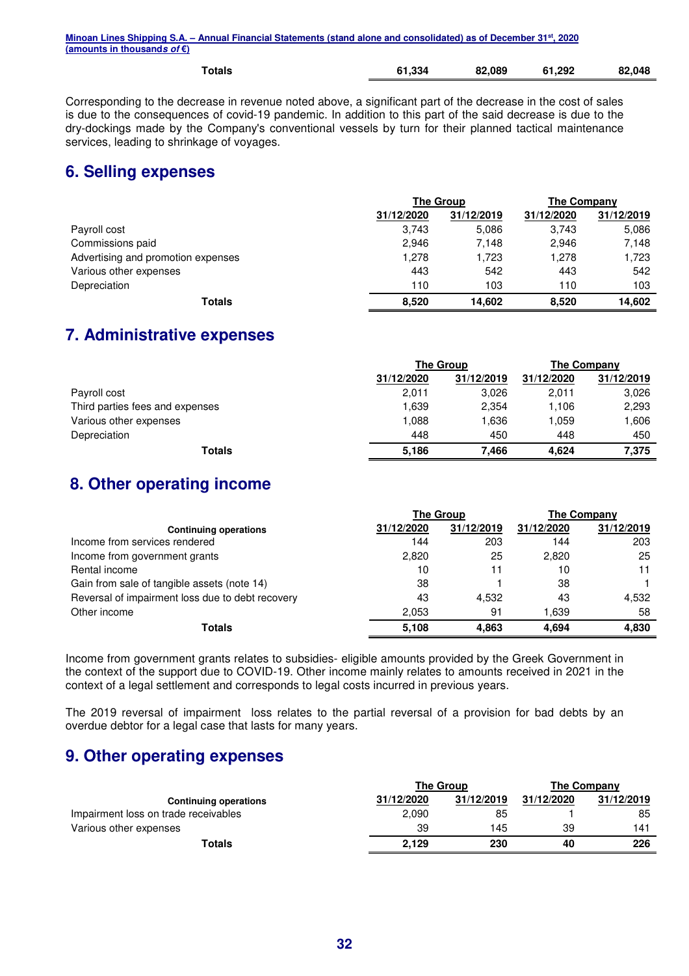| Minoan Lines Shipping S.A. – Annual Financial Statements (stand alone and consolidated) as of December 31st, 2020 |  |
|-------------------------------------------------------------------------------------------------------------------|--|
| (amounts in thousand <i>s of</i> €)                                                                               |  |
|                                                                                                                   |  |

| Totals | 61,334 | 82,089 | 61,292 | 82,048 |
|--------|--------|--------|--------|--------|
|        |        |        |        |        |

Corresponding to the decrease in revenue noted above, a significant part of the decrease in the cost of sales is due to the consequences of covid-19 pandemic. In addition to this part of the said decrease is due to the dry-dockings made by the Company's conventional vessels by turn for their planned tactical maintenance services, leading to shrinkage of voyages.

## **6. Selling expenses**

|                                    | <b>The Group</b> |            | <b>The Company</b> |            |
|------------------------------------|------------------|------------|--------------------|------------|
|                                    | 31/12/2020       | 31/12/2019 | 31/12/2020         | 31/12/2019 |
| Payroll cost                       | 3.743            | 5,086      | 3.743              | 5,086      |
| Commissions paid                   | 2,946            | 7,148      | 2.946              | 7,148      |
| Advertising and promotion expenses | 1.278            | 1,723      | 1,278              | 1,723      |
| Various other expenses             | 443              | 542        | 443                | 542        |
| Depreciation                       | 110              | 103        | 110                | 103        |
| Totals                             | 8,520            | 14.602     | 8.520              | 14,602     |

## **7. Administrative expenses**

|                                 | <b>The Group</b> |            | The Company |            |
|---------------------------------|------------------|------------|-------------|------------|
|                                 | 31/12/2020       | 31/12/2019 | 31/12/2020  | 31/12/2019 |
| Payroll cost                    | 2,011            | 3.026      | 2,011       | 3,026      |
| Third parties fees and expenses | 1.639            | 2.354      | 1,106       | 2,293      |
| Various other expenses          | 1.088            | 1.636      | 1.059       | 1,606      |
| Depreciation                    | 448              | 450        | 448         | 450        |
| Totals                          | 5,186            | 7.466      | 4.624       | 7,375      |

## **8. Other operating income**

| <b>The Group</b>                                 |            | The Company |            |            |
|--------------------------------------------------|------------|-------------|------------|------------|
| <b>Continuing operations</b>                     | 31/12/2020 | 31/12/2019  | 31/12/2020 | 31/12/2019 |
| Income from services rendered                    | 144        | 203         | 144        | 203        |
| Income from government grants                    | 2,820      | 25          | 2.820      | 25         |
| Rental income                                    | 10         | 11          | 10         | 11         |
| Gain from sale of tangible assets (note 14)      | 38         |             | 38         |            |
| Reversal of impairment loss due to debt recovery | 43         | 4,532       | 43         | 4,532      |
| Other income                                     | 2,053      | 91          | 1.639      | 58         |
| Totals                                           | 5.108      | 4.863       | 4.694      | 4.830      |

Income from government grants relates to subsidies- eligible amounts provided by the Greek Government in the context of the support due to COVID-19. Other income mainly relates to amounts received in 2021 in the context of a legal settlement and corresponds to legal costs incurred in previous years.

The 2019 reversal of impairment loss relates to the partial reversal of a provision for bad debts by an overdue debtor for a legal case that lasts for many years.

## **9. Other operating expenses**

|                                      |            | <b>The Group</b> |            | The Company |  |
|--------------------------------------|------------|------------------|------------|-------------|--|
| <b>Continuing operations</b>         | 31/12/2020 | 31/12/2019       | 31/12/2020 | 31/12/2019  |  |
| Impairment loss on trade receivables | 2,090      | 85               |            | 85          |  |
| Various other expenses               | 39         | 145              | 39         | 141         |  |
| Totals                               | 2.129      | 230              | 40         | 226         |  |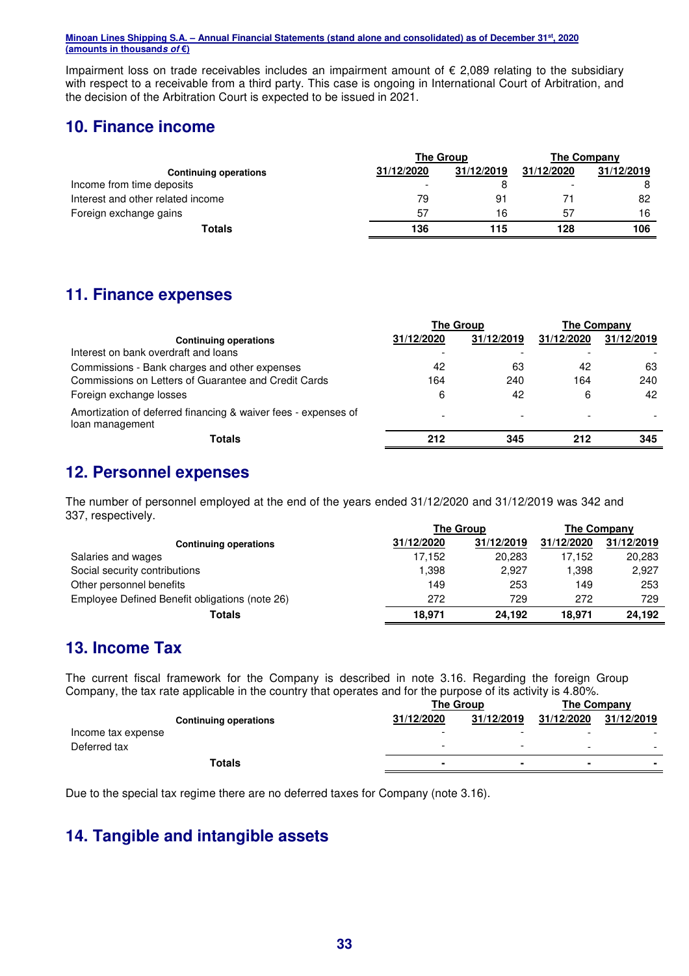Impairment loss on trade receivables includes an impairment amount of € 2,089 relating to the subsidiary with respect to a receivable from a third party. This case is ongoing in International Court of Arbitration, and the decision of the Arbitration Court is expected to be issued in 2021.

## **10. Finance income**

|                                   | The Group  |            | The Company              |            |
|-----------------------------------|------------|------------|--------------------------|------------|
| <b>Continuing operations</b>      | 31/12/2020 | 31/12/2019 | 31/12/2020               | 31/12/2019 |
| Income from time deposits         |            |            | $\overline{\phantom{0}}$ | 8          |
| Interest and other related income | 79         | 91         |                          | 82         |
| Foreign exchange gains            | 57         | 16         | 57                       | 16         |
| Totals                            | 136        | 115        | 128                      | 106        |

## **11. Finance expenses**

|                                                                                   | <b>The Group</b> |            | <b>The Company</b> |            |
|-----------------------------------------------------------------------------------|------------------|------------|--------------------|------------|
| <b>Continuing operations</b>                                                      | 31/12/2020       | 31/12/2019 | 31/12/2020         | 31/12/2019 |
| Interest on bank overdraft and loans                                              |                  |            |                    |            |
| Commissions - Bank charges and other expenses                                     | 42               | 63         | 42                 | 63         |
| Commissions on Letters of Guarantee and Credit Cards                              | 164              | 240        | 164                | 240        |
| Foreign exchange losses                                                           | 6                | 42         | 6                  | 42         |
| Amortization of deferred financing & waiver fees - expenses of<br>loan management |                  |            |                    |            |
| Totals                                                                            | 212              | 345        | 212                | 345        |

## **12. Personnel expenses**

The number of personnel employed at the end of the years ended 31/12/2020 and 31/12/2019 was 342 and 337, respectively.

|                                                | <b>The Group</b> |            | The Company |            |
|------------------------------------------------|------------------|------------|-------------|------------|
| <b>Continuing operations</b>                   | 31/12/2020       | 31/12/2019 | 31/12/2020  | 31/12/2019 |
| Salaries and wages                             | 17.152           | 20,283     | 17.152      | 20,283     |
| Social security contributions                  | 1,398            | 2,927      | 1,398       | 2,927      |
| Other personnel benefits                       | 149              | 253        | 149         | 253        |
| Employee Defined Benefit obligations (note 26) | 272              | 729        | 272         | 729        |
| Totals                                         | 18.971           | 24.192     | 18.971      | 24.192     |

## **13. Income Tax**

The current fiscal framework for the Company is described in note 3.16. Regarding the foreign Group Company, the tax rate applicable in the country that operates and for the purpose of its activity is 4.80%.

|                    |                              | The Group  |            | The Company    |                          |
|--------------------|------------------------------|------------|------------|----------------|--------------------------|
|                    | <b>Continuing operations</b> | 31/12/2020 | 31/12/2019 | 31/12/2020     | 31/12/2019               |
| Income tax expense |                              | -          | -          | -              |                          |
| Deferred tax       |                              | -          | -          | -              | $\overline{\phantom{0}}$ |
|                    | Totals                       |            | $\sim$     | $\blacksquare$ | $\blacksquare$           |

Due to the special tax regime there are no deferred taxes for Company (note 3.16).

## **14. Tangible and intangible assets**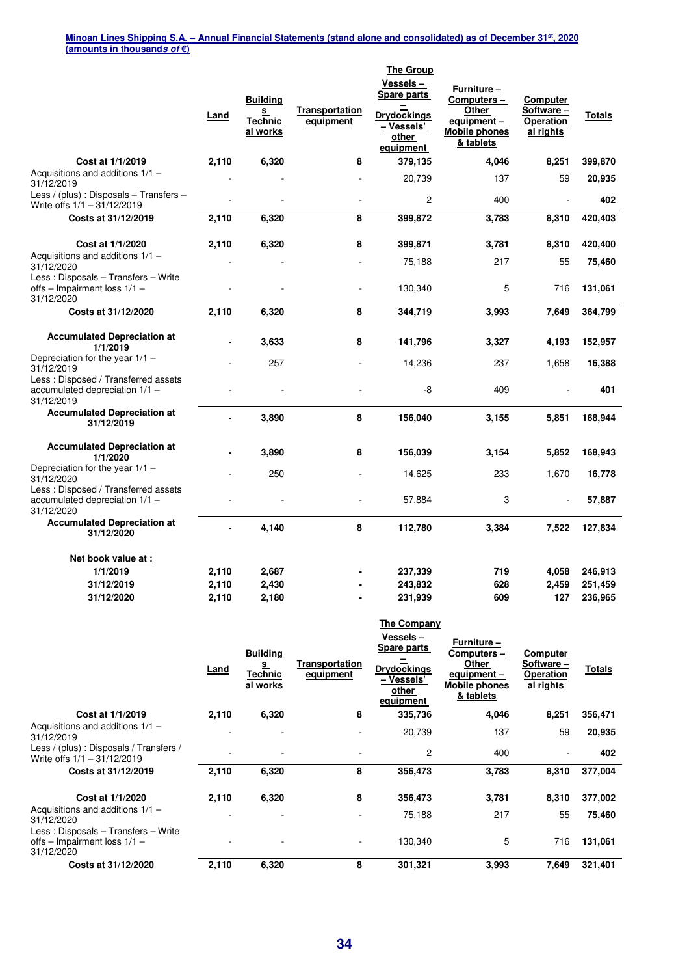|                                                                                     | Land           | <b>Building</b><br>s<br><b>Technic</b><br>al works | <b>Transportation</b><br>equipment | <b>The Group</b><br>Vessels-<br><b>Spare parts</b><br><b>Drydockings</b><br>– Vessels'<br>other<br>equipment | <b>Furniture –</b><br>Computers-<br>Other<br>equipment-<br><b>Mobile phones</b><br>& tablets | Computer<br>Software-<br><b>Operation</b><br>al rights | Totals  |
|-------------------------------------------------------------------------------------|----------------|----------------------------------------------------|------------------------------------|--------------------------------------------------------------------------------------------------------------|----------------------------------------------------------------------------------------------|--------------------------------------------------------|---------|
| Cost at 1/1/2019                                                                    | 2,110          | 6,320                                              | 8                                  | 379,135                                                                                                      | 4,046                                                                                        | 8,251                                                  | 399,870 |
| Acquisitions and additions $1/1 -$<br>31/12/2019                                    |                |                                                    |                                    | 20,739                                                                                                       | 137                                                                                          | 59                                                     | 20,935  |
| Less / (plus) : Disposals - Transfers -<br>Write offs $1/1 - 31/12/2019$            |                |                                                    |                                    | $\overline{c}$                                                                                               | 400                                                                                          |                                                        | 402     |
| Costs at 31/12/2019                                                                 | 2,110          | 6,320                                              | 8                                  | 399,872                                                                                                      | 3,783                                                                                        | 8,310                                                  | 420,403 |
| Cost at 1/1/2020                                                                    | 2,110          | 6,320                                              | 8                                  | 399,871                                                                                                      | 3,781                                                                                        | 8,310                                                  | 420,400 |
| Acquisitions and additions $1/1 -$<br>31/12/2020                                    |                |                                                    |                                    | 75,188                                                                                                       | 217                                                                                          | 55                                                     | 75,460  |
| Less: Disposals - Transfers - Write<br>offs - Impairment loss 1/1 -<br>31/12/2020   |                |                                                    |                                    | 130,340                                                                                                      | 5                                                                                            | 716                                                    | 131,061 |
| Costs at 31/12/2020                                                                 | 2,110          | 6,320                                              | 8                                  | 344,719                                                                                                      | 3,993                                                                                        | 7,649                                                  | 364,799 |
| <b>Accumulated Depreciation at</b><br>1/1/2019                                      | ۰              | 3,633                                              | 8                                  | 141,796                                                                                                      | 3,327                                                                                        | 4,193                                                  | 152,957 |
| Depreciation for the year 1/1 -<br>31/12/2019                                       |                | 257                                                |                                    | 14,236                                                                                                       | 237                                                                                          | 1,658                                                  | 16,388  |
| Less: Disposed / Transferred assets<br>accumulated depreciation 1/1 -<br>31/12/2019 |                |                                                    |                                    | -8                                                                                                           | 409                                                                                          |                                                        | 401     |
| <b>Accumulated Depreciation at</b><br>31/12/2019                                    | $\blacksquare$ | 3,890                                              | 8                                  | 156,040                                                                                                      | 3,155                                                                                        | 5,851                                                  | 168,944 |
| <b>Accumulated Depreciation at</b><br>1/1/2020                                      |                | 3,890                                              | 8                                  | 156,039                                                                                                      | 3,154                                                                                        | 5,852                                                  | 168,943 |
| Depreciation for the year 1/1 -<br>31/12/2020                                       |                | 250                                                |                                    | 14,625                                                                                                       | 233                                                                                          | 1,670                                                  | 16,778  |
| Less: Disposed / Transferred assets<br>accumulated depreciation 1/1 -<br>31/12/2020 |                |                                                    |                                    | 57,884                                                                                                       | 3                                                                                            |                                                        | 57,887  |
| <b>Accumulated Depreciation at</b><br>31/12/2020                                    | Ĭ.             | 4,140                                              | 8                                  | 112,780                                                                                                      | 3,384                                                                                        | 7,522                                                  | 127,834 |
| <u>Net book value at:</u>                                                           |                |                                                    |                                    |                                                                                                              |                                                                                              |                                                        |         |
| 1/1/2019                                                                            | 2,110          | 2,687                                              |                                    | 237,339                                                                                                      | 719                                                                                          | 4,058                                                  | 246,913 |
| 31/12/2019                                                                          | 2,110          | 2,430                                              |                                    | 243,832                                                                                                      | 628                                                                                          | 2,459                                                  | 251,459 |
| 31/12/2020                                                                          | 2,110          | 2,180                                              |                                    | 231,939                                                                                                      | 609                                                                                          | 127                                                    | 236,965 |

|                                                                                     | <u>Land</u> | <b>Building</b><br><u>s</u><br>Technic<br>al works | Transportation<br>equipment | The Company<br>Vessels –<br>Spare parts<br><b>Drydockings</b><br>– Vessels'<br>other<br>equipment | Furniture -<br>Computers-<br>Other<br>equipment -<br><b>Mobile phones</b><br>& tablets | Computer<br>Software-<br>Operation<br>al rights | <u>Totals</u> |
|-------------------------------------------------------------------------------------|-------------|----------------------------------------------------|-----------------------------|---------------------------------------------------------------------------------------------------|----------------------------------------------------------------------------------------|-------------------------------------------------|---------------|
| Cost at 1/1/2019                                                                    | 2,110       | 6,320                                              | 8                           | 335,736                                                                                           | 4,046                                                                                  | 8,251                                           | 356,471       |
| Acquisitions and additions $1/1 -$<br>31/12/2019                                    | ۰           |                                                    |                             | 20,739                                                                                            | 137                                                                                    | 59                                              | 20,935        |
| Less / (plus) : Disposals / Transfers /<br>Write offs $1/1 - 31/12/2019$            |             |                                                    |                             | 2                                                                                                 | 400                                                                                    | ٠                                               | 402           |
| Costs at 31/12/2019                                                                 | 2,110       | 6,320                                              | 8                           | 356,473                                                                                           | 3,783                                                                                  | 8,310                                           | 377,004       |
| Cost at 1/1/2020                                                                    | 2,110       | 6,320                                              | 8                           | 356,473                                                                                           | 3,781                                                                                  | 8,310                                           | 377,002       |
| Acquisitions and additions $1/1 -$<br>31/12/2020                                    |             |                                                    |                             | 75,188                                                                                            | 217                                                                                    | 55                                              | 75,460        |
| Less: Disposals - Transfers - Write<br>offs – Impairment loss $1/1$ –<br>31/12/2020 |             |                                                    | ٠                           | 130,340                                                                                           | 5                                                                                      | 716                                             | 131,061       |
| Costs at 31/12/2020                                                                 | 2,110       | 6,320                                              | 8                           | 301,321                                                                                           | 3,993                                                                                  | 7,649                                           | 321,401       |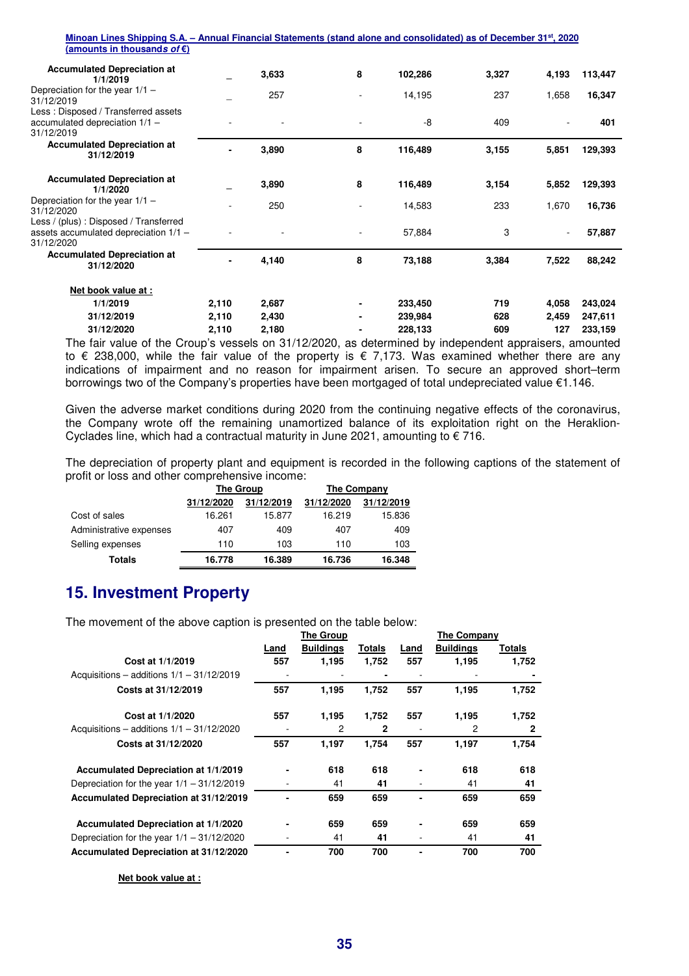| Minoan Lines Shipping S.A. – Annual Financial Statements (stand alone and consolidated) as of December 31 <sup>st</sup> , 2020 |       |       |   |         |       |       |         |
|--------------------------------------------------------------------------------------------------------------------------------|-------|-------|---|---------|-------|-------|---------|
| (amounts in thousands of $\epsilon$ )                                                                                          |       |       |   |         |       |       |         |
| <b>Accumulated Depreciation at</b><br>1/1/2019                                                                                 |       | 3,633 | 8 | 102,286 | 3,327 | 4,193 | 113,447 |
| Depreciation for the year $1/1 -$<br>31/12/2019                                                                                |       | 257   |   | 14,195  | 237   | 1,658 | 16,347  |
| Less: Disposed / Transferred assets<br>accumulated depreciation 1/1 -<br>31/12/2019                                            |       |       |   | -8      | 409   |       | 401     |
| <b>Accumulated Depreciation at</b><br>31/12/2019                                                                               |       | 3,890 | 8 | 116,489 | 3,155 | 5,851 | 129,393 |
| <b>Accumulated Depreciation at</b><br>1/1/2020                                                                                 |       | 3,890 | 8 | 116,489 | 3,154 | 5,852 | 129,393 |
| Depreciation for the year $1/1 -$<br>31/12/2020                                                                                |       | 250   |   | 14,583  | 233   | 1,670 | 16,736  |
| Less / (plus) : Disposed / Transferred<br>assets accumulated depreciation $1/1 -$<br>31/12/2020                                |       |       |   | 57,884  | 3     |       | 57,887  |
| <b>Accumulated Depreciation at</b><br>31/12/2020                                                                               |       | 4,140 | 8 | 73,188  | 3,384 | 7,522 | 88,242  |
| Net book value at :                                                                                                            |       |       |   |         |       |       |         |
| 1/1/2019                                                                                                                       | 2,110 | 2,687 |   | 233,450 | 719   | 4,058 | 243,024 |
| 31/12/2019                                                                                                                     | 2,110 | 2,430 |   | 239,984 | 628   | 2,459 | 247,611 |
| 31/12/2020                                                                                                                     | 2,110 | 2,180 |   | 228,133 | 609   | 127   | 233,159 |
| The fair value of the Croup's vessels on 31/12/2020, as determined by independent appraisers, amounted                         |       |       |   |         |       |       |         |
| to $\epsilon$ 238,000, while the fair value of the property is $\epsilon$ 7,173. Was examined whether there are any            |       |       |   |         |       |       |         |

to € 238,000, while the fair value of the property is € 7,173. Was examined whether there are any indications of impairment and no reason for impairment arisen. To secure an approved short–term borrowings two of the Company's properties have been mortgaged of total undepreciated value €1.146.

Given the adverse market conditions during 2020 from the continuing negative effects of the coronavirus, the Company wrote off the remaining unamortized balance of its exploitation right on the Heraklion-Cyclades line, which had a contractual maturity in June 2021, amounting to  $\epsilon$  716.

The depreciation of property plant and equipment is recorded in the following captions of the statement of profit or loss and other comprehensive income:

|                         |            | The Group  | The Company |            |  |
|-------------------------|------------|------------|-------------|------------|--|
|                         | 31/12/2020 | 31/12/2019 | 31/12/2020  | 31/12/2019 |  |
| Cost of sales           | 16.261     | 15.877     | 16.219      | 15.836     |  |
| Administrative expenses | 407        | 409        | 407         | 409        |  |
| Selling expenses        | 110        | 103        | 110         | 103        |  |
| Totals                  | 16.778     | 16.389     | 16.736      | 16.348     |  |

## **15. Investment Property**

The movement of the above caption is presented on the table below:

|                                              |      | <b>The Group</b> |              |      | The Company      |              |
|----------------------------------------------|------|------------------|--------------|------|------------------|--------------|
|                                              | Land | <b>Buildings</b> | Totals       | Land | <b>Buildings</b> | Totals       |
| Cost at 1/1/2019                             | 557  | 1,195            | 1,752        | 557  | 1,195            | 1,752        |
| Acquisitions – additions $1/1 - 31/12/2019$  |      |                  |              |      |                  |              |
| Costs at 31/12/2019                          | 557  | 1,195            | 1,752        | 557  | 1,195            | 1,752        |
| Cost at 1/1/2020                             | 557  | 1,195            | 1,752        | 557  | 1,195            | 1,752        |
| Acquisitions – additions $1/1 - 31/12/2020$  |      | 2                | $\mathbf{2}$ |      | 2                | $\mathbf{2}$ |
| Costs at 31/12/2020                          | 557  | 1,197            | 1,754        | 557  | 1,197            | 1,754        |
| Accumulated Depreciation at 1/1/2019         |      | 618              | 618          |      | 618              | 618          |
| Depreciation for the year $1/1 - 31/12/2019$ |      | 41               | 41           |      | 41               | 41           |
| Accumulated Depreciation at 31/12/2019       |      | 659              | 659          |      | 659              | 659          |
| Accumulated Depreciation at 1/1/2020         |      | 659              | 659          |      | 659              | 659          |
| Depreciation for the year $1/1 - 31/12/2020$ |      | 41               | 41           |      | 41               | 41           |
| Accumulated Depreciation at 31/12/2020       |      | 700              | 700          |      | 700              | 700          |

**Net book value at :**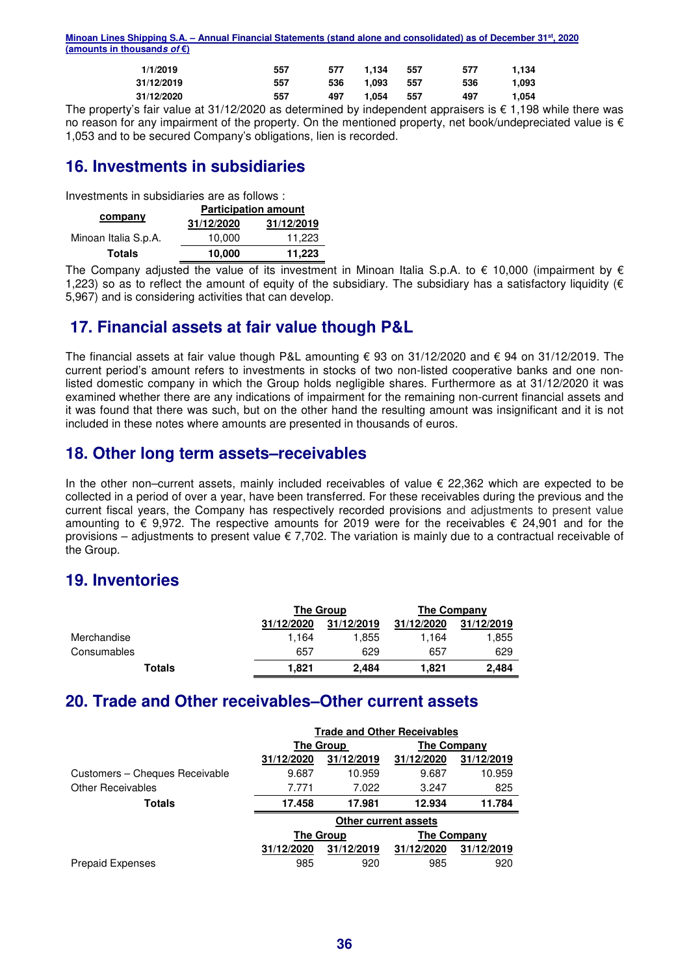| Minoan Lines Shipping S.A. – Annual Financial Statements (stand alone and consolidated) as of December 31 <sup>st</sup> , 2020 |  |  |  |
|--------------------------------------------------------------------------------------------------------------------------------|--|--|--|
| (amounts in thousands of $\epsilon$ )                                                                                          |  |  |  |
|                                                                                                                                |  |  |  |

| 1/1/2019                                                                                        | 557 | 577 | 1.134 | 557 | 577 | 1.134 |
|-------------------------------------------------------------------------------------------------|-----|-----|-------|-----|-----|-------|
| 31/12/2019                                                                                      | 557 | 536 | 1.093 | 557 | 536 | 1.093 |
| 31/12/2020                                                                                      | 557 | 497 | 1.054 | 557 | 497 | 1.054 |
| he property's fair value at 31/12/2020 as determined by independent appraisers is £ 1 198 while |     |     |       |     |     |       |

The property's fair value at 31/12/2020 as determined by independent appraisers is  $\epsilon$  1,198 while there was no reason for any impairment of the property. On the mentioned property, net book/undepreciated value is  $\epsilon$ 1,053 and to be secured Company's obligations, lien is recorded.

## **16. Investments in subsidiaries**

Investments in subsidiaries are as follows :

|                      | <b>Participation amount</b> |            |  |  |  |
|----------------------|-----------------------------|------------|--|--|--|
| company              | 31/12/2020                  | 31/12/2019 |  |  |  |
| Minoan Italia S.p.A. | 10.000                      | 11,223     |  |  |  |
| <b>Totals</b>        | 10.000                      | 11,223     |  |  |  |

The Company adjusted the value of its investment in Minoan Italia S.p.A. to  $\epsilon$  10,000 (impairment by  $\epsilon$ 1,223) so as to reflect the amount of equity of the subsidiary. The subsidiary has a satisfactory liquidity ( $\epsilon$ 5,967) and is considering activities that can develop.

## **17. Financial assets at fair value though P&L**

The financial assets at fair value though P&L amounting € 93 on 31/12/2020 and € 94 on 31/12/2019. The current period's amount refers to investments in stocks of two non-listed cooperative banks and one nonlisted domestic company in which the Group holds negligible shares. Furthermore as at 31/12/2020 it was examined whether there are any indications of impairment for the remaining non-current financial assets and it was found that there was such, but on the other hand the resulting amount was insignificant and it is not included in these notes where amounts are presented in thousands of euros.

## **18. Other long term assets–receivables**

In the other non–current assets, mainly included receivables of value € 22,362 which are expected to be collected in a period of over a year, have been transferred. For these receivables during the previous and the current fiscal years, the Company has respectively recorded provisions and adjustments to present value amounting to  $\epsilon$  9,972. The respective amounts for 2019 were for the receivables  $\epsilon$  24,901 and for the provisions – adjustments to present value  $\epsilon$  7,702. The variation is mainly due to a contractual receivable of the Group.

## **19. Inventories**

|             |            | <b>The Group</b> | The Company |            |
|-------------|------------|------------------|-------------|------------|
|             | 31/12/2020 | 31/12/2019       | 31/12/2020  | 31/12/2019 |
| Merchandise | 1.164      | 855. ا           | 1.164       | 1,855      |
| Consumables | 657        | 629              | 657         | 629        |
| Totals      | 1.821      | 2.484            | 1.821       | 2,484      |

## **20. Trade and Other receivables–Other current assets**

|                                | <b>Trade and Other Receivables</b> |                  |                      |            |  |
|--------------------------------|------------------------------------|------------------|----------------------|------------|--|
|                                |                                    | <b>The Group</b> | <b>The Company</b>   |            |  |
|                                | 31/12/2020                         | 31/12/2019       | 31/12/2020           | 31/12/2019 |  |
| Customers - Cheques Receivable | 9.687                              | 10.959           | 9.687                | 10.959     |  |
| <b>Other Receivables</b>       | 7.771                              | 7.022            | 3.247                | 825        |  |
| Totals                         | 17.458                             | 17.981           | 12.934               | 11.784     |  |
|                                |                                    |                  | Other current assets |            |  |
|                                |                                    | <b>The Group</b> | <b>The Company</b>   |            |  |
|                                | 31/12/2020                         | 31/12/2019       | 31/12/2020           | 31/12/2019 |  |
| <b>Prepaid Expenses</b>        | 985                                | 920              | 985                  | 920        |  |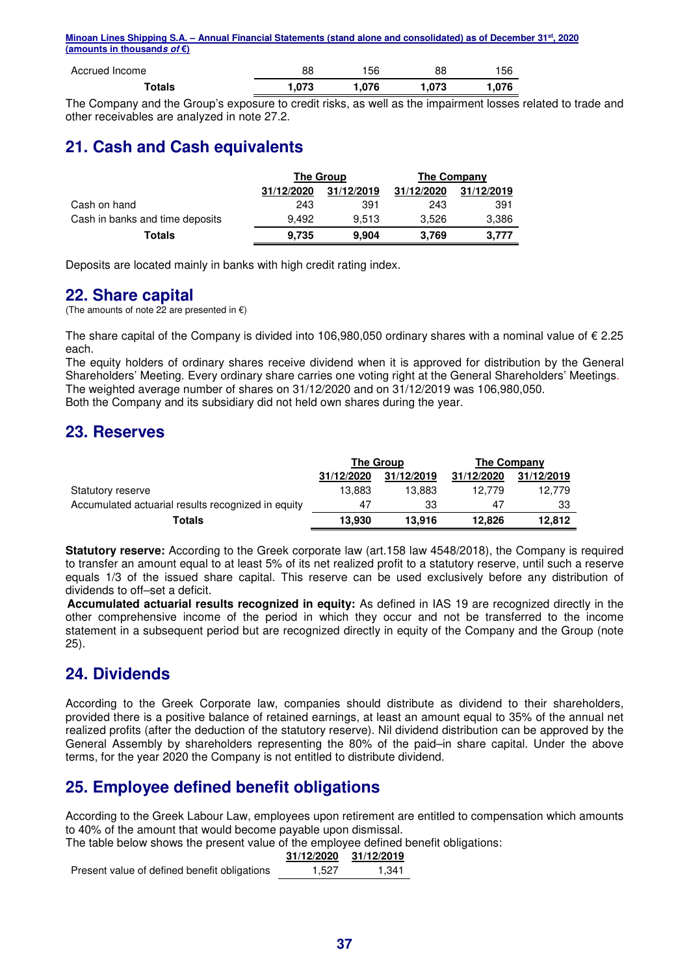| Accrued Income | 88    | 156   | 88    | 56     |
|----------------|-------|-------|-------|--------|
| Totals         | 1.073 | 076.، | 1.073 | 076، ا |

The Company and the Group's exposure to credit risks, as well as the impairment losses related to trade and other receivables are analyzed in note 27.2.

## **21. Cash and Cash equivalents**

|                                 | <b>The Group</b> |            | The Company |            |  |
|---------------------------------|------------------|------------|-------------|------------|--|
|                                 | 31/12/2020       | 31/12/2019 | 31/12/2020  | 31/12/2019 |  |
| Cash on hand                    | 243              | 391        | 243         | 391        |  |
| Cash in banks and time deposits | 9.492            | 9.513      | 3.526       | 3,386      |  |
| Totals                          | 9,735            | 9,904      | 3,769       | 3.777      |  |

Deposits are located mainly in banks with high credit rating index.

## **22. Share capital**

(The amounts of note 22 are presented in  $\epsilon$ )

The share capital of the Company is divided into 106,980,050 ordinary shares with a nominal value of  $\epsilon$  2.25 each.

The equity holders of ordinary shares receive dividend when it is approved for distribution by the General Shareholders' Meeting. Every ordinary share carries one voting right at the General Shareholders' Meetings. The weighted average number of shares on 31/12/2020 and on 31/12/2019 was 106,980,050. Both the Company and its subsidiary did not held own shares during the year.

## **23. Reserves**

|                                                    | The Group  |            | The Company |            |
|----------------------------------------------------|------------|------------|-------------|------------|
|                                                    | 31/12/2020 | 31/12/2019 | 31/12/2020  | 31/12/2019 |
| Statutory reserve                                  | 13.883     | 13.883     | 12.779      | 12.779     |
| Accumulated actuarial results recognized in equity | 47         | 33         | 47          | 33         |
| Totals                                             | 13.930     | 13.916     | 12.826      | 12.812     |

**Statutory reserve:** According to the Greek corporate law (art.158 law 4548/2018), the Company is required to transfer an amount equal to at least 5% of its net realized profit to a statutory reserve, until such a reserve equals 1/3 of the issued share capital. This reserve can be used exclusively before any distribution of dividends to off–set a deficit.

**Accumulated actuarial results recognized in equity:** As defined in IAS 19 are recognized directly in the other comprehensive income of the period in which they occur and not be transferred to the income statement in a subsequent period but are recognized directly in equity of the Company and the Group (note 25).

## **24. Dividends**

According to the Greek Corporate law, companies should distribute as dividend to their shareholders, provided there is a positive balance of retained earnings, at least an amount equal to 35% of the annual net realized profits (after the deduction of the statutory reserve). Nil dividend distribution can be approved by the General Assembly by shareholders representing the 80% of the paid–in share capital. Under the above terms, for the year 2020 the Company is not entitled to distribute dividend.

## **25. Employee defined benefit obligations**

According to the Greek Labour Law, employees upon retirement are entitled to compensation which amounts to 40% of the amount that would become payable upon dismissal.

The table below shows the present value of the employee defined benefit obligations:

| 31/12/2020 | 31/12/2019 |
|------------|------------|
| 527        |            |

Present value of defined benefit obligations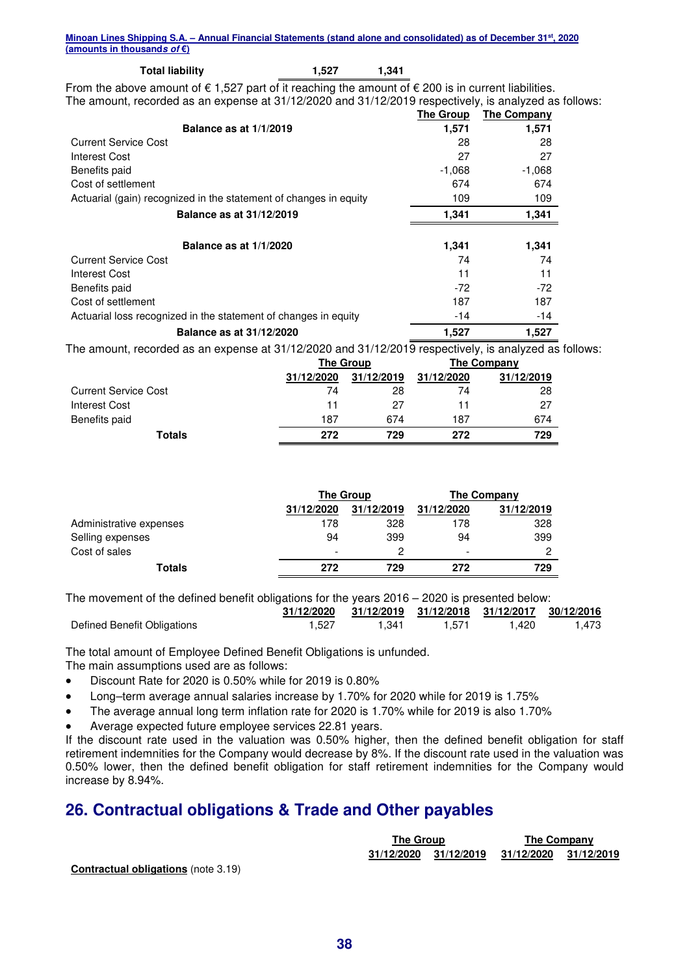#### **Total liability 1,527 1,341**

From the above amount of  $\epsilon$  1,527 part of it reaching the amount of  $\epsilon$  200 is in current liabilities. The amount, recorded as an expense at 31/12/2020 and 31/12/2019 respectively, is analyzed as follows:

|                                                                   | The Group | The Company |
|-------------------------------------------------------------------|-----------|-------------|
| <b>Balance as at 1/1/2019</b>                                     | 1,571     | 1,571       |
| <b>Current Service Cost</b>                                       | 28        | 28          |
| <b>Interest Cost</b>                                              | 27        | 27          |
| Benefits paid                                                     | $-1,068$  | $-1,068$    |
| Cost of settlement                                                | 674       | 674         |
| Actuarial (gain) recognized in the statement of changes in equity | 109       | 109         |
| Balance as at 31/12/2019                                          | 1,341     | 1,341       |
| <b>Balance as at 1/1/2020</b>                                     | 1,341     | 1,341       |
| <b>Current Service Cost</b>                                       | 74        | 74          |
| Interest Cost                                                     | 11        | 11          |
| Benefits paid                                                     | $-72$     | $-72$       |
| Cost of settlement                                                | 187       | 187         |
| Actuarial loss recognized in the statement of changes in equity   | $-14$     | -14         |
| Balance as at 31/12/2020                                          | 1,527     | 1,527       |

The amount, recorded as an expense at 31/12/2020 and 31/12/2019 respectively, is analyzed as follows:

|                             | <b>The Group</b> |            |            | The Company |
|-----------------------------|------------------|------------|------------|-------------|
|                             | 31/12/2020       | 31/12/2019 | 31/12/2020 | 31/12/2019  |
| <b>Current Service Cost</b> | 74               | 28         | 74         | 28          |
| Interest Cost               | 11               | 27         | 11         | 27          |
| Benefits paid               | 187              | 674        | 187        | 674         |
| Totals                      | 272              | 729        | 272        | 729         |

|                         | <b>The Group</b>         |            | The Company |            |
|-------------------------|--------------------------|------------|-------------|------------|
|                         | 31/12/2020               | 31/12/2019 | 31/12/2020  | 31/12/2019 |
| Administrative expenses | 178                      | 328        | 178         | 328        |
| Selling expenses        | 94                       | 399        | 94          | 399        |
| Cost of sales           | $\overline{\phantom{a}}$ | っ          | -           | 2          |
| <b>Totals</b>           | 272                      | 729        | 272         | 729        |

The movement of the defined benefit obligations for the years 2016 – 2020 is presented below:

|                             |       | 31/12/2020 31/12/2019 31/12/2018 31/12/2017 30/12/2016 |       |       |       |
|-----------------------------|-------|--------------------------------------------------------|-------|-------|-------|
| Defined Benefit Obligations | 1,527 | 1.341                                                  | 1.571 | 1.420 | 1,473 |

The total amount of Employee Defined Benefit Obligations is unfunded.

The main assumptions used are as follows:

- Discount Rate for 2020 is 0.50% while for 2019 is 0.80%
- Long–term average annual salaries increase by 1.70% for 2020 while for 2019 is 1.75%
- The average annual long term inflation rate for 2020 is 1.70% while for 2019 is also 1.70%
- Average expected future employee services 22.81 years.

If the discount rate used in the valuation was 0.50% higher, then the defined benefit obligation for staff retirement indemnities for the Company would decrease by 8%. If the discount rate used in the valuation was 0.50% lower, then the defined benefit obligation for staff retirement indemnities for the Company would increase by 8.94%.

## **26. Contractual obligations & Trade and Other payables**

|                                             | The Group             |                       | <b>The Company</b> |
|---------------------------------------------|-----------------------|-----------------------|--------------------|
|                                             | 31/12/2020 31/12/2019 | 31/12/2020 31/12/2019 |                    |
| <b>Contractual obligations</b> (note 3:19). |                       |                       |                    |

**Contractual obligations** (note 3.19)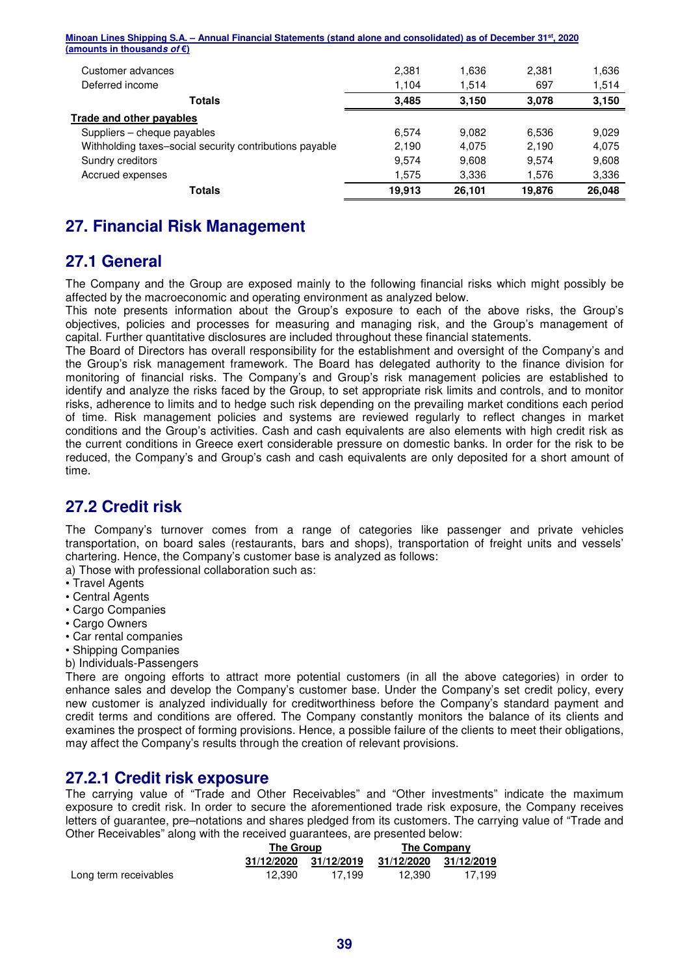| <b>Totals</b>                                                                                                                  | 19.913 | 26.101 | 19,876 | 26,048 |
|--------------------------------------------------------------------------------------------------------------------------------|--------|--------|--------|--------|
| Accrued expenses                                                                                                               | 1.575  | 3.336  | 1,576  | 3,336  |
| Sundry creditors                                                                                                               | 9.574  | 9.608  | 9.574  | 9,608  |
| Withholding taxes-social security contributions payable                                                                        | 2,190  | 4.075  | 2.190  | 4,075  |
| Suppliers - cheque payables                                                                                                    | 6.574  | 9.082  | 6.536  | 9.029  |
| Trade and other payables                                                                                                       |        |        |        |        |
| <b>Totals</b>                                                                                                                  | 3,485  | 3,150  | 3,078  | 3,150  |
| Deferred income                                                                                                                | 1,104  | 1,514  | 697    | 1,514  |
| Customer advances                                                                                                              | 2.381  | 1,636  | 2.381  | 1.636  |
| (amounts in thousands of $\epsilon$ )                                                                                          |        |        |        |        |
| Minoan Lines Shipping S.A. – Annual Financial Statements (stand alone and consolidated) as of December 31 <sup>st</sup> , 2020 |        |        |        |        |

## **27. Financial Risk Management**

## **27.1 General**

The Company and the Group are exposed mainly to the following financial risks which might possibly be affected by the macroeconomic and operating environment as analyzed below.

This note presents information about the Group's exposure to each of the above risks, the Group's objectives, policies and processes for measuring and managing risk, and the Group's management of capital. Further quantitative disclosures are included throughout these financial statements.

The Board of Directors has overall responsibility for the establishment and oversight of the Company's and the Group's risk management framework. The Board has delegated authority to the finance division for monitoring of financial risks. The Company's and Group's risk management policies are established to identify and analyze the risks faced by the Group, to set appropriate risk limits and controls, and to monitor risks, adherence to limits and to hedge such risk depending on the prevailing market conditions each period of time. Risk management policies and systems are reviewed regularly to reflect changes in market conditions and the Group's activities. Cash and cash equivalents are also elements with high credit risk as the current conditions in Greece exert considerable pressure on domestic banks. In order for the risk to be reduced, the Company's and Group's cash and cash equivalents are only deposited for a short amount of time.

## **27.2 Credit risk**

The Company's turnover comes from a range of categories like passenger and private vehicles transportation, on board sales (restaurants, bars and shops), transportation of freight units and vessels' chartering. Hence, the Company's customer base is analyzed as follows:

a) Those with professional collaboration such as:

- Travel Agents
- Central Agents
- Cargo Companies
- Cargo Owners
- Car rental companies
- Shipping Companies
- b) Individuals-Passengers

There are ongoing efforts to attract more potential customers (in all the above categories) in order to enhance sales and develop the Company's customer base. Under the Company's set credit policy, every new customer is analyzed individually for creditworthiness before the Company's standard payment and credit terms and conditions are offered. The Company constantly monitors the balance of its clients and examines the prospect of forming provisions. Hence, a possible failure of the clients to meet their obligations, may affect the Company's results through the creation of relevant provisions.

## **27.2.1 Credit risk exposure**

The carrying value of "Trade and Other Receivables" and "Other investments" indicate the maximum exposure to credit risk. In order to secure the aforementioned trade risk exposure, the Company receives letters of guarantee, pre–notations and shares pledged from its customers. The carrying value of "Trade and Other Receivables" along with the received guarantees, are presented below:

|                       |            | The Group  |            | The Company |
|-----------------------|------------|------------|------------|-------------|
|                       | 31/12/2020 | 31/12/2019 | 31/12/2020 | 31/12/2019  |
| Long term receivables | 12.390     | 17.199     | 12.390     | 17.199      |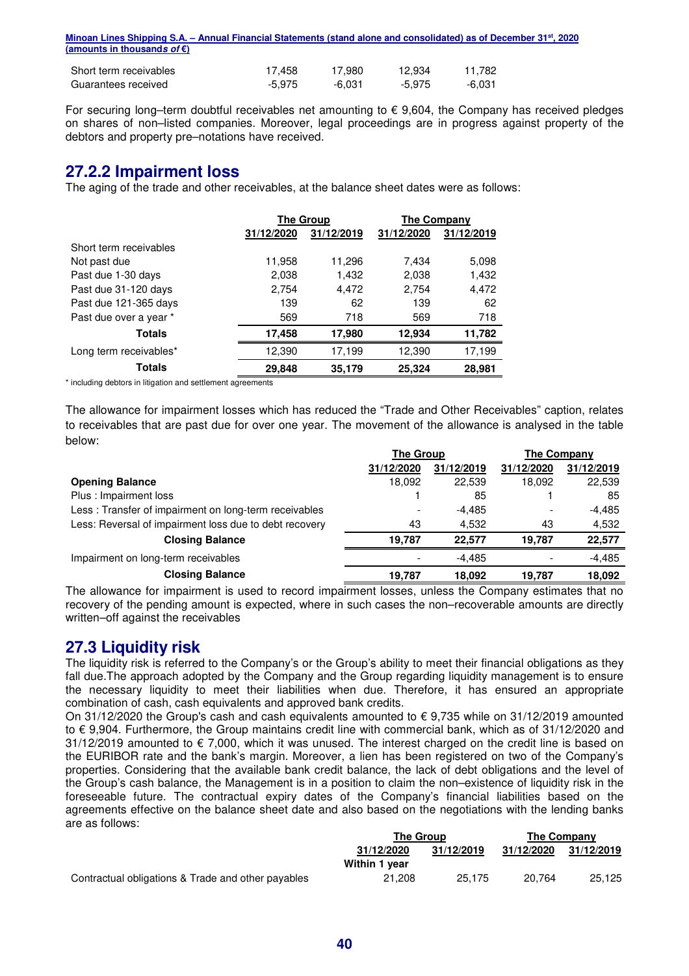| Minoan Lines Shipping S.A. – Annual Financial Statements (stand alone and consolidated) as of December 31 <sup>st</sup> , 2020 |        |        |        |        |  |
|--------------------------------------------------------------------------------------------------------------------------------|--------|--------|--------|--------|--|
| (amounts in thousands of $\epsilon$ )                                                                                          |        |        |        |        |  |
| Short term receivables                                                                                                         | 17.458 | 17.980 | 12.934 | 11.782 |  |
| Guarantees received                                                                                                            | -5.975 | -6.031 | -5.975 | -6.031 |  |

For securing long–term doubtful receivables net amounting to  $\epsilon$  9,604, the Company has received pledges on shares of non–listed companies. Moreover, legal proceedings are in progress against property of the debtors and property pre–notations have received.

## **27.2.2 Impairment loss**

The aging of the trade and other receivables, at the balance sheet dates were as follows:

|                        | <b>The Group</b> |            |            | The Company |  |
|------------------------|------------------|------------|------------|-------------|--|
|                        | 31/12/2020       | 31/12/2019 | 31/12/2020 | 31/12/2019  |  |
| Short term receivables |                  |            |            |             |  |
| Not past due           | 11,958           | 11,296     | 7,434      | 5,098       |  |
| Past due 1-30 days     | 2,038            | 1,432      | 2,038      | 1,432       |  |
| Past due 31-120 days   | 2,754            | 4,472      | 2,754      | 4,472       |  |
| Past due 121-365 days  | 139              | 62         | 139        | 62          |  |
| Past due over a year * | 569              | 718        | 569        | 718         |  |
| <b>Totals</b>          | 17,458           | 17,980     | 12,934     | 11,782      |  |
| Long term receivables* | 12,390           | 17,199     | 12,390     | 17,199      |  |
| <b>Totals</b>          | 29.848           | 35,179     | 25,324     | 28,981      |  |

\* including debtors in litigation and settlement agreements

The allowance for impairment losses which has reduced the "Trade and Other Receivables" caption, relates to receivables that are past due for over one year. The movement of the allowance is analysed in the table below:

|                                                        | <b>The Group</b> |            | <b>The Company</b> |            |
|--------------------------------------------------------|------------------|------------|--------------------|------------|
|                                                        | 31/12/2020       | 31/12/2019 | 31/12/2020         | 31/12/2019 |
| <b>Opening Balance</b>                                 | 18.092           | 22.539     | 18.092             | 22,539     |
| Plus : Impairment loss                                 |                  | 85         |                    | 85         |
| Less: Transfer of impairment on long-term receivables  |                  | $-4.485$   |                    | $-4,485$   |
| Less: Reversal of impairment loss due to debt recovery | 43               | 4.532      | 43                 | 4,532      |
| <b>Closing Balance</b>                                 | 19.787           | 22.577     | 19.787             | 22,577     |
| Impairment on long-term receivables                    |                  | $-4.485$   |                    | -4.485     |
| <b>Closing Balance</b>                                 | 19,787           | 18,092     | 19,787             | 18,092     |

The allowance for impairment is used to record impairment losses, unless the Company estimates that no recovery of the pending amount is expected, where in such cases the non–recoverable amounts are directly written–off against the receivables

## **27.3 Liquidity risk**

The liquidity risk is referred to the Company's or the Group's ability to meet their financial obligations as they fall due.The approach adopted by the Company and the Group regarding liquidity management is to ensure the necessary liquidity to meet their liabilities when due. Therefore, it has ensured an appropriate combination of cash, cash equivalents and approved bank credits.

On 31/12/2020 the Group's cash and cash equivalents amounted to € 9,735 while on 31/12/2019 amounted to € 9,904. Furthermore, the Group maintains credit line with commercial bank, which as of 31/12/2020 and  $31/12/2019$  amounted to  $\epsilon$  7,000, which it was unused. The interest charged on the credit line is based on the EURIBOR rate and the bank's margin. Moreover, a lien has been registered on two of the Company's properties. Considering that the available bank credit balance, the lack of debt obligations and the level of the Group's cash balance, the Management is in a position to claim the non–existence of liquidity risk in the foreseeable future. The contractual expiry dates of the Company's financial liabilities based on the agreements effective on the balance sheet date and also based on the negotiations with the lending banks are as follows:

|                                                    |               | <b>The Group</b> |            | <b>The Company</b> |  |
|----------------------------------------------------|---------------|------------------|------------|--------------------|--|
|                                                    | 31/12/2020    | 31/12/2019       | 31/12/2020 | 31/12/2019         |  |
|                                                    | Within 1 year |                  |            |                    |  |
| Contractual obligations & Trade and other payables | 21.208        | 25.175           | 20.764     | 25.125             |  |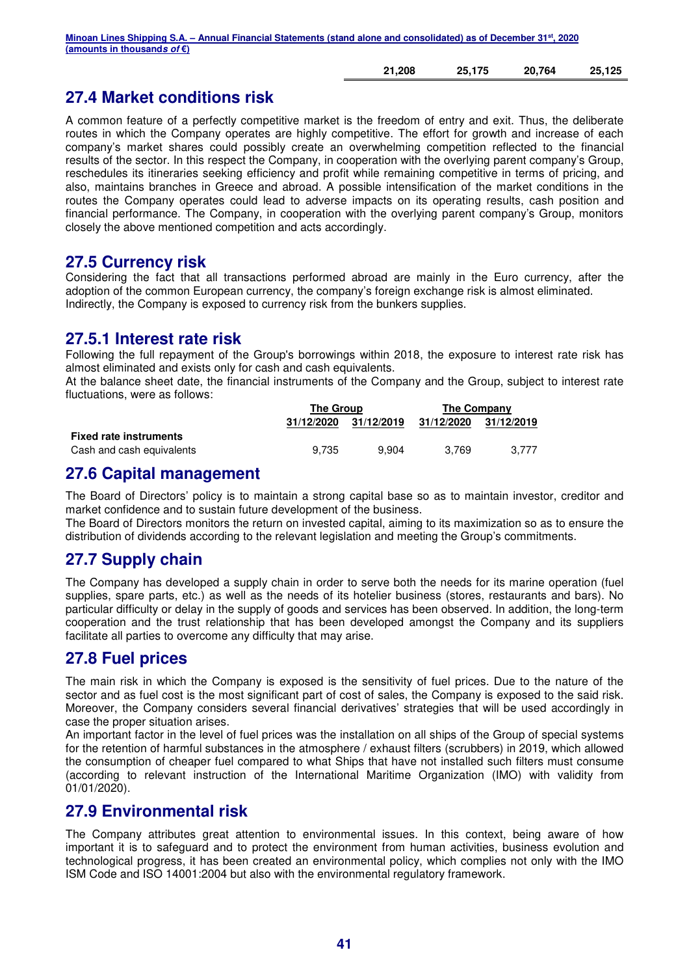| 21,208 | 25,175 | 20,764 | 25,125 |
|--------|--------|--------|--------|
|        |        |        |        |

## **27.4 Market conditions risk**

A common feature of a perfectly competitive market is the freedom of entry and exit. Thus, the deliberate routes in which the Company operates are highly competitive. The effort for growth and increase of each company's market shares could possibly create an overwhelming competition reflected to the financial results of the sector. In this respect the Company, in cooperation with the overlying parent company's Group, reschedules its itineraries seeking efficiency and profit while remaining competitive in terms of pricing, and also, maintains branches in Greece and abroad. A possible intensification of the market conditions in the routes the Company operates could lead to adverse impacts on its operating results, cash position and financial performance. The Company, in cooperation with the overlying parent company's Group, monitors closely the above mentioned competition and acts accordingly.

## **27.5 Currency risk**

Considering the fact that all transactions performed abroad are mainly in the Euro currency, after the adoption of the common European currency, the company's foreign exchange risk is almost eliminated. Indirectly, the Company is exposed to currency risk from the bunkers supplies.

## **27.5.1 Interest rate risk**

Following the full repayment of the Group's borrowings within 2018, the exposure to interest rate risk has almost eliminated and exists only for cash and cash equivalents.

At the balance sheet date, the financial instruments of the Company and the Group, subject to interest rate fluctuations, were as follows:

|                               | The Group  |            | The Company |            |  |
|-------------------------------|------------|------------|-------------|------------|--|
|                               | 31/12/2020 | 31/12/2019 | 31/12/2020  | 31/12/2019 |  |
| <b>Fixed rate instruments</b> |            |            |             |            |  |
| Cash and cash equivalents     | 9.735      | 9.904      | 3.769       | 3.777      |  |

## **27.6 Capital management**

The Board of Directors' policy is to maintain a strong capital base so as to maintain investor, creditor and market confidence and to sustain future development of the business.

The Board of Directors monitors the return on invested capital, aiming to its maximization so as to ensure the distribution of dividends according to the relevant legislation and meeting the Group's commitments.

## **27.7 Supply chain**

The Company has developed a supply chain in order to serve both the needs for its marine operation (fuel supplies, spare parts, etc.) as well as the needs of its hotelier business (stores, restaurants and bars). No particular difficulty or delay in the supply of goods and services has been observed. In addition, the long-term cooperation and the trust relationship that has been developed amongst the Company and its suppliers facilitate all parties to overcome any difficulty that may arise.

## **27.8 Fuel prices**

The main risk in which the Company is exposed is the sensitivity of fuel prices. Due to the nature of the sector and as fuel cost is the most significant part of cost of sales, the Company is exposed to the said risk. Moreover, the Company considers several financial derivatives' strategies that will be used accordingly in case the proper situation arises.

An important factor in the level of fuel prices was the installation on all ships of the Group of special systems for the retention of harmful substances in the atmosphere / exhaust filters (scrubbers) in 2019, which allowed the consumption of cheaper fuel compared to what Ships that have not installed such filters must consume (according to relevant instruction of the International Maritime Organization (IMO) with validity from 01/01/2020).

## **27.9 Environmental risk**

The Company attributes great attention to environmental issues. In this context, being aware of how important it is to safeguard and to protect the environment from human activities, business evolution and technological progress, it has been created an environmental policy, which complies not only with the IMO ISM Code and ISO 14001:2004 but also with the environmental regulatory framework.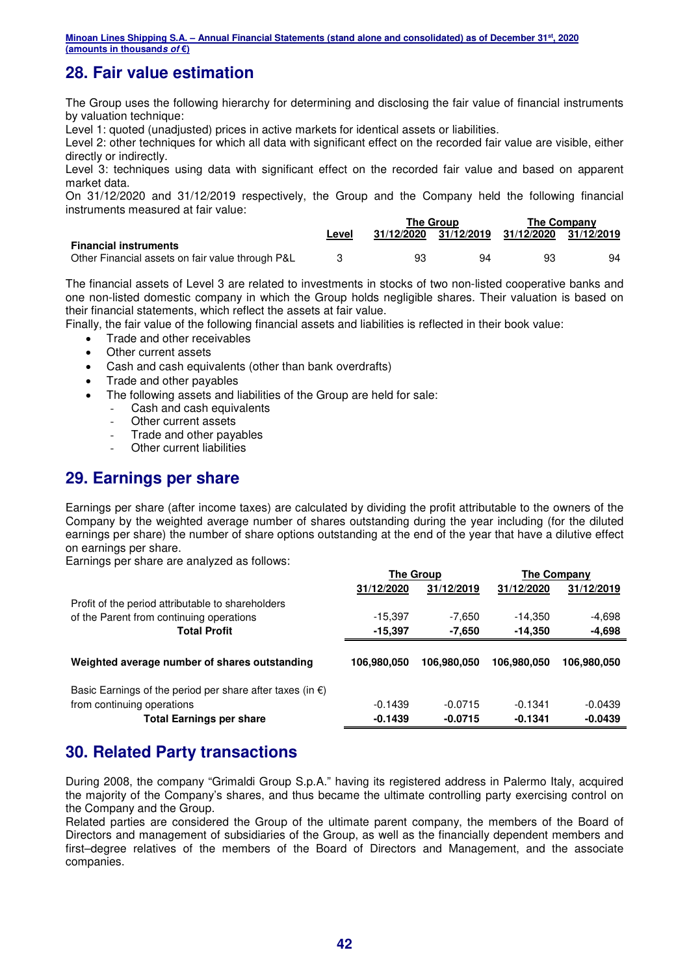## **28. Fair value estimation**

The Group uses the following hierarchy for determining and disclosing the fair value of financial instruments by valuation technique:

Level 1: quoted (unadjusted) prices in active markets for identical assets or liabilities.

Level 2: other techniques for which all data with significant effect on the recorded fair value are visible, either directly or indirectly.

Level 3: techniques using data with significant effect on the recorded fair value and based on apparent market data.

On 31/12/2020 and 31/12/2019 respectively, the Group and the Company held the following financial instruments measured at fair value:

|                                                  |       | <b>The Group</b> |                       | <b>The Company</b>    |    |
|--------------------------------------------------|-------|------------------|-----------------------|-----------------------|----|
|                                                  | Level |                  | 31/12/2020 31/12/2019 | 31/12/2020 31/12/2019 |    |
| <b>Financial instruments</b>                     |       |                  |                       |                       |    |
| Other Financial assets on fair value through P&L |       | 93               | 94                    | 93                    | 94 |

The financial assets of Level 3 are related to investments in stocks of two non-listed cooperative banks and one non-listed domestic company in which the Group holds negligible shares. Their valuation is based on their financial statements, which reflect the assets at fair value.

Finally, the fair value of the following financial assets and liabilities is reflected in their book value:

- Trade and other receivables
- Other current assets
- Cash and cash equivalents (other than bank overdrafts)
- Trade and other payables
- The following assets and liabilities of the Group are held for sale:
	- Cash and cash equivalents
	- Other current assets
	- Trade and other payables
	- **Other current liabilities**

## **29. Earnings per share**

Earnings per share (after income taxes) are calculated by dividing the profit attributable to the owners of the Company by the weighted average number of shares outstanding during the year including (for the diluted earnings per share) the number of share options outstanding at the end of the year that have a dilutive effect on earnings per share.

Earnings per share are analyzed as follows:

|                                                                     | <b>The Group</b> |             |             | The Company |
|---------------------------------------------------------------------|------------------|-------------|-------------|-------------|
|                                                                     | 31/12/2020       | 31/12/2019  | 31/12/2020  | 31/12/2019  |
| Profit of the period attributable to shareholders                   |                  |             |             |             |
| of the Parent from continuing operations                            | $-15,397$        | -7,650      | $-14,350$   | $-4,698$    |
| <b>Total Profit</b>                                                 | $-15.397$        | -7.650      | $-14.350$   | $-4,698$    |
|                                                                     |                  |             |             |             |
| Weighted average number of shares outstanding                       | 106.980.050      | 106.980.050 | 106.980.050 | 106.980.050 |
|                                                                     |                  |             |             |             |
| Basic Earnings of the period per share after taxes (in $\epsilon$ ) |                  |             |             |             |
| from continuing operations                                          | $-0.1439$        | $-0.0715$   | $-0.1341$   | $-0.0439$   |
| <b>Total Earnings per share</b>                                     | $-0.1439$        | $-0.0715$   | $-0.1341$   | $-0.0439$   |

## **30. Related Party transactions**

During 2008, the company "Grimaldi Group S.p.A." having its registered address in Palermo Italy, acquired the majority of the Company's shares, and thus became the ultimate controlling party exercising control on the Company and the Group.

Related parties are considered the Group of the ultimate parent company, the members of the Board of Directors and management of subsidiaries of the Group, as well as the financially dependent members and first–degree relatives of the members of the Board of Directors and Management, and the associate companies.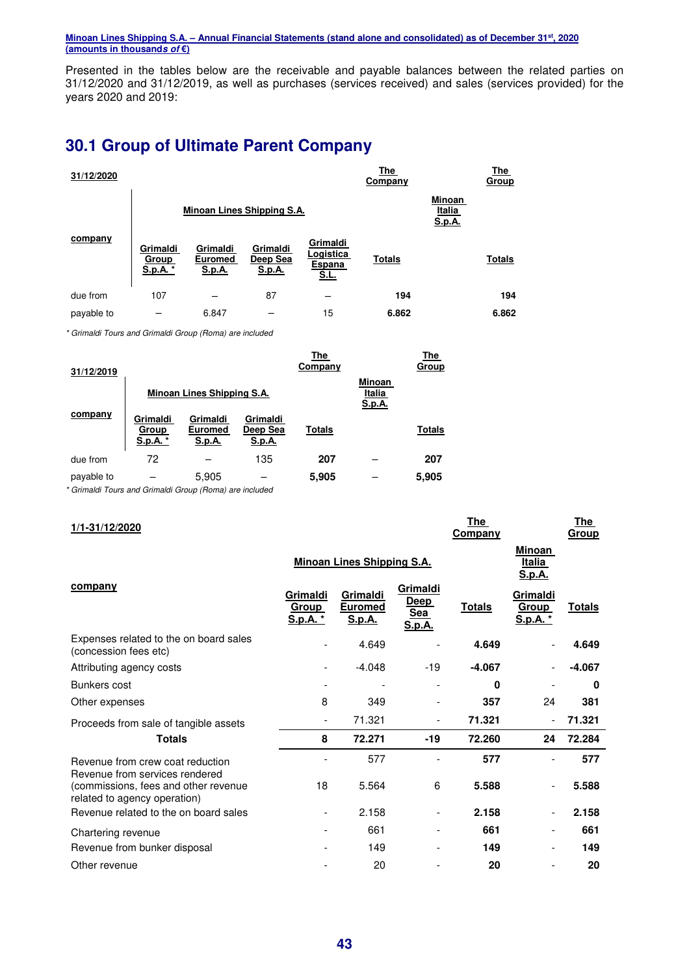Presented in the tables below are the receivable and payable balances between the related parties on 31/12/2020 and 31/12/2019, as well as purchases (services received) and sales (services provided) for the years 2020 and 2019:

## **30.1 Group of Ultimate Parent Company**

| 31/12/2020 |                                      |                                             |                                       |                                                | The<br>Company |                                   | The<br><b>Group</b> |
|------------|--------------------------------------|---------------------------------------------|---------------------------------------|------------------------------------------------|----------------|-----------------------------------|---------------------|
|            |                                      |                                             | Minoan Lines Shipping S.A.            |                                                |                | Minoan<br>Italia<br><u>S.p.A.</u> |                     |
| company    | Grimaldi<br><b>Group</b><br>S.p.A. * | Grimaldi<br><b>Euromed</b><br><u>S.p.A.</u> | Grimaldi<br>Deep Sea<br><u>S.p.A.</u> | Grimaldi<br>Logistica<br>Espana<br><u>S.L.</u> | <b>Totals</b>  |                                   | <b>Totals</b>       |
| due from   | 107                                  |                                             | 87                                    |                                                | 194            |                                   | 194                 |
| payable to |                                      | 6.847                                       |                                       | 15                                             | 6.862          |                                   | 6.862               |

\* Grimaldi Tours and Grimaldi Group (Roma) are included

| 31/12/2019 |                               |                               |                                       | The<br>Company |                            | The<br>Group  |
|------------|-------------------------------|-------------------------------|---------------------------------------|----------------|----------------------------|---------------|
|            |                               | Minoan Lines Shipping S.A.    |                                       |                | Minoan<br>Italia<br>S.p.A. |               |
| company    | Grimaldi<br>Group<br>S.p.A. * | Grimaldi<br>Euromed<br>S.p.A. | Grimaldi<br>Deep Sea<br><u>S.p.A.</u> | <b>Totals</b>  |                            | <b>Totals</b> |
| due from   | 72                            |                               | 135                                   | 207            |                            | 207           |
| payable to |                               | 5,905                         |                                       | 5,905          |                            | 5.905         |

\* Grimaldi Tours and Grimaldi Group (Roma) are included

| 1/1-31/12/2020                                                       |                                             |                                             |                                          | <b>The</b><br>Company |                                             | <u>The</u><br>Group |
|----------------------------------------------------------------------|---------------------------------------------|---------------------------------------------|------------------------------------------|-----------------------|---------------------------------------------|---------------------|
|                                                                      |                                             | <b>Minoan Lines Shipping S.A.</b>           |                                          |                       | Minoan<br><u>Italia</u><br>S.p.A.           |                     |
| company                                                              | Grimaldi<br><u>Group</u><br><u>S.p.A. *</u> | Grimaldi<br><b>Euromed</b><br><u>S.p.A.</u> | Grimaldi<br>Deep<br>Sea<br><u>S.p.A.</u> | <b>Totals</b>         | Grimaldi<br><u>Group</u><br><u>S.p.A. *</u> | <u>Totals</u>       |
| Expenses related to the on board sales<br>(concession fees etc)      |                                             | 4.649                                       |                                          | 4.649                 |                                             | 4.649               |
| Attributing agency costs                                             |                                             | $-4.048$                                    | $-19$                                    | $-4.067$              |                                             | $-4.067$            |
| Bunkers cost                                                         |                                             |                                             |                                          | 0                     |                                             | $\mathbf 0$         |
| Other expenses                                                       | 8                                           | 349                                         |                                          | 357                   | 24                                          | 381                 |
| Proceeds from sale of tangible assets                                |                                             | 71.321                                      | $\overline{a}$                           | 71.321                |                                             | 71.321              |
| <b>Totals</b>                                                        | 8                                           | 72.271                                      | $-19$                                    | 72.260                | 24                                          | 72.284              |
| Revenue from crew coat reduction<br>Revenue from services rendered   |                                             | 577                                         |                                          | 577                   |                                             | 577                 |
| (commissions, fees and other revenue<br>related to agency operation) | 18                                          | 5.564                                       | 6                                        | 5.588                 |                                             | 5.588               |
| Revenue related to the on board sales                                |                                             | 2.158                                       | $\overline{\phantom{a}}$                 | 2.158                 |                                             | 2.158               |
| Chartering revenue                                                   |                                             | 661                                         |                                          | 661                   |                                             | 661                 |
| Revenue from bunker disposal                                         |                                             | 149                                         |                                          | 149                   |                                             | 149                 |
| Other revenue                                                        |                                             | 20                                          |                                          | 20                    |                                             | 20                  |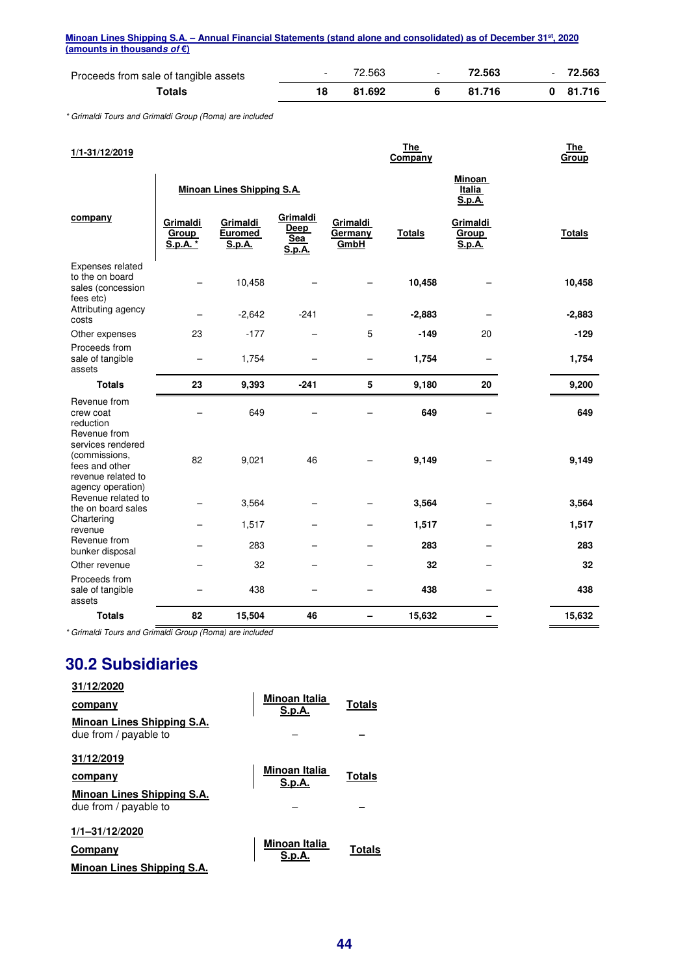|                             | Minoan Lines Shipping S.A. – Annual Financial Statements (stand alone and consolidated) as of December 31 <sup>st</sup> , 2020 |  |
|-----------------------------|--------------------------------------------------------------------------------------------------------------------------------|--|
| (amounts in thousands of €) |                                                                                                                                |  |

| Proceeds from sale of tangible assets |    | 72.563 | $\overline{\phantom{0}}$ | 72.563 | $\overline{\phantom{0}}$ | 72.563     |
|---------------------------------------|----|--------|--------------------------|--------|--------------------------|------------|
| Totals                                | 18 | 81.692 |                          | 81.716 |                          | $0$ 81.716 |

\* Grimaldi Tours and Grimaldi Group (Roma) are included

| 1/1-31/12/2019                                                                                  |                               |                                             |                                   |                             | <b>The</b><br>Company |                             | <b>The</b><br>Group |
|-------------------------------------------------------------------------------------------------|-------------------------------|---------------------------------------------|-----------------------------------|-----------------------------|-----------------------|-----------------------------|---------------------|
|                                                                                                 |                               | <b>Minoan Lines Shipping S.A.</b>           |                                   |                             |                       | Minoan<br>Italia<br>S.p.A.  |                     |
| company                                                                                         | Grimaldi<br>Group<br>S.p.A. * | Grimaldi<br><b>Euromed</b><br><b>S.p.A.</b> | Grimaldi<br>Deep<br>Sea<br>S.p.A. | Grimaldi<br>Germany<br>GmbH | <b>Totals</b>         | Grimaldi<br>Group<br>S.p.A. | <b>Totals</b>       |
| Expenses related<br>to the on board<br>sales (concession<br>fees etc)                           |                               | 10,458                                      |                                   |                             | 10,458                |                             | 10,458              |
| Attributing agency<br>costs                                                                     |                               | $-2,642$                                    | $-241$                            |                             | $-2,883$              |                             | $-2,883$            |
| Other expenses                                                                                  | 23                            | $-177$                                      |                                   | 5                           | $-149$                | 20                          | $-129$              |
| Proceeds from<br>sale of tangible<br>assets                                                     |                               | 1,754                                       |                                   |                             | 1,754                 |                             | 1,754               |
| <b>Totals</b>                                                                                   | 23                            | 9,393                                       | $-241$                            | 5                           | 9,180                 | 20                          | 9,200               |
| Revenue from<br>crew coat<br>reduction<br>Revenue from                                          |                               | 649                                         |                                   |                             | 649                   |                             | 649                 |
| services rendered<br>(commissions,<br>fees and other<br>revenue related to<br>agency operation) | 82                            | 9,021                                       | 46                                |                             | 9,149                 |                             | 9,149               |
| Revenue related to<br>the on board sales                                                        |                               | 3,564                                       |                                   |                             | 3,564                 |                             | 3,564               |
| Chartering<br>revenue                                                                           |                               | 1,517                                       |                                   |                             | 1,517                 |                             | 1,517               |
| Revenue from<br>bunker disposal                                                                 |                               | 283                                         |                                   |                             | 283                   |                             | 283                 |
| Other revenue                                                                                   |                               | 32                                          |                                   |                             | 32                    |                             | 32                  |
| Proceeds from<br>sale of tangible<br>assets                                                     |                               | 438                                         |                                   |                             | 438                   |                             | 438                 |
| <b>Totals</b>                                                                                   | 82                            | 15,504                                      | 46                                | -                           | 15,632                | -                           | 15,632              |

\* Grimaldi Tours and Grimaldi Group (Roma) are included

## **30.2 Subsidiaries**

| 31/12/2020<br>company<br>Minoan Lines Shipping S.A.<br>due from / payable to | Minoan Italia<br><b>S.p.A.</b> | Totals        |
|------------------------------------------------------------------------------|--------------------------------|---------------|
| 31/12/2019<br>company<br>Minoan Lines Shipping S.A.<br>due from / payable to | <b>Minoan Italia</b><br>S.p.A. | <b>Totals</b> |
| 1/1-31/12/2020<br>Company<br>Minoan Lines Shipping S.A.                      | Minoan Italia<br>S.p.A         | Totals        |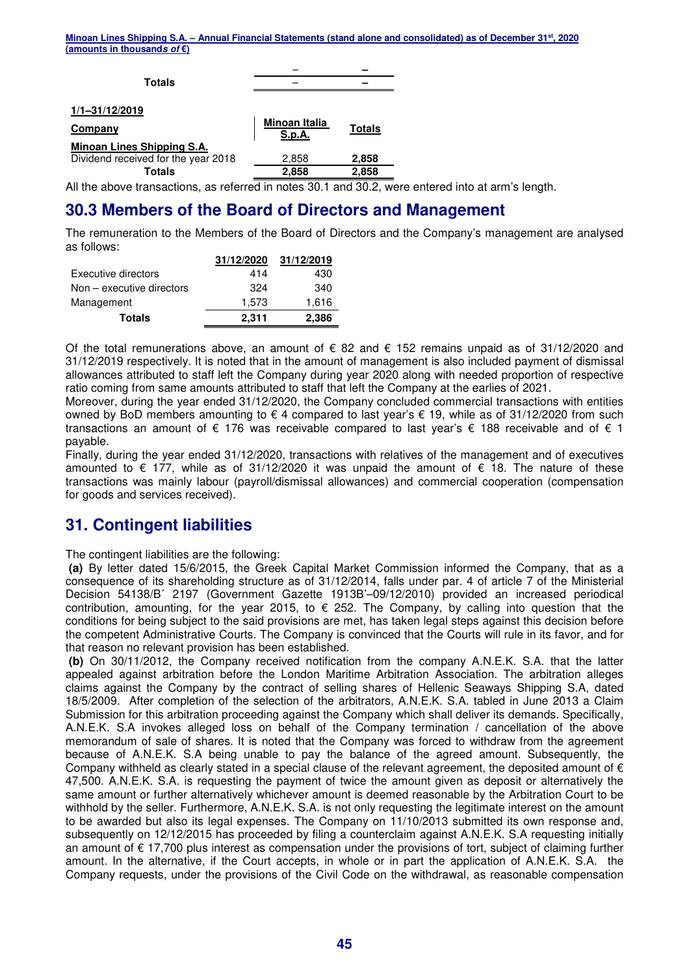| Totals                              |                                |               |
|-------------------------------------|--------------------------------|---------------|
|                                     |                                |               |
| 1/1-31/12/2019                      |                                |               |
| Company                             | <b>Minoan Italia</b><br>S.p.A. | <b>Totals</b> |
| <b>Minoan Lines Shipping S.A.</b>   |                                |               |
| Dividend received for the year 2018 | 2,858                          | 2,858         |
| <b>Totals</b>                       | 2,858                          | 2,858         |

All the above transactions, as referred in notes 30.1 and 30.2, were entered into at arm's length.

## **30.3 Members of the Board of Directors and Management**

The remuneration to the Members of the Board of Directors and the Company's management are analysed as follows:

|                             | 31/12/2020 | 31/12/2019 |
|-----------------------------|------------|------------|
| Executive directors         | 414        | 430        |
| $Non - executive$ directors | 324        | 340        |
| Management                  | 1.573      | 1,616      |
| <b>Totals</b>               | 2.311      | 2,386      |

Of the total remunerations above, an amount of € 82 and € 152 remains unpaid as of 31/12/2020 and 31/12/2019 respectively. It is noted that in the amount of management is also included payment of dismissal allowances attributed to staff left the Company during year 2020 along with needed proportion of respective ratio coming from same amounts attributed to staff that left the Company at the earlies of 2021.

Moreover, during the year ended 31/12/2020, the Company concluded commercial transactions with entities owned by BoD members amounting to € 4 compared to last year's € 19, while as of 31/12/2020 from such transactions an amount of € 176 was receivable compared to last year's € 188 receivable and of € 1 payable.

Finally, during the year ended 31/12/2020, transactions with relatives of the management and of executives amounted to € 177, while as of 31/12/2020 it was unpaid the amount of € 18. The nature of these transactions was mainly labour (payroll/dismissal allowances) and commercial cooperation (compensation for goods and services received).

## **31. Contingent liabilities**

The contingent liabilities are the following:

 **(a)** By letter dated 15/6/2015, the Greek Capital Market Commission informed the Company, that as a consequence of its shareholding structure as of 31/12/2014, falls under par. 4 of article 7 of the Ministerial Decision 54138/B΄ 2197 (Government Gazette 1913Β'–09/12/2010) provided an increased periodical contribution, amounting, for the year 2015, to  $\epsilon$  252. The Company, by calling into question that the conditions for being subject to the said provisions are met, has taken legal steps against this decision before the competent Administrative Courts. The Company is convinced that the Courts will rule in its favor, and for that reason no relevant provision has been established.

 **(b)** On 30/11/2012, the Company received notification from the company A.N.E.K. S.A. that the latter appealed against arbitration before the London Maritime Arbitration Association. The arbitration alleges claims against the Company by the contract of selling shares of Hellenic Seaways Shipping S.A, dated 18/5/2009. After completion of the selection of the arbitrators, A.N.E.K. S.A. tabled in June 2013 a Claim Submission for this arbitration proceeding against the Company which shall deliver its demands. Specifically, A.N.E.K. S.A invokes alleged loss on behalf of the Company termination / cancellation of the above memorandum of sale of shares. It is noted that the Company was forced to withdraw from the agreement because of A.N.E.K. S.A being unable to pay the balance of the agreed amount. Subsequently, the Company withheld as clearly stated in a special clause of the relevant agreement, the deposited amount of  $\epsilon$ 47,500. A.N.E.K. S.A. is requesting the payment of twice the amount given as deposit or alternatively the same amount or further alternatively whichever amount is deemed reasonable by the Arbitration Court to be withhold by the seller. Furthermore, A.N.E.K. S.A. is not only requesting the legitimate interest on the amount to be awarded but also its legal expenses. The Company on 11/10/2013 submitted its own response and, subsequently on 12/12/2015 has proceeded by filing a counterclaim against A.N.E.K. S.A requesting initially an amount of € 17,700 plus interest as compensation under the provisions of tort, subject of claiming further amount. In the alternative, if the Court accepts, in whole or in part the application of A.N.E.K. S.A. the Company requests, under the provisions of the Civil Code on the withdrawal, as reasonable compensation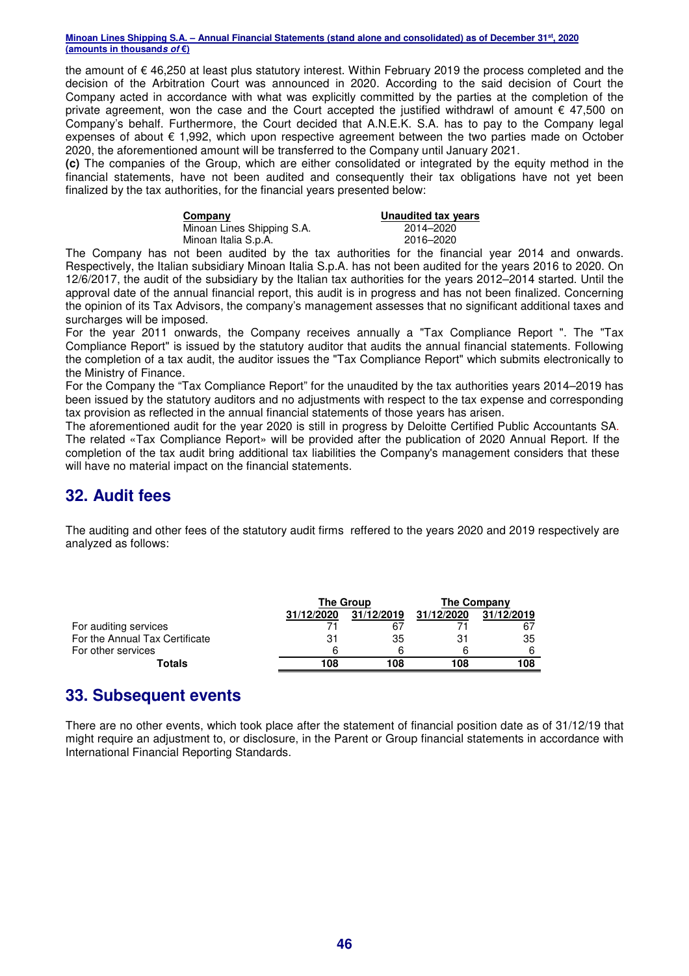the amount of € 46,250 at least plus statutory interest. Within February 2019 the process completed and the decision of the Arbitration Court was announced in 2020. According to the said decision of Court the Company acted in accordance with what was explicitly committed by the parties at the completion of the private agreement, won the case and the Court accepted the justified withdrawl of amount  $\epsilon$  47,500 on Company's behalf. Furthermore, the Court decided that A.N.E.K. S.A. has to pay to the Company legal expenses of about  $\epsilon$  1,992, which upon respective agreement between the two parties made on October 2020, the aforementioned amount will be transferred to the Company until January 2021.

**(c)** The companies of the Group, which are either consolidated or integrated by the equity method in the financial statements, have not been audited and consequently their tax obligations have not yet been finalized by the tax authorities, for the financial years presented below:

| Company |  |
|---------|--|
|         |  |

Minoan Lines Shipping S.A.<br>
Minoan Italia S.p.A.<br>
2016–2020 Minoan Italia S.p.A.

**<u>Unaudited tax years</u>**<br>2014–2020

The Company has not been audited by the tax authorities for the financial year 2014 and onwards. Respectively, the Italian subsidiary Minoan Italia S.p.A. has not been audited for the years 2016 to 2020. On 12/6/2017, the audit of the subsidiary by the Italian tax authorities for the years 2012–2014 started. Until the approval date of the annual financial report, this audit is in progress and has not been finalized. Concerning the opinion of its Tax Advisors, the company's management assesses that no significant additional taxes and surcharges will be imposed.

For the year 2011 onwards, the Company receives annually a "Tax Compliance Report ". The "Tax Compliance Report" is issued by the statutory auditor that audits the annual financial statements. Following the completion of a tax audit, the auditor issues the "Tax Compliance Report" which submits electronically to the Ministry of Finance.

For the Company the "Tax Compliance Report" for the unaudited by the tax authorities years 2014–2019 has been issued by the statutory auditors and no adjustments with respect to the tax expense and corresponding tax provision as reflected in the annual financial statements of those years has arisen.

The aforementioned audit for the year 2020 is still in progress by Deloitte Certified Public Accountants SA. The related «Tax Compliance Report» will be provided after the publication of 2020 Annual Report. If the completion of the tax audit bring additional tax liabilities the Company's management considers that these will have no material impact on the financial statements.

## **32. Audit fees**

The auditing and other fees of the statutory audit firms reffered to the years 2020 and 2019 respectively are analyzed as follows:

|                                | The Group  |            | The Company |            |
|--------------------------------|------------|------------|-------------|------------|
|                                | 31/12/2020 | 31/12/2019 | 31/12/2020  | 31/12/2019 |
| For auditing services          |            | 67         |             | 67         |
| For the Annual Tax Certificate | 31         | 35         |             | 35         |
| For other services             | հ          |            |             | 6          |
| Totals                         | 108        | 108        | 108         | 108        |

## **33. Subsequent events**

There are no other events, which took place after the statement of financial position date as of 31/12/19 that might require an adjustment to, or disclosure, in the Parent or Group financial statements in accordance with International Financial Reporting Standards.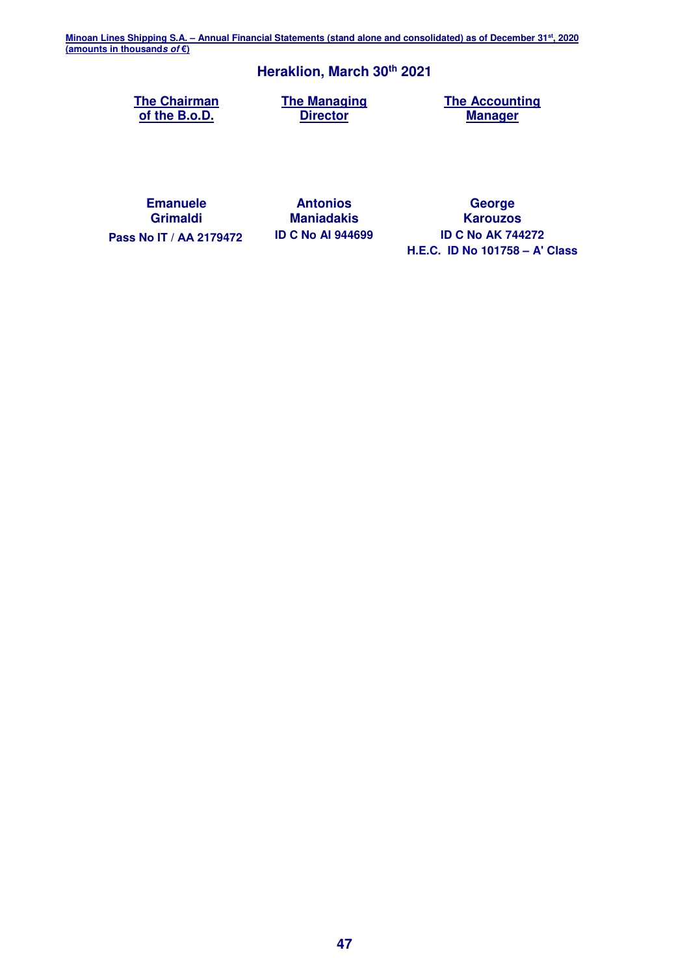## **Heraklion, March 30th 2021**

**The Chairman of the B.o.D.**

**The Managing Director**

**The Accounting Manager**

**Emanuele Grimaldi**

**Antonios Maniadakis**

**George Karouzos Pass Nο IT / ΑΑ 2179472 ID C No AI 944699 ID C No AK 744272 H.E.C. ID No 101758 – A' Class**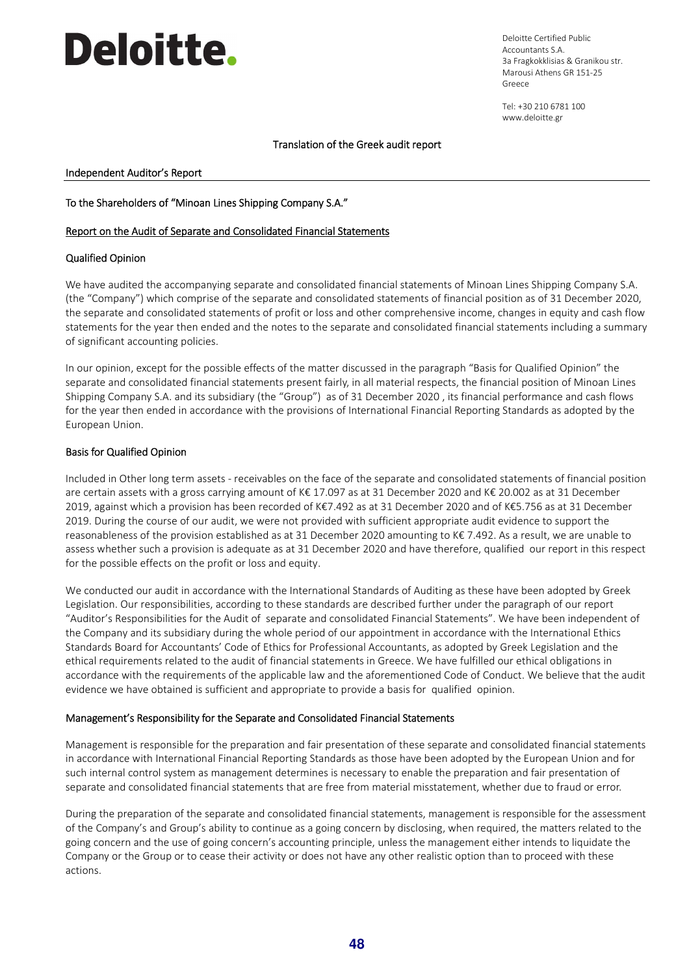# **Deloitte.**

Deloitte Certified Public Accountants S.A. 3a Fragkokklisias & Granikou str. Marousi Athens GR 151-25 Greece

Tel: +30 210 6781 100 www.deloitte.gr

#### Translation of the Greek audit report

#### Independent Auditor's Report

#### To the Shareholders of "Minoan Lines Shipping Company S.A."

#### Report on the Audit of Separate and Consolidated Financial Statements

#### Qualified Opinion

We have audited the accompanying separate and consolidated financial statements of Minoan Lines Shipping Company S.A. (the "Company") which comprise of the separate and consolidated statements of financial position as of 31 December 2020, the separate and consolidated statements of profit or loss and other comprehensive income, changes in equity and cash flow statements for the year then ended and the notes to the separate and consolidated financial statements including a summary of significant accounting policies.

In our opinion, except for the possible effects of the matter discussed in the paragraph "Basis for Qualified Opinion" the separate and consolidated financial statements present fairly, in all material respects, the financial position of Minoan Lines Shipping Company S.A. and its subsidiary (the "Group") as of 31 December 2020 , its financial performance and cash flows for the year then ended in accordance with the provisions of International Financial Reporting Standards as adopted by the European Union.

#### Basis for Qualified Opinion

Included in Other long term assets - receivables on the face of the separate and consolidated statements of financial position are certain assets with a gross carrying amount of K€ 17.097 as at 31 December 2020 and K€ 20.002 as at 31 December 2019, against which a provision has been recorded of K€7.492 as at 31 December 2020 and of K€5.756 as at 31 December 2019. During the course of our audit, we were not provided with sufficient appropriate audit evidence to support the reasonableness of the provision established as at 31 December 2020 amounting to K€ 7.492. As a result, we are unable to assess whether such a provision is adequate as at 31 December 2020 and have therefore, qualified our report in this respect for the possible effects on the profit or loss and equity.

We conducted our audit in accordance with the International Standards of Auditing as these have been adopted by Greek Legislation. Our responsibilities, according to these standards are described further under the paragraph of our report "Auditor's Responsibilities for the Audit of separate and consolidated Financial Statements". We have been independent of the Company and its subsidiary during the whole period of our appointment in accordance with the International Ethics Standards Board for Accountants' Code of Ethics for Professional Accountants, as adopted by Greek Legislation and the ethical requirements related to the audit of financial statements in Greece. We have fulfilled our ethical obligations in accordance with the requirements of the applicable law and the aforementioned Code of Conduct. We believe that the audit evidence we have obtained is sufficient and appropriate to provide a basis for qualified opinion.

#### Management's Responsibility for the Separate and Consolidated Financial Statements

Management is responsible for the preparation and fair presentation of these separate and consolidated financial statements in accordance with International Financial Reporting Standards as those have been adopted by the European Union and for such internal control system as management determines is necessary to enable the preparation and fair presentation of separate and consolidated financial statements that are free from material misstatement, whether due to fraud or error.

During the preparation of the separate and consolidated financial statements, management is responsible for the assessment of the Company's and Group's ability to continue as a going concern by disclosing, when required, the matters related to the going concern and the use of going concern's accounting principle, unless the management either intends to liquidate the Company or the Group or to cease their activity or does not have any other realistic option than to proceed with these actions.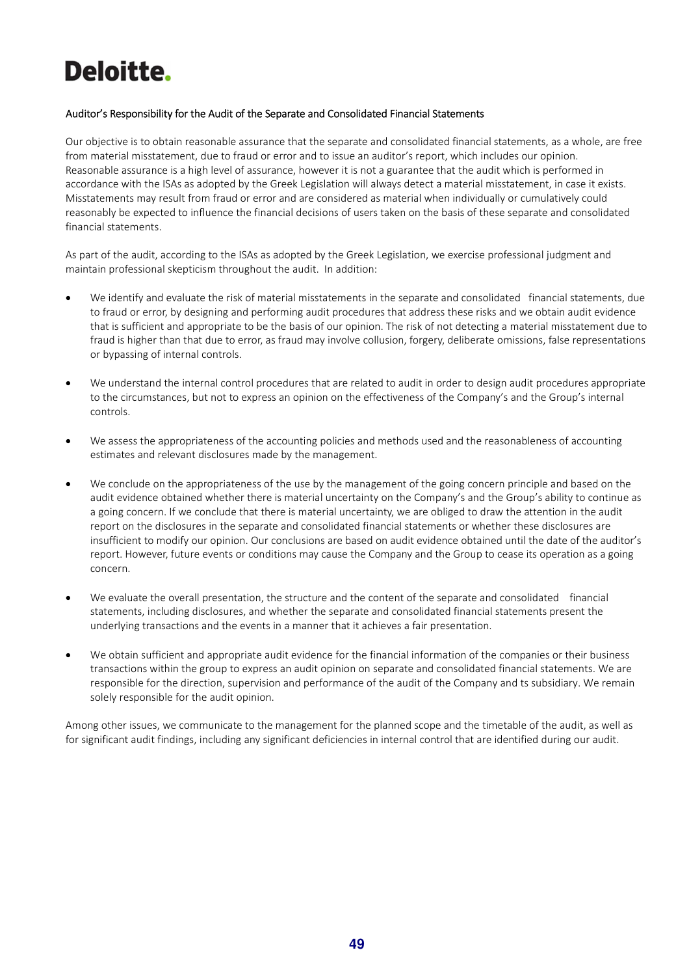# Deloitte.

#### Auditor's Responsibility for the Audit of the Separate and Consolidated Financial Statements

Our objective is to obtain reasonable assurance that the separate and consolidated financial statements, as a whole, are free from material misstatement, due to fraud or error and to issue an auditor's report, which includes our opinion. Reasonable assurance is a high level of assurance, however it is not a guarantee that the audit which is performed in accordance with the ISAs as adopted by the Greek Legislation will always detect a material misstatement, in case it exists. Misstatements may result from fraud or error and are considered as material when individually or cumulatively could reasonably be expected to influence the financial decisions of users taken on the basis of these separate and consolidated financial statements.

As part of the audit, according to the ISAs as adopted by the Greek Legislation, we exercise professional judgment and maintain professional skepticism throughout the audit. In addition:

- We identify and evaluate the risk of material misstatements in the separate and consolidated financial statements, due to fraud or error, by designing and performing audit procedures that address these risks and we obtain audit evidence that is sufficient and appropriate to be the basis of our opinion. The risk of not detecting a material misstatement due to fraud is higher than that due to error, as fraud may involve collusion, forgery, deliberate omissions, false representations or bypassing of internal controls.
- We understand the internal control procedures that are related to audit in order to design audit procedures appropriate to the circumstances, but not to express an opinion on the effectiveness of the Company's and the Group's internal controls.
- We assess the appropriateness of the accounting policies and methods used and the reasonableness of accounting estimates and relevant disclosures made by the management.
- We conclude on the appropriateness of the use by the management of the going concern principle and based on the audit evidence obtained whether there is material uncertainty on the Company's and the Group's ability to continue as a going concern. If we conclude that there is material uncertainty, we are obliged to draw the attention in the audit report on the disclosures in the separate and consolidated financial statements or whether these disclosures are insufficient to modify our opinion. Our conclusions are based on audit evidence obtained until the date of the auditor's report. However, future events or conditions may cause the Company and the Group to cease its operation as a going concern.
- We evaluate the overall presentation, the structure and the content of the separate and consolidated financial statements, including disclosures, and whether the separate and consolidated financial statements present the underlying transactions and the events in a manner that it achieves a fair presentation.
- We obtain sufficient and appropriate audit evidence for the financial information of the companies or their business transactions within the group to express an audit opinion on separate and consolidated financial statements. We are responsible for the direction, supervision and performance of the audit of the Company and ts subsidiary. We remain solely responsible for the audit opinion.

Among other issues, we communicate to the management for the planned scope and the timetable of the audit, as well as for significant audit findings, including any significant deficiencies in internal control that are identified during our audit.